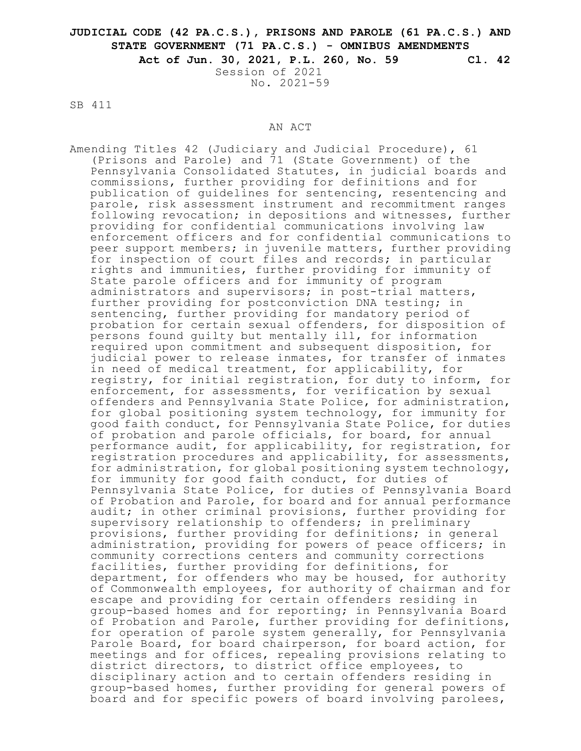# **JUDICIAL CODE (42 PA.C.S.), PRISONS AND PAROLE (61 PA.C.S.) AND STATE GOVERNMENT (71 PA.C.S.) - OMNIBUS AMENDMENTS**

**Act of Jun. 30, 2021, P.L. 260, No. 59 Cl. 42** Session of 2021

No. 2021-59

SB 411

#### AN ACT

Amending Titles 42 (Judiciary and Judicial Procedure), 61 (Prisons and Parole) and 71 (State Government) of the Pennsylvania Consolidated Statutes, in judicial boards and commissions, further providing for definitions and for publication of guidelines for sentencing, resentencing and parole, risk assessment instrument and recommitment ranges following revocation; in depositions and witnesses, further providing for confidential communications involving law enforcement officers and for confidential communications to peer support members; in juvenile matters, further providing for inspection of court files and records; in particular rights and immunities, further providing for immunity of State parole officers and for immunity of program administrators and supervisors; in post-trial matters, further providing for postconviction DNA testing; in sentencing, further providing for mandatory period of probation for certain sexual offenders, for disposition of persons found guilty but mentally ill, for information required upon commitment and subsequent disposition, for judicial power to release inmates, for transfer of inmates in need of medical treatment, for applicability, for registry, for initial registration, for duty to inform, for enforcement, for assessments, for verification by sexual offenders and Pennsylvania State Police, for administration, for global positioning system technology, for immunity for good faith conduct, for Pennsylvania State Police, for duties of probation and parole officials, for board, for annual performance audit, for applicability, for registration, for registration procedures and applicability, for assessments, for administration, for global positioning system technology, for immunity for good faith conduct, for duties of Pennsylvania State Police, for duties of Pennsylvania Board of Probation and Parole, for board and for annual performance audit; in other criminal provisions, further providing for supervisory relationship to offenders; in preliminary provisions, further providing for definitions; in general administration, providing for powers of peace officers; in community corrections centers and community corrections facilities, further providing for definitions, for department, for offenders who may be housed, for authority of Commonwealth employees, for authority of chairman and for escape and providing for certain offenders residing in group-based homes and for reporting; in Pennsylvania Board of Probation and Parole, further providing for definitions, for operation of parole system generally, for Pennsylvania Parole Board, for board chairperson, for board action, for meetings and for offices, repealing provisions relating to district directors, to district office employees, to disciplinary action and to certain offenders residing in group-based homes, further providing for general powers of board and for specific powers of board involving parolees,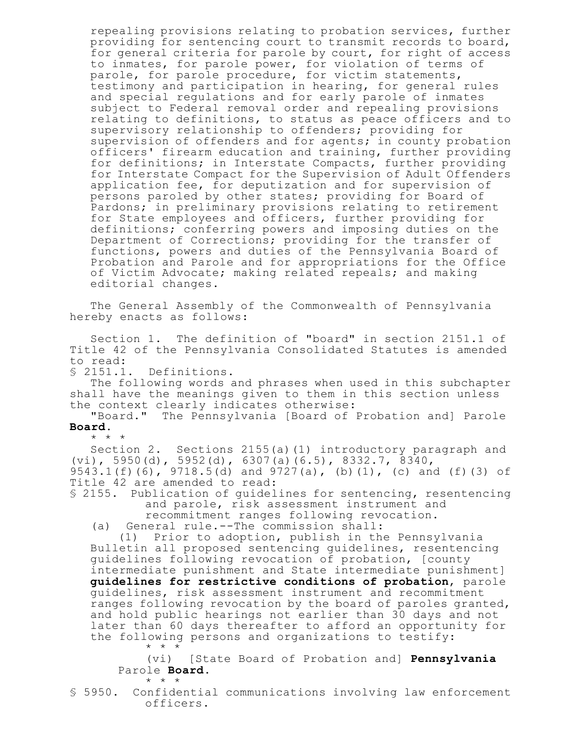repealing provisions relating to probation services, further providing for sentencing court to transmit records to board, for general criteria for parole by court, for right of access to inmates, for parole power, for violation of terms of parole, for parole procedure, for victim statements, testimony and participation in hearing, for general rules and special regulations and for early parole of inmates subject to Federal removal order and repealing provisions relating to definitions, to status as peace officers and to supervisory relationship to offenders; providing for supervision of offenders and for agents; in county probation officers' firearm education and training, further providing for definitions; in Interstate Compacts, further providing for Interstate Compact for the Supervision of Adult Offenders application fee, for deputization and for supervision of persons paroled by other states; providing for Board of Pardons; in preliminary provisions relating to retirement for State employees and officers, further providing for definitions; conferring powers and imposing duties on the Department of Corrections; providing for the transfer of functions, powers and duties of the Pennsylvania Board of Probation and Parole and for appropriations for the Office of Victim Advocate; making related repeals; and making editorial changes.

The General Assembly of the Commonwealth of Pennsylvania hereby enacts as follows:

Section 1. The definition of "board" in section 2151.1 of Title 42 of the Pennsylvania Consolidated Statutes is amended to read:

§ 2151.1. Definitions.

\* \* \*

The following words and phrases when used in this subchapter shall have the meanings given to them in this section unless the context clearly indicates otherwise:

"Board." The Pennsylvania [Board of Probation and] Parole **Board**.

\* \* \*

Section 2. Sections 2155(a)(1) introductory paragraph and (vi), 5950(d), 5952(d), 6307(a)(6.5), 8332.7, 8340, 9543.1(f)(6), 9718.5(d) and 9727(a), (b)(1), (c) and (f)(3) of Title 42 are amended to read:

§ 2155. Publication of guidelines for sentencing, resentencing and parole, risk assessment instrument and recommitment ranges following revocation.

(a) General rule.--The commission shall:

(1) Prior to adoption, publish in the Pennsylvania Bulletin all proposed sentencing guidelines, resentencing guidelines following revocation of probation, [county intermediate punishment and State intermediate punishment] **guidelines for restrictive conditions of probation**, parole guidelines, risk assessment instrument and recommitment ranges following revocation by the board of paroles granted, and hold public hearings not earlier than 30 days and not later than 60 days thereafter to afford an opportunity for the following persons and organizations to testify: \* \* \*

(vi) [State Board of Probation and] **Pennsylvania** Parole **Board**.

<sup>§</sup> 5950. Confidential communications involving law enforcement officers.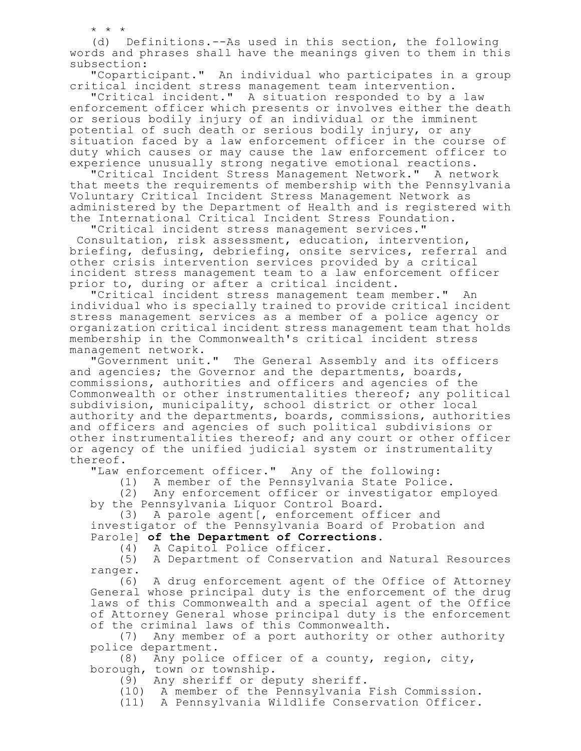\* \* \*

(d) Definitions.--As used in this section, the following words and phrases shall have the meanings given to them in this subsection:

"Coparticipant." An individual who participates in a group critical incident stress management team intervention.

"Critical incident." A situation responded to by a law enforcement officer which presents or involves either the death or serious bodily injury of an individual or the imminent potential of such death or serious bodily injury, or any situation faced by a law enforcement officer in the course of duty which causes or may cause the law enforcement officer to experience unusually strong negative emotional reactions.

"Critical Incident Stress Management Network." A network that meets the requirements of membership with the Pennsylvania Voluntary Critical Incident Stress Management Network as administered by the Department of Health and is registered with the International Critical Incident Stress Foundation.

"Critical incident stress management services."

Consultation, risk assessment, education, intervention, briefing, defusing, debriefing, onsite services, referral and other crisis intervention services provided by a critical incident stress management team to a law enforcement officer prior to, during or after a critical incident.

"Critical incident stress management team member." An individual who is specially trained to provide critical incident stress management services as a member of a police agency or organization critical incident stress management team that holds membership in the Commonwealth's critical incident stress management network.

"Government unit." The General Assembly and its officers and agencies; the Governor and the departments, boards, commissions, authorities and officers and agencies of the Commonwealth or other instrumentalities thereof; any political subdivision, municipality, school district or other local authority and the departments, boards, commissions, authorities and officers and agencies of such political subdivisions or other instrumentalities thereof; and any court or other officer or agency of the unified judicial system or instrumentality thereof.

"Law enforcement officer." Any of the following:

(1) A member of the Pennsylvania State Police.

(2) Any enforcement officer or investigator employed by the Pennsylvania Liquor Control Board.

(3) A parole agent[, enforcement officer and investigator of the Pennsylvania Board of Probation and Parole] **of the Department of Corrections**.

(4) A Capitol Police officer.

(5) A Department of Conservation and Natural Resources

ranger.<br>(6) A drug enforcement agent of the Office of Attorney General whose principal duty is the enforcement of the drug laws of this Commonwealth and a special agent of the Office of Attorney General whose principal duty is the enforcement

of the criminal laws of this Commonwealth.<br>(7) Any member of a port authority or Any member of a port authority or other authority police department.

(8) Any police officer of a county, region, city, borough, town or township.

(9) Any sheriff or deputy sheriff.

(10) A member of the Pennsylvania Fish Commission.

(11) A Pennsylvania Wildlife Conservation Officer.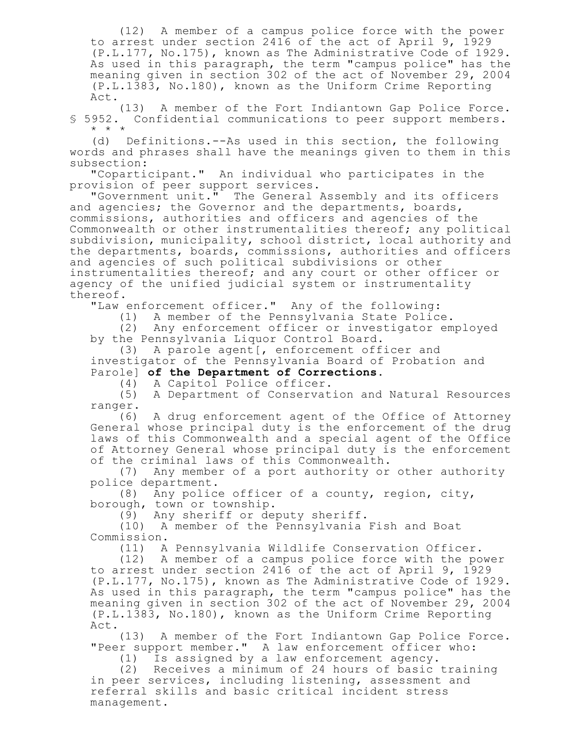(12) A member of a campus police force with the power to arrest under section 2416 of the act of April 9, 1929 (P.L.177, No.175), known as The Administrative Code of 1929. As used in this paragraph, the term "campus police" has the meaning given in section 302 of the act of November 29, 2004 (P.L.1383, No.180), known as the Uniform Crime Reporting Act.

(13) A member of the Fort Indiantown Gap Police Force. § 5952. Confidential communications to peer support members. \* \* \*

(d) Definitions.--As used in this section, the following words and phrases shall have the meanings given to them in this subsection:

"Coparticipant." An individual who participates in the provision of peer support services.

"Government unit." The General Assembly and its officers and agencies; the Governor and the departments, boards, commissions, authorities and officers and agencies of the Commonwealth or other instrumentalities thereof; any political subdivision, municipality, school district, local authority and the departments, boards, commissions, authorities and officers and agencies of such political subdivisions or other instrumentalities thereof; and any court or other officer or agency of the unified judicial system or instrumentality thereof.

"Law enforcement officer." Any of the following:

(1) A member of the Pennsylvania State Police.

(2) Any enforcement officer or investigator employed by the Pennsylvania Liquor Control Board.

(3) A parole agent[, enforcement officer and investigator of the Pennsylvania Board of Probation and Parole] **of the Department of Corrections**.

(4) A Capitol Police officer.

(5) A Department of Conservation and Natural Resources ranger.

(6) A drug enforcement agent of the Office of Attorney General whose principal duty is the enforcement of the drug laws of this Commonwealth and a special agent of the Office of Attorney General whose principal duty is the enforcement of the criminal laws of this Commonwealth.

(7) Any member of a port authority or other authority police department.

(8) Any police officer of a county, region, city, borough, town or township.

(9) Any sheriff or deputy sheriff.

(10) A member of the Pennsylvania Fish and Boat Commission.

(11) A Pennsylvania Wildlife Conservation Officer.

(12) A member of a campus police force with the power to arrest under section 2416 of the act of April 9, 1929 (P.L.177, No.175), known as The Administrative Code of 1929. As used in this paragraph, the term "campus police" has the meaning given in section 302 of the act of November 29, 2004 (P.L.1383, No.180), known as the Uniform Crime Reporting Act.

(13) A member of the Fort Indiantown Gap Police Force. "Peer support member." A law enforcement officer who:

(1) Is assigned by a law enforcement agency.

(2) Receives a minimum of 24 hours of basic training in peer services, including listening, assessment and referral skills and basic critical incident stress management.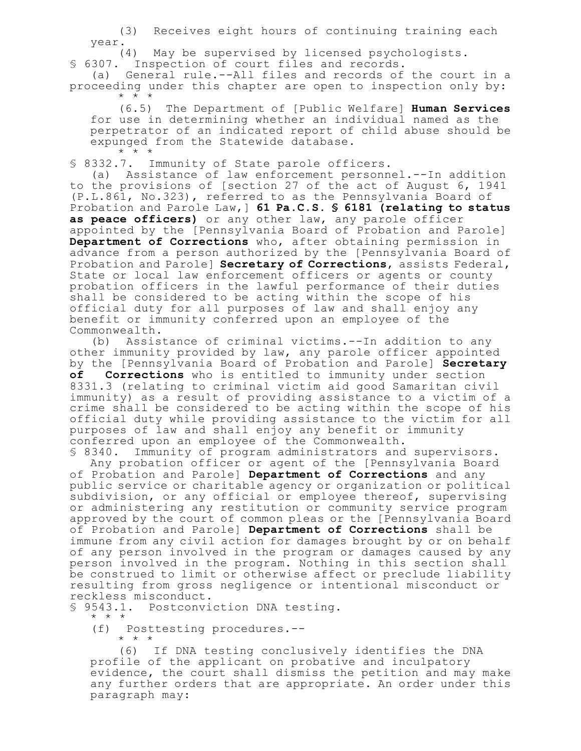(3) Receives eight hours of continuing training each year.

(4) May be supervised by licensed psychologists.

§ 6307. Inspection of court files and records.

(a) General rule.--All files and records of the court in a proceeding under this chapter are open to inspection only by: \* \* \*

(6.5) The Department of [Public Welfare] **Human Services** for use in determining whether an individual named as the perpetrator of an indicated report of child abuse should be expunged from the Statewide database.  $\star$   $\star$   $\star$ 

§ 8332.7. Immunity of State parole officers.

(a) Assistance of law enforcement personnel.--In addition to the provisions of [section 27 of the act of August 6, 1941 (P.L.861, No.323), referred to as the Pennsylvania Board of Probation and Parole Law,] **61 Pa.C.S. § 6181 (relating to status as peace officers)** or any other law, any parole officer appointed by the [Pennsylvania Board of Probation and Parole] **Department of Corrections** who, after obtaining permission in advance from a person authorized by the [Pennsylvania Board of Probation and Parole] **Secretary of Corrections**, assists Federal, State or local law enforcement officers or agents or county probation officers in the lawful performance of their duties shall be considered to be acting within the scope of his official duty for all purposes of law and shall enjoy any benefit or immunity conferred upon an employee of the Commonwealth.

(b) Assistance of criminal victims.--In addition to any other immunity provided by law, any parole officer appointed by the [Pennsylvania Board of Probation and Parole] **Secretary of Corrections** who is entitled to immunity under section 8331.3 (relating to criminal victim aid good Samaritan civil immunity) as a result of providing assistance to a victim of a crime shall be considered to be acting within the scope of his official duty while providing assistance to the victim for all purposes of law and shall enjoy any benefit or immunity conferred upon an employee of the Commonwealth.

§ 8340. Immunity of program administrators and supervisors. Any probation officer or agent of the [Pennsylvania Board of Probation and Parole] **Department of Corrections** and any public service or charitable agency or organization or political subdivision, or any official or employee thereof, supervising or administering any restitution or community service program approved by the court of common pleas or the [Pennsylvania Board of Probation and Parole] **Department of Corrections** shall be immune from any civil action for damages brought by or on behalf of any person involved in the program or damages caused by any person involved in the program. Nothing in this section shall be construed to limit or otherwise affect or preclude liability resulting from gross negligence or intentional misconduct or reckless misconduct.

§ 9543.1. Postconviction DNA testing.

\* \* \*

(f) Posttesting procedures.--

\* \* \*

(6) If DNA testing conclusively identifies the DNA profile of the applicant on probative and inculpatory evidence, the court shall dismiss the petition and may make any further orders that are appropriate. An order under this paragraph may: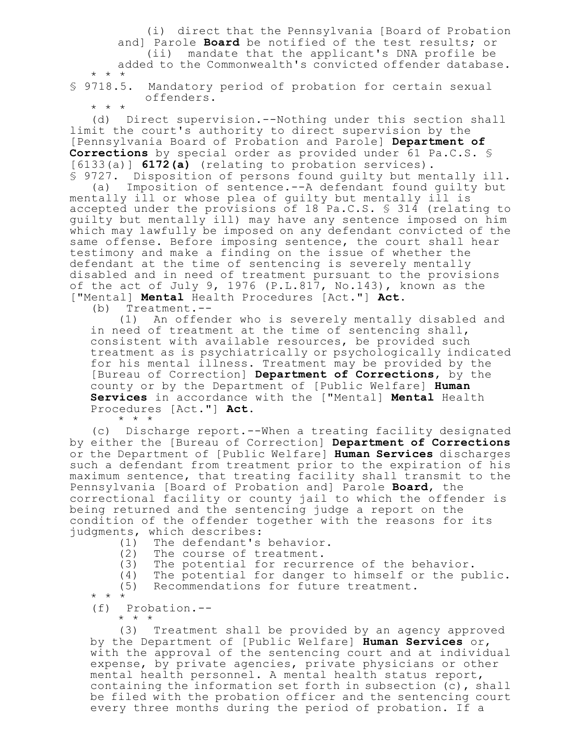(i) direct that the Pennsylvania [Board of Probation and] Parole **Board** be notified of the test results; or (ii) mandate that the applicant's DNA profile be added to the Commonwealth's convicted offender database. \* \* \*

§ 9718.5. Mandatory period of probation for certain sexual offenders.

\* \* \*

(d) Direct supervision.--Nothing under this section shall limit the court's authority to direct supervision by the [Pennsylvania Board of Probation and Parole] **Department of Corrections** by special order as provided under 61 Pa.C.S. § [6133(a)] **6172(a)** (relating to probation services). § 9727. Disposition of persons found guilty but mentally ill.

(a) Imposition of sentence.--A defendant found guilty but mentally ill or whose plea of guilty but mentally ill is accepted under the provisions of 18 Pa.C.S. § 314 (relating to guilty but mentally ill) may have any sentence imposed on him which may lawfully be imposed on any defendant convicted of the same offense. Before imposing sentence, the court shall hear testimony and make a finding on the issue of whether the defendant at the time of sentencing is severely mentally disabled and in need of treatment pursuant to the provisions of the act of July 9, 1976 (P.L.817, No.143), known as the ["Mental] **Mental** Health Procedures [Act."] **Act.**

(b) Treatment.--

(1) An offender who is severely mentally disabled and in need of treatment at the time of sentencing shall, consistent with available resources, be provided such treatment as is psychiatrically or psychologically indicated for his mental illness. Treatment may be provided by the [Bureau of Correction] **Department of Corrections**, by the county or by the Department of [Public Welfare] **Human Services** in accordance with the ["Mental] **Mental** Health Procedures [Act."] **Act.**

\* \* \*

(c) Discharge report.--When a treating facility designated by either the [Bureau of Correction] **Department of Corrections** or the Department of [Public Welfare] **Human Services** discharges such a defendant from treatment prior to the expiration of his maximum sentence, that treating facility shall transmit to the Pennsylvania [Board of Probation and] Parole **Board**, the correctional facility or county jail to which the offender is being returned and the sentencing judge a report on the condition of the offender together with the reasons for its judgments, which describes:

- (1) The defendant's behavior.
- (2) The course of treatment.<br>(3) The potential for recurre
- The potential for recurrence of the behavior.
- (4) The potential for danger to himself or the public.

(5) Recommendations for future treatment.

\* \* \*

(f) Probation.--

\* \* \*

(3) Treatment shall be provided by an agency approved by the Department of [Public Welfare] **Human Services** or, with the approval of the sentencing court and at individual expense, by private agencies, private physicians or other mental health personnel. A mental health status report, containing the information set forth in subsection (c), shall be filed with the probation officer and the sentencing court every three months during the period of probation. If a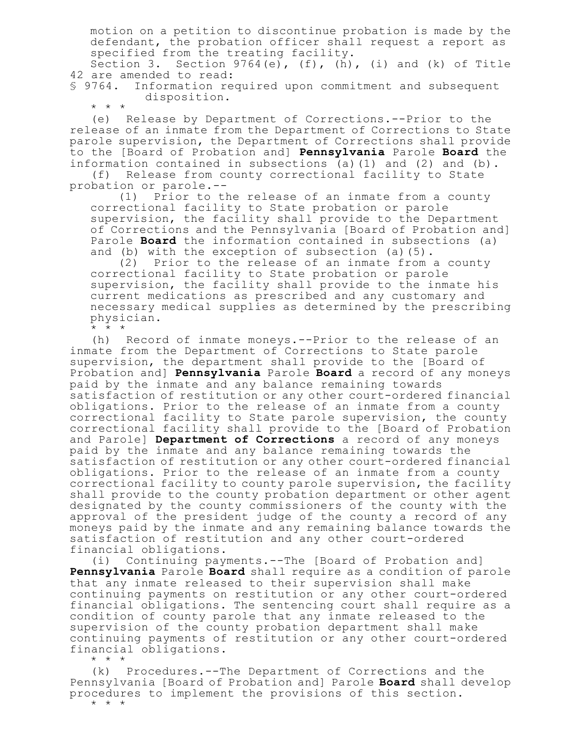motion on a petition to discontinue probation is made by the defendant, the probation officer shall request a report as specified from the treating facility.

Section 3. Section  $9764(e)$ ,  $(f)$ ,  $(h)$ ,  $(i)$  and  $(k)$  of Title 42 are amended to read:<br>§ 9764. Information ree

Information required upon commitment and subsequent disposition.

 $* * * *$ <br>(e) Release by Department of Corrections.--Prior to the release of an inmate from the Department of Corrections to State parole supervision, the Department of Corrections shall provide to the [Board of Probation and] **Pennsylvania** Parole **Board** the information contained in subsections (a)(1) and (2) and (b). (f) Release from county correctional facility to State

probation or parole.--

(1) Prior to the release of an inmate from a county correctional facility to State probation or parole supervision, the facility shall provide to the Department of Corrections and the Pennsylvania [Board of Probation and] Parole **Board** the information contained in subsections (a) and (b) with the exception of subsection (a)(5).

(2) Prior to the release of an inmate from a county correctional facility to State probation or parole supervision, the facility shall provide to the inmate his current medications as prescribed and any customary and necessary medical supplies as determined by the prescribing physician.

\* \* \*

(h) Record of inmate moneys.--Prior to the release of an inmate from the Department of Corrections to State parole supervision, the department shall provide to the [Board of Probation and] **Pennsylvania** Parole **Board** a record of any moneys paid by the inmate and any balance remaining towards satisfaction of restitution or any other court-ordered financial obligations. Prior to the release of an inmate from a county correctional facility to State parole supervision, the county correctional facility shall provide to the [Board of Probation and Parole] **Department of Corrections** a record of any moneys paid by the inmate and any balance remaining towards the satisfaction of restitution or any other court-ordered financial obligations. Prior to the release of an inmate from a county correctional facility to county parole supervision, the facility shall provide to the county probation department or other agent designated by the county commissioners of the county with the approval of the president judge of the county a record of any moneys paid by the inmate and any remaining balance towards the satisfaction of restitution and any other court-ordered financial obligations.

(i) Continuing payments.--The [Board of Probation and] **Pennsylvania** Parole **Board** shall require as a condition of parole that any inmate released to their supervision shall make continuing payments on restitution or any other court-ordered financial obligations. The sentencing court shall require as a condition of county parole that any inmate released to the supervision of the county probation department shall make continuing payments of restitution or any other court-ordered financial obligations.

\* \* \*

(k) Procedures.--The Department of Corrections and the Pennsylvania [Board of Probation and] Parole **Board** shall develop procedures to implement the provisions of this section.

\* \* \*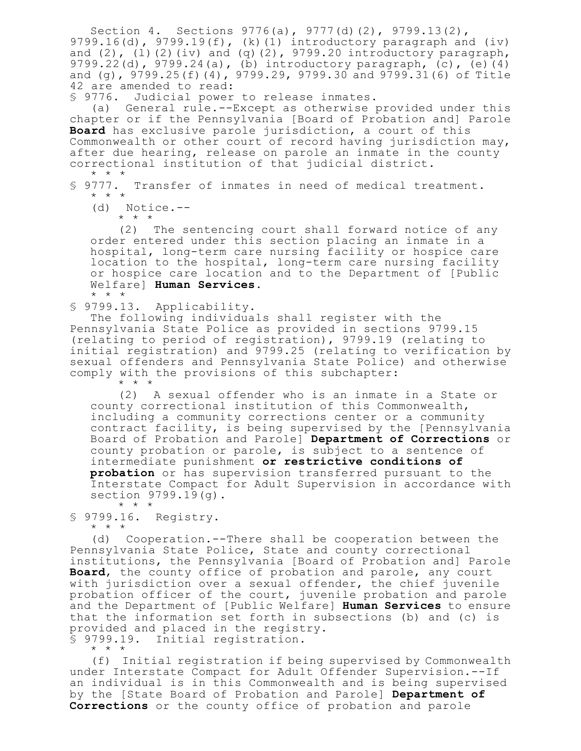Section 4. Sections 9776(a), 9777(d)(2), 9799.13(2), 9799.16(d), 9799.19(f), (k)(1) introductory paragraph and (iv) and  $(2)$ ,  $(1)(2)(iv)$  and  $(q)(2)$ , 9799.20 introductory paragraph, 9799.22(d), 9799.24(a), (b) introductory paragraph, (c), (e)(4) and (g), 9799.25(f)(4), 9799.29, 9799.30 and 9799.31(6) of Title 42 are amended to read:

§ 9776. Judicial power to release inmates.

(a) General rule.--Except as otherwise provided under this chapter or if the Pennsylvania [Board of Probation and] Parole **Board** has exclusive parole jurisdiction, a court of this Commonwealth or other court of record having jurisdiction may, after due hearing, release on parole an inmate in the county correctional institution of that judicial district. \* \* \*

§ 9777. Transfer of inmates in need of medical treatment. \* \* \*

(d) Notice.--

\* \* \*

(2) The sentencing court shall forward notice of any order entered under this section placing an inmate in a hospital, long-term care nursing facility or hospice care location to the hospital, long-term care nursing facility or hospice care location and to the Department of [Public Welfare] **Human Services**. \* \* \*

§ 9799.13. Applicability.

The following individuals shall register with the Pennsylvania State Police as provided in sections 9799.15 (relating to period of registration), 9799.19 (relating to initial registration) and 9799.25 (relating to verification by sexual offenders and Pennsylvania State Police) and otherwise comply with the provisions of this subchapter: \* \* \*

(2) A sexual offender who is an inmate in a State or county correctional institution of this Commonwealth, including a community corrections center or a community contract facility, is being supervised by the [Pennsylvania Board of Probation and Parole] **Department of Corrections** or county probation or parole, is subject to a sentence of intermediate punishment **or restrictive conditions of probation** or has supervision transferred pursuant to the Interstate Compact for Adult Supervision in accordance with section 9799.19(g). \* \* \*

§ 9799.16. Registry. \* \* \*

(d) Cooperation.--There shall be cooperation between the Pennsylvania State Police, State and county correctional institutions, the Pennsylvania [Board of Probation and] Parole **Board**, the county office of probation and parole, any court with jurisdiction over a sexual offender, the chief juvenile probation officer of the court, juvenile probation and parole and the Department of [Public Welfare] **Human Services** to ensure that the information set forth in subsections (b) and (c) is provided and placed in the registry. § 9799.19. Initial registration.

\* \* \*

(f) Initial registration if being supervised by Commonwealth under Interstate Compact for Adult Offender Supervision.--If an individual is in this Commonwealth and is being supervised by the [State Board of Probation and Parole] **Department of Corrections** or the county office of probation and parole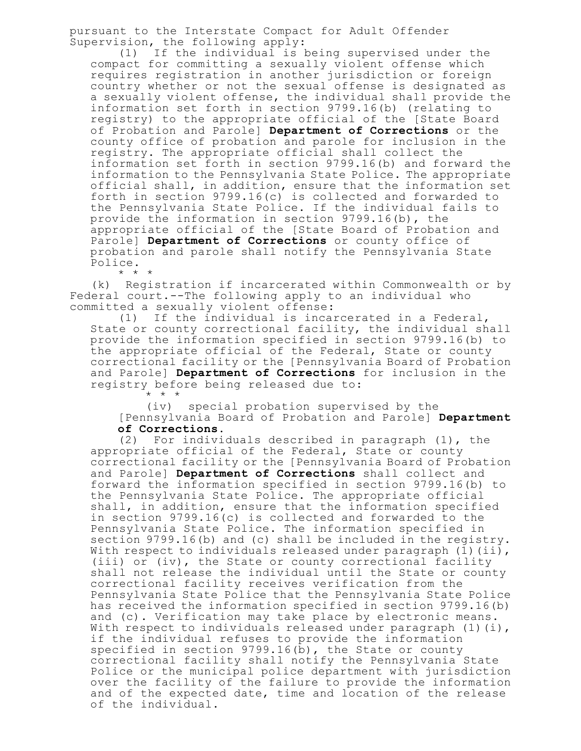pursuant to the Interstate Compact for Adult Offender Supervision, the following apply:

(1) If the individual is being supervised under the compact for committing a sexually violent offense which requires registration in another jurisdiction or foreign country whether or not the sexual offense is designated as a sexually violent offense, the individual shall provide the information set forth in section 9799.16(b) (relating to registry) to the appropriate official of the [State Board of Probation and Parole] **Department of Corrections** or the county office of probation and parole for inclusion in the registry. The appropriate official shall collect the information set forth in section 9799.16(b) and forward the information to the Pennsylvania State Police. The appropriate official shall, in addition, ensure that the information set forth in section 9799.16(c) is collected and forwarded to the Pennsylvania State Police. If the individual fails to provide the information in section 9799.16(b), the appropriate official of the [State Board of Probation and Parole] **Department of Corrections** or county office of probation and parole shall notify the Pennsylvania State Police.

(k) Registration if incarcerated within Commonwealth or by Federal court.--The following apply to an individual who committed a sexually violent offense:

\* \* \*

(1) If the individual is incarcerated in a Federal, State or county correctional facility, the individual shall provide the information specified in section 9799.16(b) to the appropriate official of the Federal, State or county correctional facility or the [Pennsylvania Board of Probation and Parole] **Department of Corrections** for inclusion in the registry before being released due to: \* \* \*

(iv) special probation supervised by the [Pennsylvania Board of Probation and Parole] **Department of Corrections**.

(2) For individuals described in paragraph (1), the appropriate official of the Federal, State or county correctional facility or the [Pennsylvania Board of Probation and Parole] **Department of Corrections** shall collect and forward the information specified in section 9799.16(b) to the Pennsylvania State Police. The appropriate official shall, in addition, ensure that the information specified in section 9799.16(c) is collected and forwarded to the Pennsylvania State Police. The information specified in section 9799.16(b) and (c) shall be included in the registry. With respect to individuals released under paragraph  $(1)$  (ii), (iii) or (iv), the State or county correctional facility shall not release the individual until the State or county correctional facility receives verification from the Pennsylvania State Police that the Pennsylvania State Police has received the information specified in section 9799.16(b) and (c). Verification may take place by electronic means. With respect to individuals released under paragraph  $(1)(i)$ , if the individual refuses to provide the information specified in section  $9799.16(b)$ , the State or county correctional facility shall notify the Pennsylvania State Police or the municipal police department with jurisdiction over the facility of the failure to provide the information and of the expected date, time and location of the release of the individual.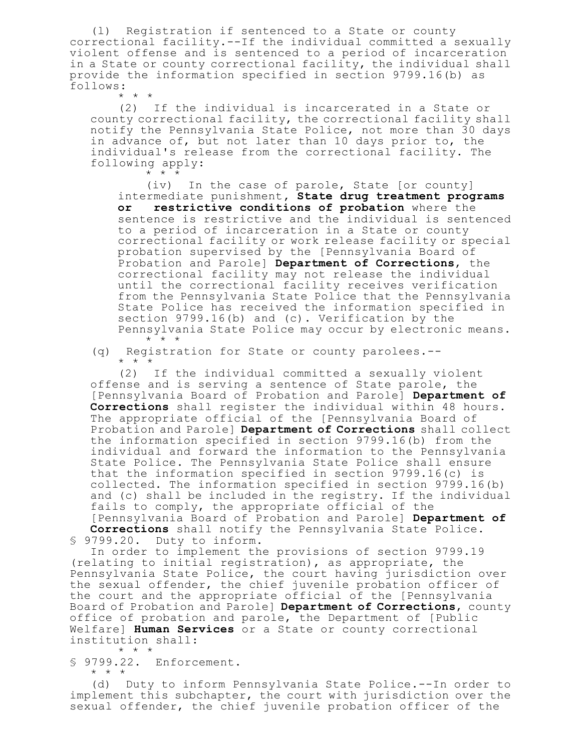(l) Registration if sentenced to a State or county correctional facility.--If the individual committed a sexually violent offense and is sentenced to a period of incarceration in a State or county correctional facility, the individual shall provide the information specified in section 9799.16(b) as follows:

\* \* \*

(2) If the individual is incarcerated in a State or county correctional facility, the correctional facility shall notify the Pennsylvania State Police, not more than 30 days in advance of, but not later than 10 days prior to, the individual's release from the correctional facility. The following apply: \* \* \*

(iv) In the case of parole, State [or county] intermediate punishment**, State drug treatment programs or restrictive conditions of probation** where the sentence is restrictive and the individual is sentenced to a period of incarceration in a State or county correctional facility or work release facility or special probation supervised by the [Pennsylvania Board of Probation and Parole] **Department of Corrections**, the correctional facility may not release the individual until the correctional facility receives verification from the Pennsylvania State Police that the Pennsylvania State Police has received the information specified in section 9799.16(b) and (c). Verification by the Pennsylvania State Police may occur by electronic means. \* \* \*

(q) Registration for State or county parolees.--  $*$  \*  $*$ 

(2) If the individual committed a sexually violent offense and is serving a sentence of State parole, the [Pennsylvania Board of Probation and Parole] **Department of Corrections** shall register the individual within 48 hours. The appropriate official of the [Pennsylvania Board of Probation and Parole] **Department of Corrections** shall collect the information specified in section 9799.16(b) from the individual and forward the information to the Pennsylvania State Police. The Pennsylvania State Police shall ensure that the information specified in section 9799.16(c) is collected. The information specified in section 9799.16(b) and (c) shall be included in the registry. If the individual fails to comply, the appropriate official of the [Pennsylvania Board of Probation and Parole] **Department of Corrections** shall notify the Pennsylvania State Police. § 9799.20. Duty to inform.

In order to implement the provisions of section 9799.19 (relating to initial registration), as appropriate, the Pennsylvania State Police, the court having jurisdiction over the sexual offender, the chief juvenile probation officer of the court and the appropriate official of the [Pennsylvania Board of Probation and Parole] **Department of Corrections**, county office of probation and parole, the Department of [Public Welfare] **Human Services** or a State or county correctional institution shall: \* \* \*

§ 9799.22. Enforcement.

\* \* \*

(d) Duty to inform Pennsylvania State Police.--In order to implement this subchapter, the court with jurisdiction over the sexual offender, the chief juvenile probation officer of the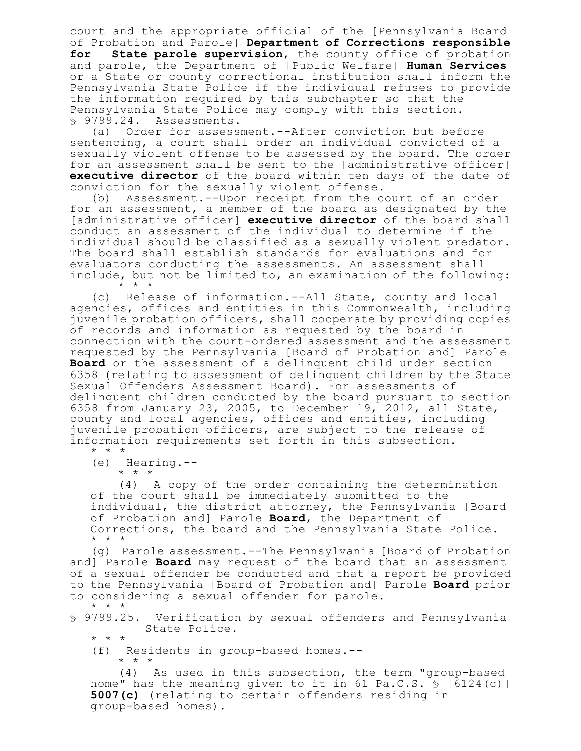court and the appropriate official of the [Pennsylvania Board of Probation and Parole] **Department of Corrections responsible for State parole supervision**, the county office of probation and parole, the Department of [Public Welfare] **Human Services** or a State or county correctional institution shall inform the Pennsylvania State Police if the individual refuses to provide the information required by this subchapter so that the Pennsylvania State Police may comply with this section. § 9799.24. Assessments.

(a) Order for assessment.--After conviction but before sentencing, a court shall order an individual convicted of a sexually violent offense to be assessed by the board. The order for an assessment shall be sent to the [administrative officer] **executive director** of the board within ten days of the date of conviction for the sexually violent offense.

(b) Assessment.--Upon receipt from the court of an order for an assessment, a member of the board as designated by the [administrative officer] **executive director** of the board shall conduct an assessment of the individual to determine if the individual should be classified as a sexually violent predator. The board shall establish standards for evaluations and for evaluators conducting the assessments. An assessment shall include, but not be limited to, an examination of the following: \* \* \*

(c) Release of information.--All State, county and local agencies, offices and entities in this Commonwealth, including juvenile probation officers, shall cooperate by providing copies of records and information as requested by the board in connection with the court-ordered assessment and the assessment requested by the Pennsylvania [Board of Probation and] Parole **Board** or the assessment of a delinquent child under section 6358 (relating to assessment of delinquent children by the State Sexual Offenders Assessment Board). For assessments of delinquent children conducted by the board pursuant to section 6358 from January 23, 2005, to December 19, 2012, all State, county and local agencies, offices and entities, including juvenile probation officers, are subject to the release of information requirements set forth in this subsection. \* \* \*

(e) Hearing.--

\* \* \*

(4) A copy of the order containing the determination of the court shall be immediately submitted to the individual, the district attorney, the Pennsylvania [Board of Probation and] Parole **Board**, the Department of Corrections, the board and the Pennsylvania State Police. \* \* \*

(g) Parole assessment.--The Pennsylvania [Board of Probation and] Parole **Board** may request of the board that an assessment of a sexual offender be conducted and that a report be provided to the Pennsylvania [Board of Probation and] Parole **Board** prior to considering a sexual offender for parole. \* \* \*

§ 9799.25. Verification by sexual offenders and Pennsylvania State Police.

\* \* \*

(f) Residents in group-based homes.-- \* \* \*

(4) As used in this subsection, the term "group-based home" has the meaning given to it in 61 Pa.C.S. § [6124(c)] **5007(c)** (relating to certain offenders residing in group-based homes).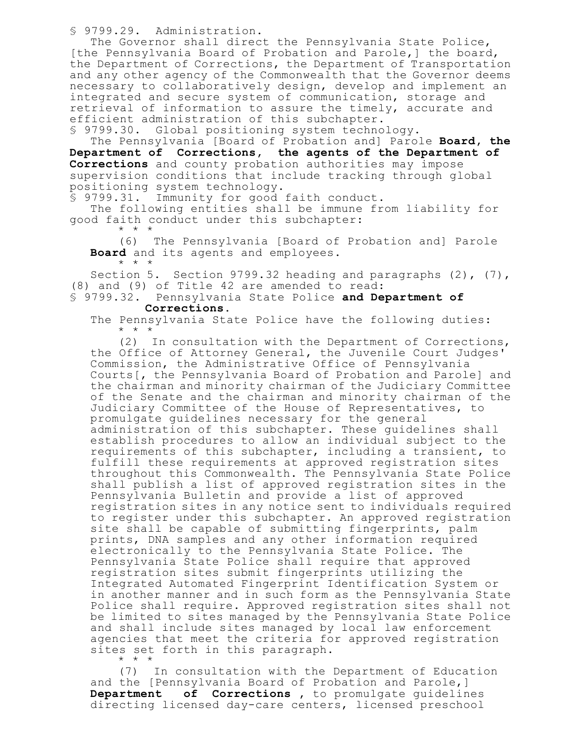§ 9799.29. Administration.

The Governor shall direct the Pennsylvania State Police, [the Pennsylvania Board of Probation and Parole,] the board, the Department of Corrections, the Department of Transportation and any other agency of the Commonwealth that the Governor deems necessary to collaboratively design, develop and implement an integrated and secure system of communication, storage and retrieval of information to assure the timely, accurate and efficient administration of this subchapter.

§ 9799.30. Global positioning system technology.

The Pennsylvania [Board of Probation and] Parole **Board, the Department of Corrections, the agents of the Department of Corrections** and county probation authorities may impose supervision conditions that include tracking through global positioning system technology.

§ 9799.31. Immunity for good faith conduct.

The following entities shall be immune from liability for good faith conduct under this subchapter:

\* \* \*

(6) The Pennsylvania [Board of Probation and] Parole **Board** and its agents and employees. \* \* \*

Section 5. Section 9799.32 heading and paragraphs (2), (7), (8) and (9) of Title 42 are amended to read:

### § 9799.32. Pennsylvania State Police **and Department of Corrections**.

The Pennsylvania State Police have the following duties: \* \* \*

(2) In consultation with the Department of Corrections, the Office of Attorney General, the Juvenile Court Judges' Commission, the Administrative Office of Pennsylvania Courts[, the Pennsylvania Board of Probation and Parole] and the chairman and minority chairman of the Judiciary Committee of the Senate and the chairman and minority chairman of the Judiciary Committee of the House of Representatives, to promulgate guidelines necessary for the general administration of this subchapter. These guidelines shall establish procedures to allow an individual subject to the requirements of this subchapter, including a transient, to fulfill these requirements at approved registration sites throughout this Commonwealth. The Pennsylvania State Police shall publish a list of approved registration sites in the Pennsylvania Bulletin and provide a list of approved registration sites in any notice sent to individuals required to register under this subchapter. An approved registration site shall be capable of submitting fingerprints, palm prints, DNA samples and any other information required electronically to the Pennsylvania State Police. The Pennsylvania State Police shall require that approved registration sites submit fingerprints utilizing the Integrated Automated Fingerprint Identification System or in another manner and in such form as the Pennsylvania State Police shall require. Approved registration sites shall not be limited to sites managed by the Pennsylvania State Police and shall include sites managed by local law enforcement agencies that meet the criteria for approved registration sites set forth in this paragraph. \* \* \*

(7) In consultation with the Department of Education and the [Pennsylvania Board of Probation and Parole,] **Department of Corrections ,** to promulgate guidelines directing licensed day-care centers, licensed preschool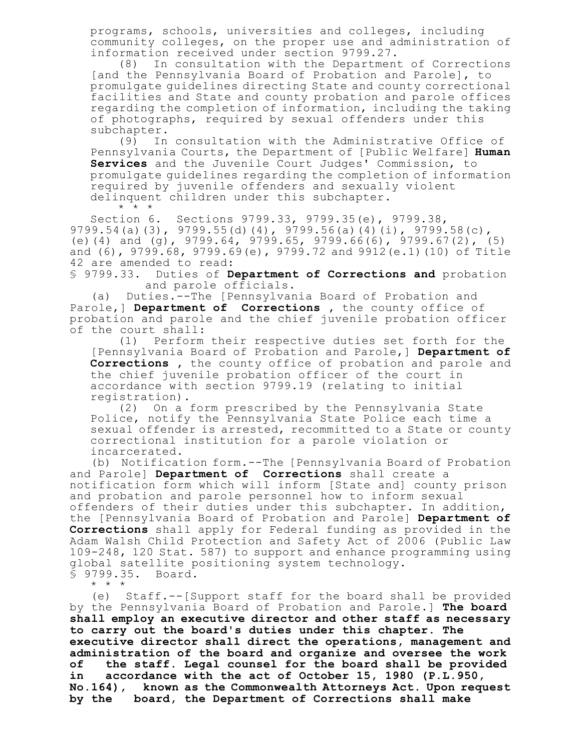programs, schools, universities and colleges, including community colleges, on the proper use and administration of information received under section 9799.27.

(8) In consultation with the Department of Corrections [and the Pennsylvania Board of Probation and Parole], to promulgate guidelines directing State and county correctional facilities and State and county probation and parole offices regarding the completion of information, including the taking of photographs, required by sexual offenders under this subchapter.

(9) In consultation with the Administrative Office of Pennsylvania Courts, the Department of [Public Welfare] **Human Services** and the Juvenile Court Judges' Commission, to promulgate guidelines regarding the completion of information required by juvenile offenders and sexually violent delinquent children under this subchapter. \* \* \*

Section 6. Sections 9799.33, 9799.35(e), 9799.38, 9799.54(a)(3), 9799.55(d)(4), 9799.56(a)(4)(i), 9799.58(c), (e)(4) and (g), 9799.64, 9799.65, 9799.66(6), 9799.67(2), (5) and (6), 9799.68, 9799.69(e), 9799.72 and 9912(e.1)(10) of Title 42 are amended to read:

§ 9799.33. Duties of **Department of Corrections and** probation and parole officials.

(a) Duties.--The [Pennsylvania Board of Probation and Parole,] **Department of Corrections ,** the county office of probation and parole and the chief juvenile probation officer of the court shall:

(1) Perform their respective duties set forth for the [Pennsylvania Board of Probation and Parole,] **Department of Corrections ,** the county office of probation and parole and the chief juvenile probation officer of the court in accordance with section 9799.19 (relating to initial registration).

(2) On a form prescribed by the Pennsylvania State Police, notify the Pennsylvania State Police each time a sexual offender is arrested, recommitted to a State or county correctional institution for a parole violation or incarcerated.

(b) Notification form.--The [Pennsylvania Board of Probation and Parole] **Department of Corrections** shall create a notification form which will inform [State and] county prison and probation and parole personnel how to inform sexual offenders of their duties under this subchapter. In addition, the [Pennsylvania Board of Probation and Parole] **Department of Corrections** shall apply for Federal funding as provided in the Adam Walsh Child Protection and Safety Act of 2006 (Public Law 109-248, 120 Stat. 587) to support and enhance programming using global satellite positioning system technology. § 9799.35. Board.

\* \* \*

(e) Staff.--[Support staff for the board shall be provided by the Pennsylvania Board of Probation and Parole.] **The board shall employ an executive director and other staff as necessary to carry out the board's duties under this chapter. The executive director shall direct the operations, management and administration of the board and organize and oversee the work of the staff. Legal counsel for the board shall be provided in accordance with the act of October 15, 1980 (P.L.950, No.164), known as the Commonwealth Attorneys Act. Upon request by the board, the Department of Corrections shall make**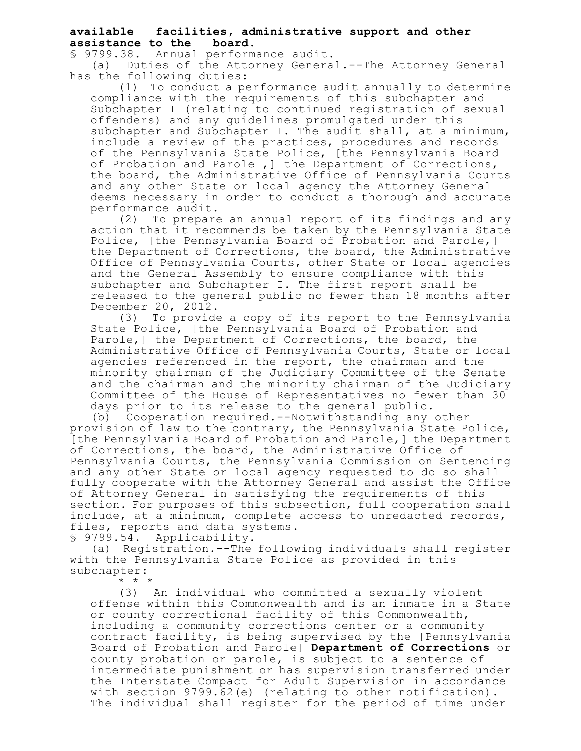# **available facilities, administrative support and other assistance to the board.**

§ 9799.38. Annual performance audit.

(a) Duties of the Attorney General.--The Attorney General has the following duties:

(1) To conduct a performance audit annually to determine compliance with the requirements of this subchapter and Subchapter I (relating to continued registration of sexual offenders) and any guidelines promulgated under this subchapter and Subchapter I. The audit shall, at a minimum, include a review of the practices, procedures and records of the Pennsylvania State Police, [the Pennsylvania Board of Probation and Parole, 1 the Department of Corrections, the board, the Administrative Office of Pennsylvania Courts and any other State or local agency the Attorney General deems necessary in order to conduct a thorough and accurate performance audit.

(2) To prepare an annual report of its findings and any action that it recommends be taken by the Pennsylvania State Police, [the Pennsylvania Board of Probation and Parole,] the Department of Corrections, the board, the Administrative Office of Pennsylvania Courts, other State or local agencies and the General Assembly to ensure compliance with this subchapter and Subchapter I. The first report shall be released to the general public no fewer than 18 months after December 20, 2012.

(3) To provide a copy of its report to the Pennsylvania State Police, [the Pennsylvania Board of Probation and Parole,] the Department of Corrections, the board, the Administrative Office of Pennsylvania Courts, State or local agencies referenced in the report, the chairman and the minority chairman of the Judiciary Committee of the Senate and the chairman and the minority chairman of the Judiciary Committee of the House of Representatives no fewer than 30 days prior to its release to the general public.

(b) Cooperation required.--Notwithstanding any other provision of law to the contrary, the Pennsylvania State Police, [the Pennsylvania Board of Probation and Parole,] the Department of Corrections, the board, the Administrative Office of Pennsylvania Courts, the Pennsylvania Commission on Sentencing and any other State or local agency requested to do so shall fully cooperate with the Attorney General and assist the Office of Attorney General in satisfying the requirements of this section. For purposes of this subsection, full cooperation shall include, at a minimum, complete access to unredacted records, files, reports and data systems.

§ 9799.54. Applicability.

(a) Registration.--The following individuals shall register with the Pennsylvania State Police as provided in this subchapter:

\* \* \*

(3) An individual who committed a sexually violent offense within this Commonwealth and is an inmate in a State or county correctional facility of this Commonwealth, including a community corrections center or a community contract facility, is being supervised by the [Pennsylvania Board of Probation and Parole] **Department of Corrections** or county probation or parole, is subject to a sentence of intermediate punishment or has supervision transferred under the Interstate Compact for Adult Supervision in accordance with section 9799.62(e) (relating to other notification). The individual shall register for the period of time under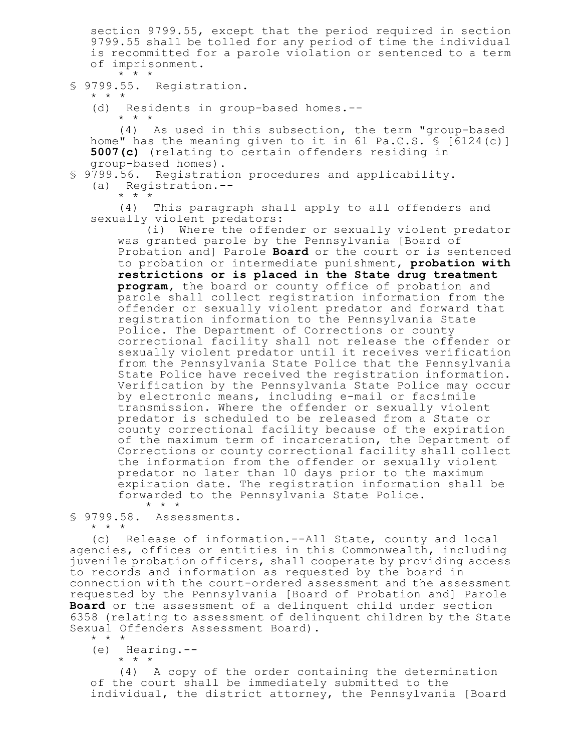section 9799.55, except that the period required in section 9799.55 shall be tolled for any period of time the individual is recommitted for a parole violation or sentenced to a term of imprisonment.  $\star$   $\star$   $\star$ 

# § 9799.55. Registration.

\* \* \*

(d) Residents in group-based homes.--

\* \* \*

(4) As used in this subsection, the term "group-based home" has the meaning given to it in 61 Pa.C.S. § [6124(c)] **5007(c)** (relating to certain offenders residing in group-based homes).

§ 9799.56. Registration procedures and applicability.

(a) Registration.--

\* \* \*

(4) This paragraph shall apply to all offenders and sexually violent predators:

(i) Where the offender or sexually violent predator was granted parole by the Pennsylvania [Board of Probation and] Parole **Board** or the court or is sentenced to probation or intermediate punishment, **probation with restrictions or is placed in the State drug treatment program,** the board or county office of probation and parole shall collect registration information from the offender or sexually violent predator and forward that registration information to the Pennsylvania State Police. The Department of Corrections or county correctional facility shall not release the offender or sexually violent predator until it receives verification from the Pennsylvania State Police that the Pennsylvania State Police have received the registration information. Verification by the Pennsylvania State Police may occur by electronic means, including e-mail or facsimile transmission. Where the offender or sexually violent predator is scheduled to be released from a State or county correctional facility because of the expiration of the maximum term of incarceration, the Department of Corrections or county correctional facility shall collect the information from the offender or sexually violent predator no later than 10 days prior to the maximum expiration date. The registration information shall be forwarded to the Pennsylvania State Police. \* \* \*

§ 9799.58. Assessments. \* \* \*

(c) Release of information.--All State, county and local agencies, offices or entities in this Commonwealth, including juvenile probation officers, shall cooperate by providing access to records and information as requested by the board in connection with the court-ordered assessment and the assessment requested by the Pennsylvania [Board of Probation and] Parole **Board** or the assessment of a delinquent child under section 6358 (relating to assessment of delinquent children by the State Sexual Offenders Assessment Board). \* \* \*

(e) Hearing.--

\* \* \*

(4) A copy of the order containing the determination of the court shall be immediately submitted to the individual, the district attorney, the Pennsylvania [Board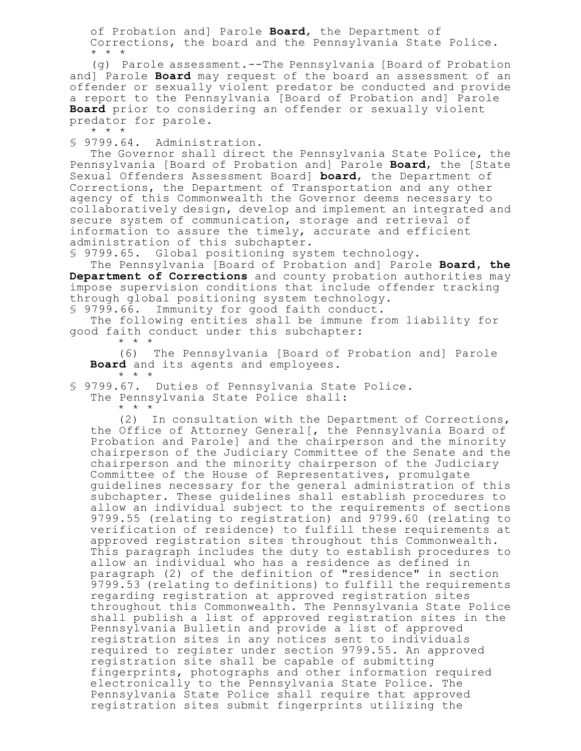of Probation and] Parole **Board**, the Department of Corrections, the board and the Pennsylvania State Police. \* \* \*

(g) Parole assessment.--The Pennsylvania [Board of Probation and] Parole **Board** may request of the board an assessment of an offender or sexually violent predator be conducted and provide a report to the Pennsylvania [Board of Probation and] Parole **Board** prior to considering an offender or sexually violent predator for parole.

\* \* \*

§ 9799.64. Administration.

The Governor shall direct the Pennsylvania State Police, the Pennsylvania [Board of Probation and] Parole **Board**, the [State Sexual Offenders Assessment Board] **board**, the Department of Corrections, the Department of Transportation and any other agency of this Commonwealth the Governor deems necessary to collaboratively design, develop and implement an integrated and secure system of communication, storage and retrieval of information to assure the timely, accurate and efficient administration of this subchapter.

§ 9799.65. Global positioning system technology.

The Pennsylvania [Board of Probation and] Parole **Board, the Department of Corrections** and county probation authorities may impose supervision conditions that include offender tracking through global positioning system technology. § 9799.66. Immunity for good faith conduct.

The following entities shall be immune from liability for good faith conduct under this subchapter:

\* \* \*

(6) The Pennsylvania [Board of Probation and] Parole **Board** and its agents and employees. \* \* \*

§ 9799.67. Duties of Pennsylvania State Police.

The Pennsylvania State Police shall:

\* \* \*

(2) In consultation with the Department of Corrections, the Office of Attorney General[, the Pennsylvania Board of Probation and Parole] and the chairperson and the minority chairperson of the Judiciary Committee of the Senate and the chairperson and the minority chairperson of the Judiciary Committee of the House of Representatives, promulgate guidelines necessary for the general administration of this subchapter. These guidelines shall establish procedures to allow an individual subject to the requirements of sections 9799.55 (relating to registration) and 9799.60 (relating to verification of residence) to fulfill these requirements at approved registration sites throughout this Commonwealth. This paragraph includes the duty to establish procedures to allow an individual who has a residence as defined in paragraph (2) of the definition of "residence" in section 9799.53 (relating to definitions) to fulfill the requirements regarding registration at approved registration sites throughout this Commonwealth. The Pennsylvania State Police shall publish a list of approved registration sites in the Pennsylvania Bulletin and provide a list of approved registration sites in any notices sent to individuals required to register under section 9799.55. An approved registration site shall be capable of submitting fingerprints, photographs and other information required electronically to the Pennsylvania State Police. The Pennsylvania State Police shall require that approved registration sites submit fingerprints utilizing the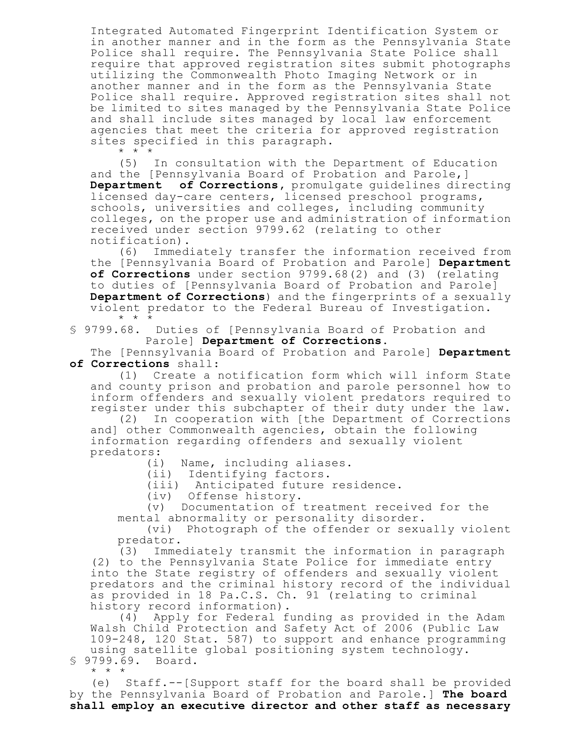Integrated Automated Fingerprint Identification System or in another manner and in the form as the Pennsylvania State Police shall require. The Pennsylvania State Police shall require that approved registration sites submit photographs utilizing the Commonwealth Photo Imaging Network or in another manner and in the form as the Pennsylvania State Police shall require. Approved registration sites shall not be limited to sites managed by the Pennsylvania State Police and shall include sites managed by local law enforcement agencies that meet the criteria for approved registration sites specified in this paragraph.

 $*$   $*$   $*$ 

(5) In consultation with the Department of Education and the [Pennsylvania Board of Probation and Parole,] **Department of Corrections,** promulgate guidelines directing licensed day-care centers, licensed preschool programs, schools, universities and colleges, including community colleges, on the proper use and administration of information received under section 9799.62 (relating to other notification).

(6) Immediately transfer the information received from the [Pennsylvania Board of Probation and Parole] **Department of Corrections** under section 9799.68(2) and (3) (relating to duties of [Pennsylvania Board of Probation and Parole] **Department of Corrections**) and the fingerprints of a sexually violent predator to the Federal Bureau of Investigation. \* \* \*

§ 9799.68. Duties of [Pennsylvania Board of Probation and Parole] **Department of Corrections**.

The [Pennsylvania Board of Probation and Parole] **Department of Corrections** shall:

(1) Create a notification form which will inform State and county prison and probation and parole personnel how to inform offenders and sexually violent predators required to register under this subchapter of their duty under the law.

(2) In cooperation with [the Department of Corrections and] other Commonwealth agencies, obtain the following information regarding offenders and sexually violent predators:

(i) Name, including aliases.

(ii) Identifying factors.

(iii) Anticipated future residence.

(iv) Offense history.

(v) Documentation of treatment received for the mental abnormality or personality disorder.

(vi) Photograph of the offender or sexually violent predator.

(3) Immediately transmit the information in paragraph (2) to the Pennsylvania State Police for immediate entry into the State registry of offenders and sexually violent predators and the criminal history record of the individual as provided in 18 Pa.C.S. Ch. 91 (relating to criminal history record information).

(4) Apply for Federal funding as provided in the Adam Walsh Child Protection and Safety Act of 2006 (Public Law 109-248, 120 Stat. 587) to support and enhance programming using satellite global positioning system technology. § 9799.69. Board.

\* \* \*

(e) Staff.--[Support staff for the board shall be provided by the Pennsylvania Board of Probation and Parole.] **The board shall employ an executive director and other staff as necessary**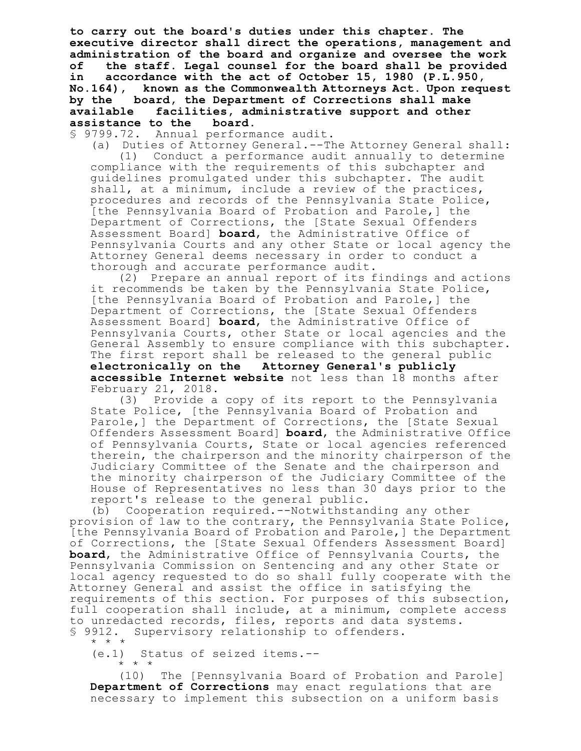**to carry out the board's duties under this chapter. The executive director shall direct the operations, management and administration of the board and organize and oversee the work of the staff. Legal counsel for the board shall be provided in accordance with the act of October 15, 1980 (P.L.950, No.164), known as the Commonwealth Attorneys Act. Upon request by the board, the Department of Corrections shall make available facilities, administrative support and other assistance to the board.**

§ 9799.72. Annual performance audit.

(a) Duties of Attorney General.--The Attorney General shall: (1) Conduct a performance audit annually to determine compliance with the requirements of this subchapter and guidelines promulgated under this subchapter. The audit shall, at a minimum, include a review of the practices, procedures and records of the Pennsylvania State Police, [the Pennsylvania Board of Probation and Parole,] the Department of Corrections, the [State Sexual Offenders Assessment Board] **board**, the Administrative Office of Pennsylvania Courts and any other State or local agency the Attorney General deems necessary in order to conduct a thorough and accurate performance audit.

(2) Prepare an annual report of its findings and actions it recommends be taken by the Pennsylvania State Police, [the Pennsylvania Board of Probation and Parole,] the Department of Corrections, the [State Sexual Offenders Assessment Board] **board**, the Administrative Office of Pennsylvania Courts, other State or local agencies and the General Assembly to ensure compliance with this subchapter. The first report shall be released to the general public **electronically on the Attorney General's publicly accessible Internet website** not less than 18 months after February 21, 2018.

(3) Provide a copy of its report to the Pennsylvania State Police, [the Pennsylvania Board of Probation and Parole,] the Department of Corrections, the [State Sexual Offenders Assessment Board] **board**, the Administrative Office of Pennsylvania Courts, State or local agencies referenced therein, the chairperson and the minority chairperson of the Judiciary Committee of the Senate and the chairperson and the minority chairperson of the Judiciary Committee of the House of Representatives no less than 30 days prior to the report's release to the general public.

(b) Cooperation required.--Notwithstanding any other provision of law to the contrary, the Pennsylvania State Police, [the Pennsylvania Board of Probation and Parole,] the Department of Corrections, the [State Sexual Offenders Assessment Board] **board**, the Administrative Office of Pennsylvania Courts, the Pennsylvania Commission on Sentencing and any other State or local agency requested to do so shall fully cooperate with the Attorney General and assist the office in satisfying the requirements of this section. For purposes of this subsection, full cooperation shall include, at a minimum, complete access to unredacted records, files, reports and data systems. § 9912. Supervisory relationship to offenders. \* \* \*

(e.1) Status of seized items.--

\* \* \*

(10) The [Pennsylvania Board of Probation and Parole] **Department of Corrections** may enact regulations that are necessary to implement this subsection on a uniform basis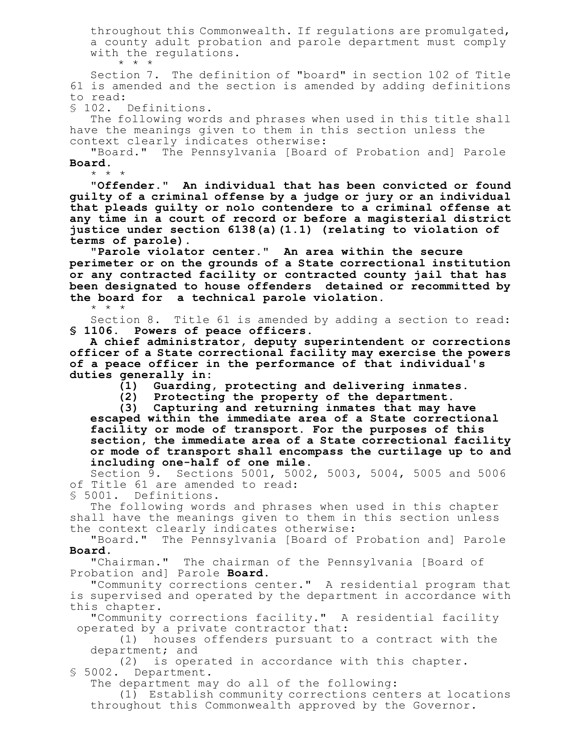throughout this Commonwealth. If regulations are promulgated, a county adult probation and parole department must comply with the regulations. \* \* \*

Section 7. The definition of "board" in section 102 of Title 61 is amended and the section is amended by adding definitions to read:

§ 102. Definitions.

\* \* \*

The following words and phrases when used in this title shall have the meanings given to them in this section unless the context clearly indicates otherwise:

"Board." The Pennsylvania [Board of Probation and] Parole **Board**. \* \* \*

**"Offender." An individual that has been convicted or found guilty of a criminal offense by a judge or jury or an individual that pleads guilty or nolo contendere to a criminal offense at any time in a court of record or before a magisterial district justice under section 6138(a)(1.1) (relating to violation of terms of parole).**

**"Parole violator center." An area within the secure perimeter or on the grounds of a State correctional institution or any contracted facility or contracted county jail that has been designated to house offenders detained or recommitted by the board for a technical parole violation.**

Section 8. Title 61 is amended by adding a section to read: **§ 1106. Powers of peace officers.**

**A chief administrator, deputy superintendent or corrections officer of a State correctional facility may exercise the powers of a peace officer in the performance of that individual's duties generally in:**

**(1) Guarding, protecting and delivering inmates.**

**(2) Protecting the property of the department.**

**(3) Capturing and returning inmates that may have escaped within the immediate area of a State correctional facility or mode of transport. For the purposes of this section, the immediate area of a State correctional facility or mode of transport shall encompass the curtilage up to and including one-half of one mile.**

Section 9. Sections 5001, 5002, 5003, 5004, 5005 and 5006 of Title 61 are amended to read:

§ 5001. Definitions.

The following words and phrases when used in this chapter shall have the meanings given to them in this section unless the context clearly indicates otherwise:

"Board." The Pennsylvania [Board of Probation and] Parole **Board**.

"Chairman." The chairman of the Pennsylvania [Board of Probation and] Parole **Board**.

"Community corrections center." A residential program that is supervised and operated by the department in accordance with this chapter.

"Community corrections facility." A residential facility operated by a private contractor that:

(1) houses offenders pursuant to a contract with the department; and

(2) is operated in accordance with this chapter. § 5002. Department.

The department may do all of the following:

(1) Establish community corrections centers at locations throughout this Commonwealth approved by the Governor.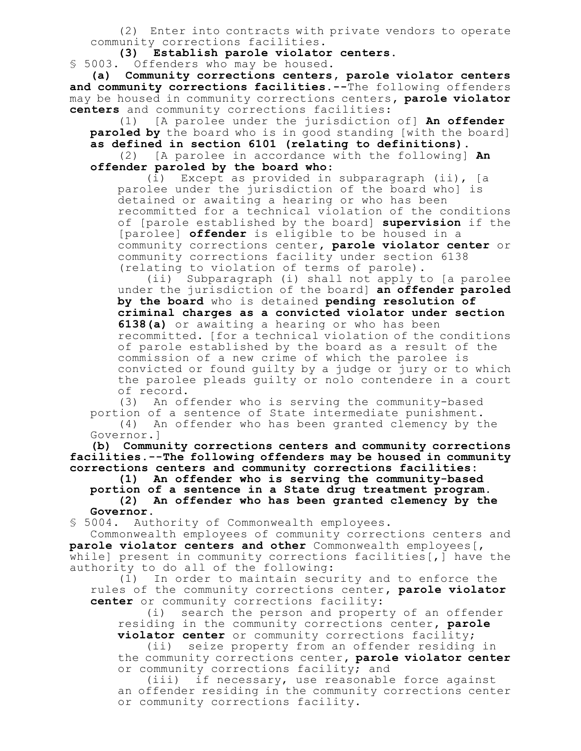(2) Enter into contracts with private vendors to operate community corrections facilities.

**(3) Establish parole violator centers.**

§ 5003. Offenders who may be housed.

**(a) Community corrections centers, parole violator centers and community corrections facilities.--**The following offenders may be housed in community corrections centers**, parole violator centers** and community corrections facilities:

(1) [A parolee under the jurisdiction of] **An offender paroled by** the board who is in good standing [with the board] **as defined in section 6101 (relating to definitions)**.

(2) [A parolee in accordance with the following] **An offender paroled by the board who**:

(i) Except as provided in subparagraph (ii), [a parolee under the jurisdiction of the board who] is detained or awaiting a hearing or who has been recommitted for a technical violation of the conditions of [parole established by the board] **supervision** if the [parolee] **offender** is eligible to be housed in a community corrections center**, parole violator center** or community corrections facility under section 6138 (relating to violation of terms of parole).

(ii) Subparagraph (i) shall not apply to [a parolee under the jurisdiction of the board] **an offender paroled by the board** who is detained **pending resolution of criminal charges as a convicted violator under section 6138(a)** or awaiting a hearing or who has been recommitted**.** [for a technical violation of the conditions of parole established by the board as a result of the commission of a new crime of which the parolee is convicted or found guilty by a judge or jury or to which the parolee pleads guilty or nolo contendere in a court of record.

(3) An offender who is serving the community-based portion of a sentence of State intermediate punishment.

(4) An offender who has been granted clemency by the Governor.]

**(b) Community corrections centers and community corrections facilities.--The following offenders may be housed in community corrections centers and community corrections facilities:**

**(1) An offender who is serving the community-based portion of a sentence in a State drug treatment program. (2) An offender who has been granted clemency by the Governor.**

§ 5004. Authority of Commonwealth employees.

Commonwealth employees of community corrections centers and **parole violator centers and other** Commonwealth employees[, while] present in community corrections facilities[, ] have the authority to do all of the following:

(1) In order to maintain security and to enforce the rules of the community corrections center**, parole violator center** or community corrections facility:

(i) search the person and property of an offender residing in the community corrections center**, parole violator center** or community corrections facility;

(ii) seize property from an offender residing in the community corrections center**, parole violator center** or community corrections facility; and

(iii) if necessary, use reasonable force against an offender residing in the community corrections center or community corrections facility.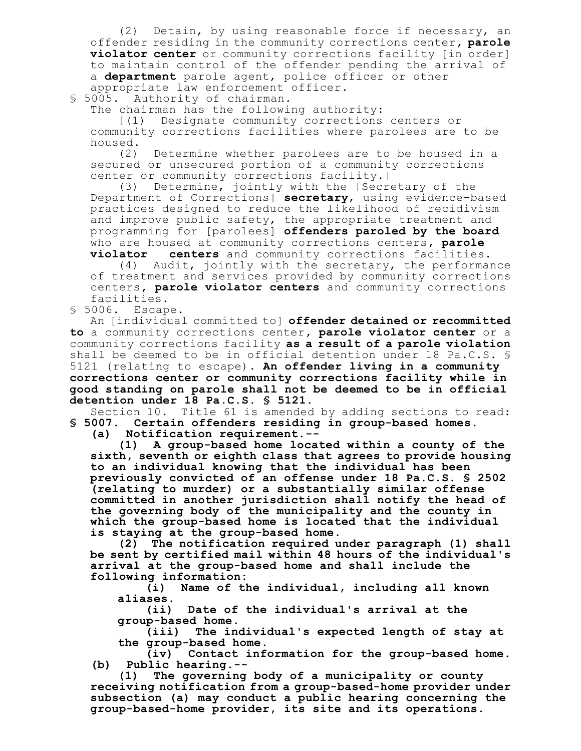(2) Detain, by using reasonable force if necessary, an offender residing in the community corrections center**, parole violator center** or community corrections facility [in order] to maintain control of the offender pending the arrival of a **department** parole agent, police officer or other appropriate law enforcement officer.

§ 5005. Authority of chairman.

The chairman has the following authority:

[(1) Designate community corrections centers or community corrections facilities where parolees are to be housed.

(2) Determine whether parolees are to be housed in a secured or unsecured portion of a community corrections center or community corrections facility.]

(3) Determine, jointly with the [Secretary of the Department of Corrections] **secretary**, using evidence-based practices designed to reduce the likelihood of recidivism and improve public safety, the appropriate treatment and programming for [parolees] **offenders paroled by the board** who are housed at community corrections centers**, parole**

**violator centers** and community corrections facilities.

(4) Audit, jointly with the secretary, the performance of treatment and services provided by community corrections centers**, parole violator centers** and community corrections facilities.

§ 5006. Escape.

An [individual committed to] **offender detained or recommitted to** a community corrections center**, parole violator center** or a community corrections facility **as a result of a parole violation** shall be deemed to be in official detention under 18 Pa.C.S. § 5121 (relating to escape). **An offender living in a community corrections center or community corrections facility while in good standing on parole shall not be deemed to be in official detention under 18 Pa.C.S. § 5121.**

Section 10. Title 61 is amended by adding sections to read: **§ 5007. Certain offenders residing in group-based homes.**

**(a) Notification requirement.--**

**(1) A group-based home located within a county of the sixth, seventh or eighth class that agrees to provide housing to an individual knowing that the individual has been previously convicted of an offense under 18 Pa.C.S. § 2502 (relating to murder) or a substantially similar offense committed in another jurisdiction shall notify the head of the governing body of the municipality and the county in which the group-based home is located that the individual is staying at the group-based home.**

**(2) The notification required under paragraph (1) shall be sent by certified mail within 48 hours of the individual's arrival at the group-based home and shall include the following information:**

**(i) Name of the individual, including all known aliases.**

**(ii) Date of the individual's arrival at the group-based home.**

**(iii) The individual's expected length of stay at the group-based home.**

**(iv) Contact information for the group-based home. (b) Public hearing.--**

**(1) The governing body of a municipality or county receiving notification from a group-based-home provider under subsection (a) may conduct a public hearing concerning the group-based-home provider, its site and its operations.**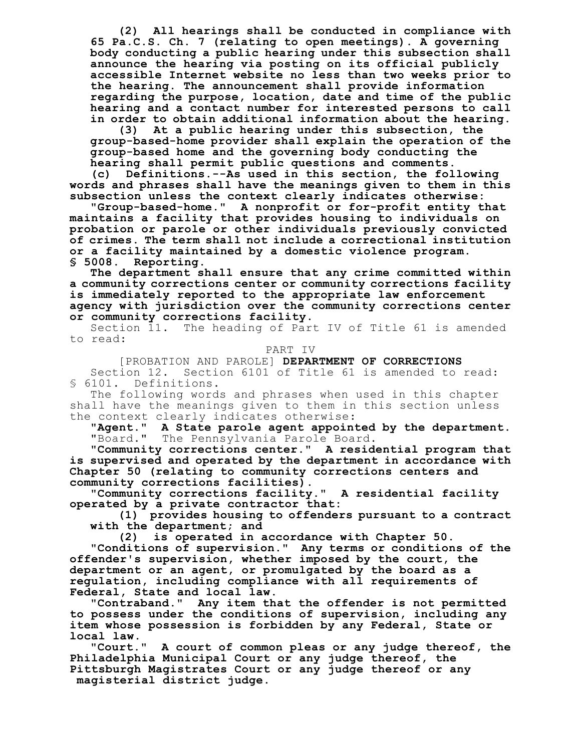**(2) All hearings shall be conducted in compliance with 65 Pa.C.S. Ch. 7 (relating to open meetings). A governing body conducting a public hearing under this subsection shall announce the hearing via posting on its official publicly accessible Internet website no less than two weeks prior to the hearing. The announcement shall provide information regarding the purpose, location, date and time of the public hearing and a contact number for interested persons to call in order to obtain additional information about the hearing.**

**(3) At a public hearing under this subsection, the group-based-home provider shall explain the operation of the group-based home and the governing body conducting the hearing shall permit public questions and comments.**

**(c) Definitions.--As used in this section, the following words and phrases shall have the meanings given to them in this subsection unless the context clearly indicates otherwise:**

**"Group-based-home." A nonprofit or for-profit entity that maintains a facility that provides housing to individuals on probation or parole or other individuals previously convicted of crimes. The term shall not include a correctional institution or a facility maintained by a domestic violence program. § 5008. Reporting.**

**The department shall ensure that any crime committed within a community corrections center or community corrections facility is immediately reported to the appropriate law enforcement agency with jurisdiction over the community corrections center or community corrections facility.**

Section 11. The heading of Part IV of Title 61 is amended to read:

#### PART IV

[PROBATION AND PAROLE] **DEPARTMENT OF CORRECTIONS** Section 12. Section 6101 of Title 61 is amended to read: § 6101. Definitions.

The following words and phrases when used in this chapter shall have the meanings given to them in this section unless the context clearly indicates otherwise:

**"Agent." A State parole agent appointed by the department.** The Pennsylvania Parole Board.

**"Community corrections center." A residential program that is supervised and operated by the department in accordance with Chapter 50 (relating to community corrections centers and community corrections facilities).**

**"Community corrections facility." A residential facility operated by a private contractor that:**

**(1) provides housing to offenders pursuant to a contract with the department; and**

**(2) is operated in accordance with Chapter 50.**

**"Conditions of supervision." Any terms or conditions of the offender's supervision, whether imposed by the court, the department or an agent, or promulgated by the board as a regulation, including compliance with all requirements of Federal, State and local law.**

**"Contraband." Any item that the offender is not permitted to possess under the conditions of supervision, including any item whose possession is forbidden by any Federal, State or local law.**

**"Court." A court of common pleas or any judge thereof, the Philadelphia Municipal Court or any judge thereof, the Pittsburgh Magistrates Court or any judge thereof or any magisterial district judge.**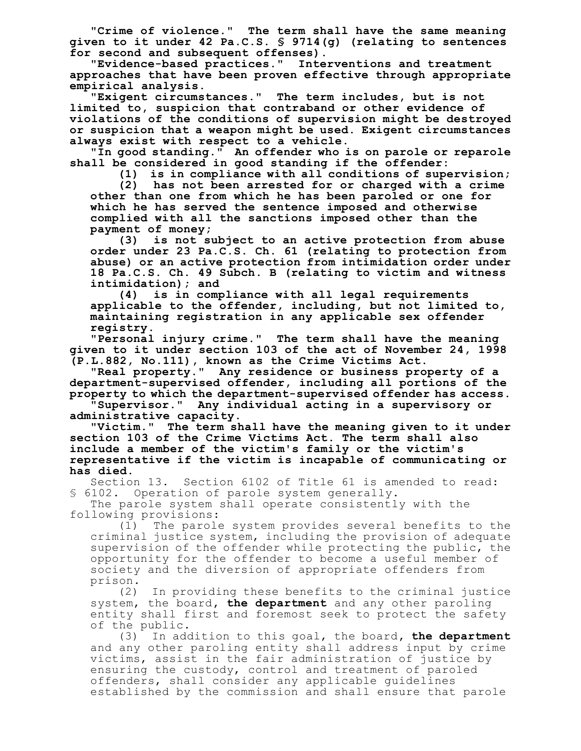**"Crime of violence." The term shall have the same meaning given to it under 42 Pa.C.S. § 9714(g) (relating to sentences for second and subsequent offenses).**

**"Evidence-based practices." Interventions and treatment approaches that have been proven effective through appropriate empirical analysis.**

**"Exigent circumstances." The term includes, but is not limited to, suspicion that contraband or other evidence of violations of the conditions of supervision might be destroyed or suspicion that a weapon might be used. Exigent circumstances always exist with respect to a vehicle.**

**"In good standing." An offender who is on parole or reparole shall be considered in good standing if the offender:**

**(1) is in compliance with all conditions of supervision;**

**(2) has not been arrested for or charged with a crime other than one from which he has been paroled or one for which he has served the sentence imposed and otherwise complied with all the sanctions imposed other than the payment of money;**

**(3) is not subject to an active protection from abuse order under 23 Pa.C.S. Ch. 61 (relating to protection from abuse) or an active protection from intimidation order under 18 Pa.C.S. Ch. 49 Subch. B (relating to victim and witness intimidation); and**

**(4) is in compliance with all legal requirements applicable to the offender, including, but not limited to, maintaining registration in any applicable sex offender registry.**

**"Personal injury crime." The term shall have the meaning given to it under section 103 of the act of November 24, 1998 (P.L.882, No.111), known as the Crime Victims Act.**

**"Real property." Any residence or business property of a department-supervised offender, including all portions of the property to which the department-supervised offender has access.**

**"Supervisor." Any individual acting in a supervisory or administrative capacity.**

**"Victim." The term shall have the meaning given to it under section 103 of the Crime Victims Act. The term shall also include a member of the victim's family or the victim's representative if the victim is incapable of communicating or has died.**

Section 13. Section 6102 of Title 61 is amended to read: § 6102. Operation of parole system generally.

The parole system shall operate consistently with the following provisions:

(1) The parole system provides several benefits to the criminal justice system, including the provision of adequate supervision of the offender while protecting the public, the opportunity for the offender to become a useful member of society and the diversion of appropriate offenders from prison.

(2) In providing these benefits to the criminal justice system, the board**, the department** and any other paroling entity shall first and foremost seek to protect the safety of the public.

(3) In addition to this goal, the board**, the department** and any other paroling entity shall address input by crime victims, assist in the fair administration of justice by ensuring the custody, control and treatment of paroled offenders, shall consider any applicable guidelines established by the commission and shall ensure that parole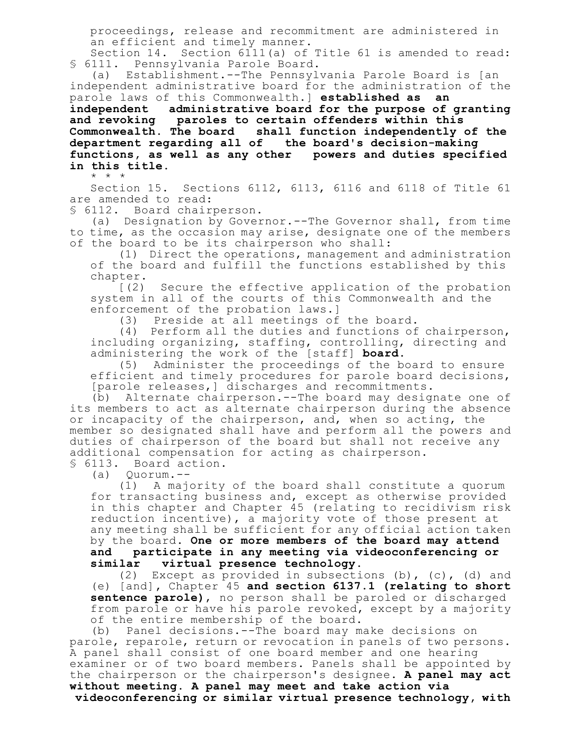proceedings, release and recommitment are administered in an efficient and timely manner.

Section 14. Section 6111(a) of Title 61 is amended to read: § 6111. Pennsylvania Parole Board.

(a) Establishment.--The Pennsylvania Parole Board is [an independent administrative board for the administration of the parole laws of this Commonwealth.] **established as an independent administrative board for the purpose of granting and revoking paroles to certain offenders within this Commonwealth. The board shall function independently of the department regarding all of the board's decision-making functions, as well as any other powers and duties specified in this title.**

\* \* \*

Section 15. Sections 6112, 6113, 6116 and 6118 of Title 61 are amended to read:

§ 6112. Board chairperson.

(a) Designation by Governor.--The Governor shall, from time to time, as the occasion may arise, designate one of the members of the board to be its chairperson who shall:

(1) Direct the operations, management and administration of the board and fulfill the functions established by this chapter.

[(2) Secure the effective application of the probation system in all of the courts of this Commonwealth and the enforcement of the probation laws.]

(3) Preside at all meetings of the board.

(4) Perform all the duties and functions of chairperson, including organizing, staffing, controlling, directing and administering the work of the [staff] **board**.

(5) Administer the proceedings of the board to ensure efficient and timely procedures for parole board decisions, [parole releases,] discharges and recommitments.

(b) Alternate chairperson.--The board may designate one of its members to act as alternate chairperson during the absence or incapacity of the chairperson, and, when so acting, the member so designated shall have and perform all the powers and duties of chairperson of the board but shall not receive any additional compensation for acting as chairperson.

§ 6113. Board action.

(a) Quorum.--

(1) A majority of the board shall constitute a quorum for transacting business and, except as otherwise provided in this chapter and Chapter 45 (relating to recidivism risk reduction incentive), a majority vote of those present at any meeting shall be sufficient for any official action taken by the board. **One or more members of the board may attend and participate in any meeting via videoconferencing or similar virtual presence technology.**

(2) Except as provided in subsections (b), (c), (d) and (e) [and]**,** Chapter 45 **and section 6137.1 (relating to short sentence parole)**, no person shall be paroled or discharged from parole or have his parole revoked, except by a majority of the entire membership of the board.

(b) Panel decisions.--The board may make decisions on parole, reparole, return or revocation in panels of two persons. A panel shall consist of one board member and one hearing examiner or of two board members. Panels shall be appointed by the chairperson or the chairperson's designee. **A panel may act without meeting. A panel may meet and take action via videoconferencing or similar virtual presence technology, with**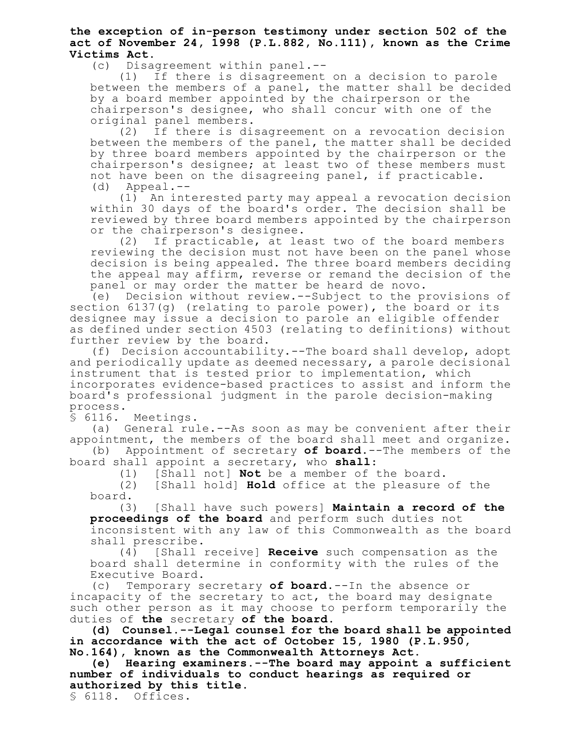**the exception of in-person testimony under section 502 of the act of November 24, 1998 (P.L.882, No.111), known as the Crime Victims Act.**

(c) Disagreement within panel.--

(1) If there is disagreement on a decision to parole between the members of a panel, the matter shall be decided by a board member appointed by the chairperson or the chairperson's designee, who shall concur with one of the original panel members.

(2) If there is disagreement on a revocation decision between the members of the panel, the matter shall be decided by three board members appointed by the chairperson or the chairperson's designee; at least two of these members must not have been on the disagreeing panel, if practicable.<br>(d) Appeal.--Appeal.--

(1) An interested party may appeal a revocation decision within 30 days of the board's order. The decision shall be reviewed by three board members appointed by the chairperson or the chairperson's designee.

(2) If practicable, at least two of the board members reviewing the decision must not have been on the panel whose decision is being appealed. The three board members deciding the appeal may affirm, reverse or remand the decision of the panel or may order the matter be heard de novo.

(e) Decision without review.--Subject to the provisions of section 6137(g) (relating to parole power), the board or its designee may issue a decision to parole an eligible offender as defined under section 4503 (relating to definitions) without further review by the board.

(f) Decision accountability.--The board shall develop, adopt and periodically update as deemed necessary, a parole decisional instrument that is tested prior to implementation, which incorporates evidence-based practices to assist and inform the board's professional judgment in the parole decision-making process.

§ 6116. Meetings.

(a) General rule.--As soon as may be convenient after their appointment, the members of the board shall meet and organize.

(b) Appointment of secretary **of board**.--The members of the board shall appoint a secretary, who **shall**:

(1) [Shall not] **Not** be a member of the board.

(2) [Shall hold] **Hold** office at the pleasure of the board.

(3) [Shall have such powers] **Maintain a record of the proceedings of the board** and perform such duties not inconsistent with any law of this Commonwealth as the board

shall prescribe.<br>(4) [Shall : (4) [Shall receive] **Receive** such compensation as the board shall determine in conformity with the rules of the Executive Board.

(c) Temporary secretary **of board**.--In the absence or incapacity of the secretary to act, the board may designate such other person as it may choose to perform temporarily the duties of **the** secretary **of the board**.

**(d) Counsel.--Legal counsel for the board shall be appointed in accordance with the act of October 15, 1980 (P.L.950, No.164), known as the Commonwealth Attorneys Act.**

**(e) Hearing examiners.--The board may appoint a sufficient number of individuals to conduct hearings as required or authorized by this title.**

§ 6118. Offices.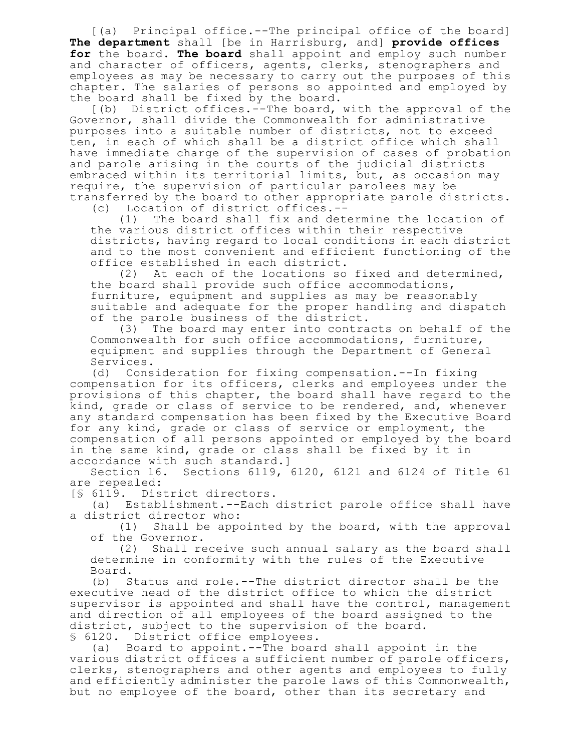[(a) Principal office.--The principal office of the board] **The department** shall [be in Harrisburg, and] **provide offices for** the board**. The board** shall appoint and employ such number and character of officers, agents, clerks, stenographers and employees as may be necessary to carry out the purposes of this chapter. The salaries of persons so appointed and employed by the board shall be fixed by the board.

[(b) District offices.--The board, with the approval of the Governor, shall divide the Commonwealth for administrative purposes into a suitable number of districts, not to exceed ten, in each of which shall be a district office which shall have immediate charge of the supervision of cases of probation and parole arising in the courts of the judicial districts embraced within its territorial limits, but, as occasion may require, the supervision of particular parolees may be transferred by the board to other appropriate parole districts. (c) Location of district offices.--

(1) The board shall fix and determine the location of the various district offices within their respective districts, having regard to local conditions in each district and to the most convenient and efficient functioning of the office established in each district.

(2) At each of the locations so fixed and determined, the board shall provide such office accommodations, furniture, equipment and supplies as may be reasonably suitable and adequate for the proper handling and dispatch of the parole business of the district.

(3) The board may enter into contracts on behalf of the Commonwealth for such office accommodations, furniture, equipment and supplies through the Department of General Services.

(d) Consideration for fixing compensation.--In fixing compensation for its officers, clerks and employees under the provisions of this chapter, the board shall have regard to the kind, grade or class of service to be rendered, and, whenever any standard compensation has been fixed by the Executive Board for any kind, grade or class of service or employment, the compensation of all persons appointed or employed by the board in the same kind, grade or class shall be fixed by it in accordance with such standard.]

Section 16. Sections 6119, 6120, 6121 and 6124 of Title 61 are repealed:

[§ 6119. District directors.

(a) Establishment.--Each district parole office shall have a district director who:

(1) Shall be appointed by the board, with the approval of the Governor.

(2) Shall receive such annual salary as the board shall determine in conformity with the rules of the Executive Board.

(b) Status and role.--The district director shall be the executive head of the district office to which the district supervisor is appointed and shall have the control, management and direction of all employees of the board assigned to the district, subject to the supervision of the board. § 6120. District office employees.

(a) Board to appoint.--The board shall appoint in the various district offices a sufficient number of parole officers, clerks, stenographers and other agents and employees to fully and efficiently administer the parole laws of this Commonwealth, but no employee of the board, other than its secretary and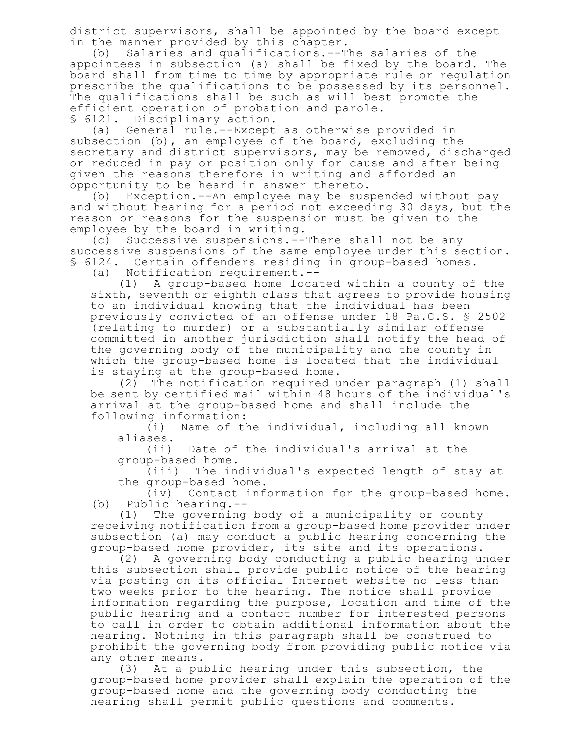district supervisors, shall be appointed by the board except in the manner provided by this chapter.

(b) Salaries and qualifications.--The salaries of the appointees in subsection (a) shall be fixed by the board. The board shall from time to time by appropriate rule or regulation prescribe the qualifications to be possessed by its personnel. The qualifications shall be such as will best promote the efficient operation of probation and parole.

§ 6121. Disciplinary action.

(a) General rule.--Except as otherwise provided in subsection (b), an employee of the board, excluding the secretary and district supervisors, may be removed, discharged or reduced in pay or position only for cause and after being given the reasons therefore in writing and afforded an opportunity to be heard in answer thereto.

(b) Exception.--An employee may be suspended without pay and without hearing for a period not exceeding 30 days, but the reason or reasons for the suspension must be given to the employee by the board in writing.

(c) Successive suspensions.--There shall not be any successive suspensions of the same employee under this section. § 6124. Certain offenders residing in group-based homes.

(a) Notification requirement.--

(1) A group-based home located within a county of the sixth, seventh or eighth class that agrees to provide housing to an individual knowing that the individual has been previously convicted of an offense under 18 Pa.C.S. § 2502 (relating to murder) or a substantially similar offense committed in another jurisdiction shall notify the head of the governing body of the municipality and the county in which the group-based home is located that the individual is staying at the group-based home.

(2) The notification required under paragraph (1) shall be sent by certified mail within 48 hours of the individual's arrival at the group-based home and shall include the following information:

(i) Name of the individual, including all known aliases.

(ii) Date of the individual's arrival at the group-based home.

(iii) The individual's expected length of stay at the group-based home.

(iv) Contact information for the group-based home. (b) Public hearing.--

(1) The governing body of a municipality or county receiving notification from a group-based home provider under subsection (a) may conduct a public hearing concerning the group-based home provider, its site and its operations.

(2) A governing body conducting a public hearing under this subsection shall provide public notice of the hearing via posting on its official Internet website no less than two weeks prior to the hearing. The notice shall provide information regarding the purpose, location and time of the public hearing and a contact number for interested persons to call in order to obtain additional information about the hearing. Nothing in this paragraph shall be construed to prohibit the governing body from providing public notice via any other means.

(3) At a public hearing under this subsection, the group-based home provider shall explain the operation of the group-based home and the governing body conducting the hearing shall permit public questions and comments.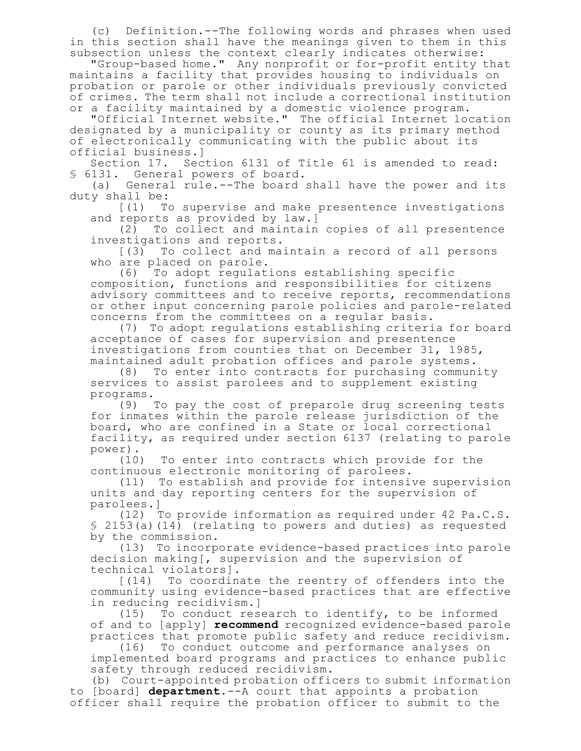(c) Definition.--The following words and phrases when used in this section shall have the meanings given to them in this subsection unless the context clearly indicates otherwise:

"Group-based home." Any nonprofit or for-profit entity that maintains a facility that provides housing to individuals on probation or parole or other individuals previously convicted of crimes. The term shall not include a correctional institution or a facility maintained by a domestic violence program.

"Official Internet website." The official Internet location designated by a municipality or county as its primary method of electronically communicating with the public about its official business.]

Section 17. Section 6131 of Title 61 is amended to read: § 6131. General powers of board.

(a) General rule.--The board shall have the power and its duty shall be:

[(1) To supervise and make presentence investigations and reports as provided by law.]

(2) To collect and maintain copies of all presentence investigations and reports.

[(3) To collect and maintain a record of all persons who are placed on parole.

(6) To adopt regulations establishing specific composition, functions and responsibilities for citizens advisory committees and to receive reports, recommendations or other input concerning parole policies and parole-related concerns from the committees on a regular basis.

(7) To adopt regulations establishing criteria for board acceptance of cases for supervision and presentence investigations from counties that on December 31, 1985, maintained adult probation offices and parole systems.

(8) To enter into contracts for purchasing community services to assist parolees and to supplement existing programs.

(9) To pay the cost of preparole drug screening tests for inmates within the parole release jurisdiction of the board, who are confined in a State or local correctional facility, as required under section 6137 (relating to parole power).

(10) To enter into contracts which provide for the continuous electronic monitoring of parolees.

(11) To establish and provide for intensive supervision units and day reporting centers for the supervision of parolees.]

(12) To provide information as required under 42 Pa.C.S. § 2153(a)(14) (relating to powers and duties) as requested by the commission.

(13) To incorporate evidence-based practices into parole decision making[, supervision and the supervision of technical violators].

[(14) To coordinate the reentry of offenders into the community using evidence-based practices that are effective in reducing recidivism.]

(15) To conduct research to identify, to be informed of and to [apply] **recommend** recognized evidence-based parole practices that promote public safety and reduce recidivism.

(16) To conduct outcome and performance analyses on implemented board programs and practices to enhance public safety through reduced recidivism.

(b) Court-appointed probation officers to submit information to [board] **department**.--A court that appoints a probation officer shall require the probation officer to submit to the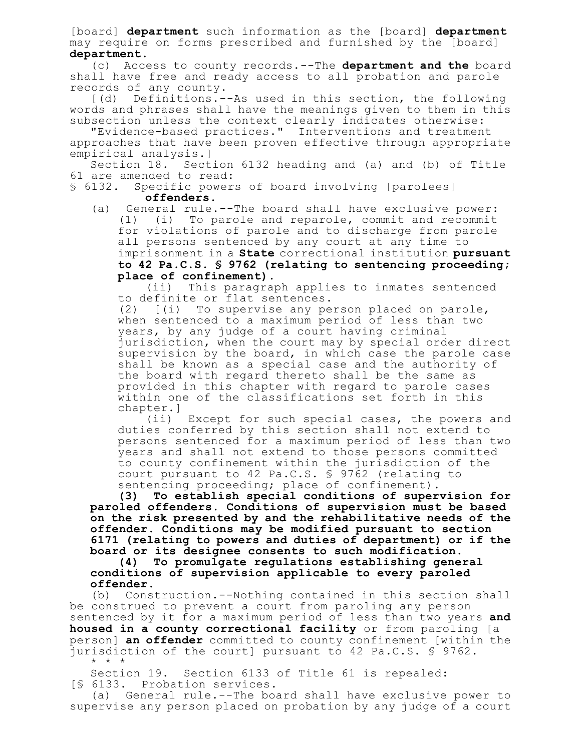[board] **department** such information as the [board] **department** may require on forms prescribed and furnished by the [board] **department**.

(c) Access to county records.--The **department and the** board shall have free and ready access to all probation and parole records of any county.

[(d) Definitions.--As used in this section, the following words and phrases shall have the meanings given to them in this subsection unless the context clearly indicates otherwise:

"Evidence-based practices." Interventions and treatment approaches that have been proven effective through appropriate empirical analysis.]

Section 18. Section 6132 heading and (a) and (b) of Title 61 are amended to read:

§ 6132. Specific powers of board involving [parolees] **offenders**.

(a) General rule.--The board shall have exclusive power: (1) (i) To parole and reparole, commit and recommit for violations of parole and to discharge from parole all persons sentenced by any court at any time to imprisonment in a **State** correctional institution **pursuant to 42 Pa.C.S. § 9762 (relating to sentencing proceeding; place of confinement)**.

(ii) This paragraph applies to inmates sentenced to definite or flat sentences.

(2) [(i) To supervise any person placed on parole, when sentenced to a maximum period of less than two years, by any judge of a court having criminal jurisdiction, when the court may by special order direct supervision by the board, in which case the parole case shall be known as a special case and the authority of the board with regard thereto shall be the same as provided in this chapter with regard to parole cases within one of the classifications set forth in this chapter.]

(ii) Except for such special cases, the powers and duties conferred by this section shall not extend to persons sentenced for a maximum period of less than two years and shall not extend to those persons committed to county confinement within the jurisdiction of the court pursuant to 42 Pa.C.S. § 9762 (relating to sentencing proceeding; place of confinement).

**(3) To establish special conditions of supervision for paroled offenders. Conditions of supervision must be based on the risk presented by and the rehabilitative needs of the offender. Conditions may be modified pursuant to section 6171 (relating to powers and duties of department) or if the board or its designee consents to such modification.**

**(4) To promulgate regulations establishing general conditions of supervision applicable to every paroled offender.**

(b) Construction.--Nothing contained in this section shall be construed to prevent a court from paroling any person sentenced by it for a maximum period of less than two years **and housed in a county correctional facility** or from paroling [a person] **an offender** committed to county confinement [within the jurisdiction of the court] pursuant to 42 Pa.C.S. § 9762. \* \* \*

Section 19. Section 6133 of Title 61 is repealed: [§ 6133. Probation services.

(a) General rule.--The board shall have exclusive power to supervise any person placed on probation by any judge of a court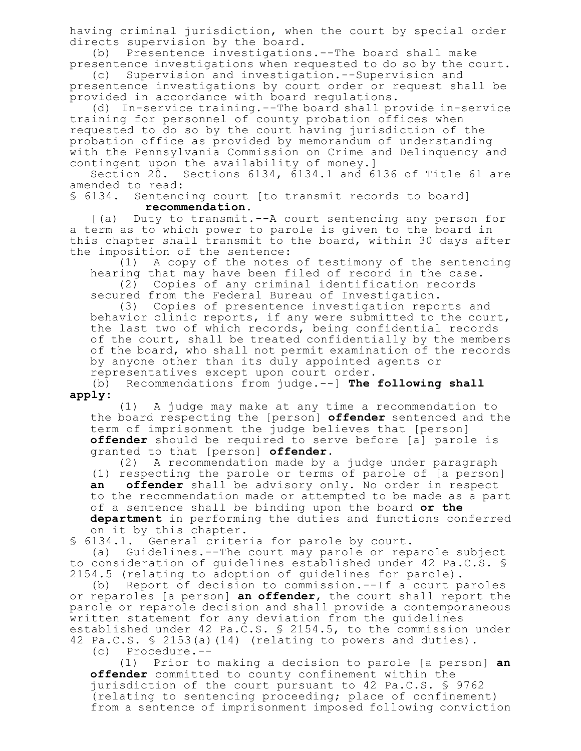having criminal jurisdiction, when the court by special order directs supervision by the board.

(b) Presentence investigations.--The board shall make presentence investigations when requested to do so by the court.

(c) Supervision and investigation.--Supervision and presentence investigations by court order or request shall be provided in accordance with board regulations.

(d) In-service training.--The board shall provide in-service training for personnel of county probation offices when requested to do so by the court having jurisdiction of the probation office as provided by memorandum of understanding with the Pennsylvania Commission on Crime and Delinquency and contingent upon the availability of money.]

Section 20. Sections 6134, 6134.1 and 6136 of Title 61 are amended to read:

§ 6134. Sentencing court [to transmit records to board] **recommendation**.

[(a) Duty to transmit.--A court sentencing any person for a term as to which power to parole is given to the board in this chapter shall transmit to the board, within 30 days after the imposition of the sentence:

(1) A copy of the notes of testimony of the sentencing hearing that may have been filed of record in the case.

(2) Copies of any criminal identification records secured from the Federal Bureau of Investigation.

(3) Copies of presentence investigation reports and behavior clinic reports, if any were submitted to the court, the last two of which records, being confidential records of the court, shall be treated confidentially by the members of the board, who shall not permit examination of the records by anyone other than its duly appointed agents or representatives except upon court order.

(b) Recommendations from judge.--] **The following shall apply:**

(1) A judge may make at any time a recommendation to the board respecting the [person] **offender** sentenced and the term of imprisonment the judge believes that [person] **offender** should be required to serve before [a] parole is granted to that [person] **offender**.

(2) A recommendation made by a judge under paragraph (1) respecting the parole or terms of parole of [a person] **an offender** shall be advisory only. No order in respect to the recommendation made or attempted to be made as a part of a sentence shall be binding upon the board **or the department** in performing the duties and functions conferred on it by this chapter.

§ 6134.1. General criteria for parole by court.

(a) Guidelines.--The court may parole or reparole subject to consideration of guidelines established under 42 Pa.C.S. § 2154.5 (relating to adoption of guidelines for parole).

(b) Report of decision to commission.--If a court paroles or reparoles [a person] **an offender**, the court shall report the parole or reparole decision and shall provide a contemporaneous written statement for any deviation from the guidelines established under 42 Pa.C.S. § 2154.5, to the commission under 42 Pa.C.S. § 2153(a)(14) (relating to powers and duties).

(c) Procedure.--

(1) Prior to making a decision to parole [a person] **an offender** committed to county confinement within the jurisdiction of the court pursuant to 42 Pa.C.S. § 9762 (relating to sentencing proceeding; place of confinement) from a sentence of imprisonment imposed following conviction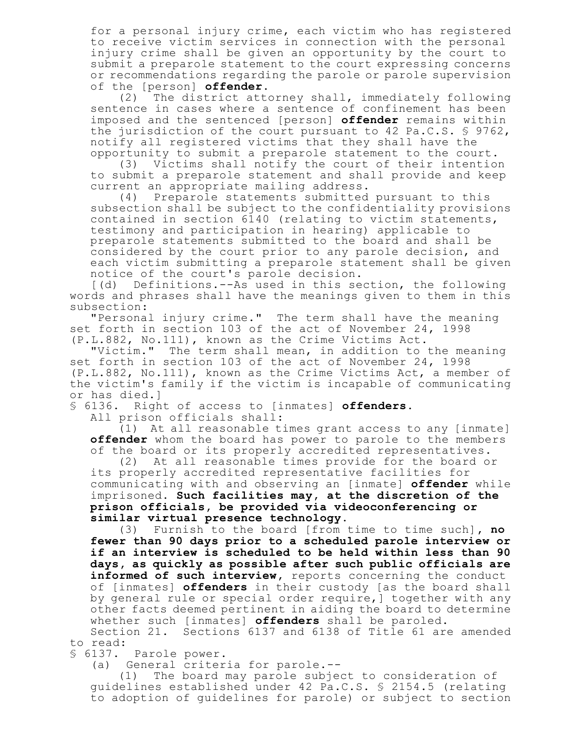for a personal injury crime, each victim who has registered to receive victim services in connection with the personal injury crime shall be given an opportunity by the court to submit a preparole statement to the court expressing concerns or recommendations regarding the parole or parole supervision of the [person] **offender**.

(2) The district attorney shall, immediately following sentence in cases where a sentence of confinement has been imposed and the sentenced [person] **offender** remains within the jurisdiction of the court pursuant to 42 Pa.C.S. § 9762, notify all registered victims that they shall have the opportunity to submit a preparole statement to the court.

(3) Victims shall notify the court of their intention to submit a preparole statement and shall provide and keep current an appropriate mailing address.

(4) Preparole statements submitted pursuant to this subsection shall be subject to the confidentiality provisions contained in section 6140 (relating to victim statements, testimony and participation in hearing) applicable to preparole statements submitted to the board and shall be considered by the court prior to any parole decision, and each victim submitting a preparole statement shall be given notice of the court's parole decision.

[(d) Definitions.--As used in this section, the following words and phrases shall have the meanings given to them in this subsection:

"Personal injury crime." The term shall have the meaning set forth in section 103 of the act of November 24, 1998 (P.L.882, No.111), known as the Crime Victims Act.

"Victim." The term shall mean, in addition to the meaning set forth in section 103 of the act of November 24, 1998 (P.L.882, No.111), known as the Crime Victims Act, a member of the victim's family if the victim is incapable of communicating or has died.]

§ 6136. Right of access to [inmates] **offenders**.

All prison officials shall:

(1) At all reasonable times grant access to any [inmate] **offender** whom the board has power to parole to the members of the board or its properly accredited representatives.

(2) At all reasonable times provide for the board or its properly accredited representative facilities for communicating with and observing an [inmate] **offender** while imprisoned. **Such facilities may, at the discretion of the prison officials, be provided via videoconferencing or similar virtual presence technology.**

(3) Furnish to the board [from time to time such]**, no fewer than 90 days prior to a scheduled parole interview or if an interview is scheduled to be held within less than 90 days, as quickly as possible after such public officials are informed of such interview,** reports concerning the conduct of [inmates] **offenders** in their custody [as the board shall by general rule or special order require,] together with any other facts deemed pertinent in aiding the board to determine whether such [inmates] **offenders** shall be paroled.

Section 21. Sections 6137 and 6138 of Title 61 are amended to read:

§ 6137. Parole power.

(a) General criteria for parole.--

(1) The board may parole subject to consideration of guidelines established under 42 Pa.C.S. § 2154.5 (relating to adoption of guidelines for parole) or subject to section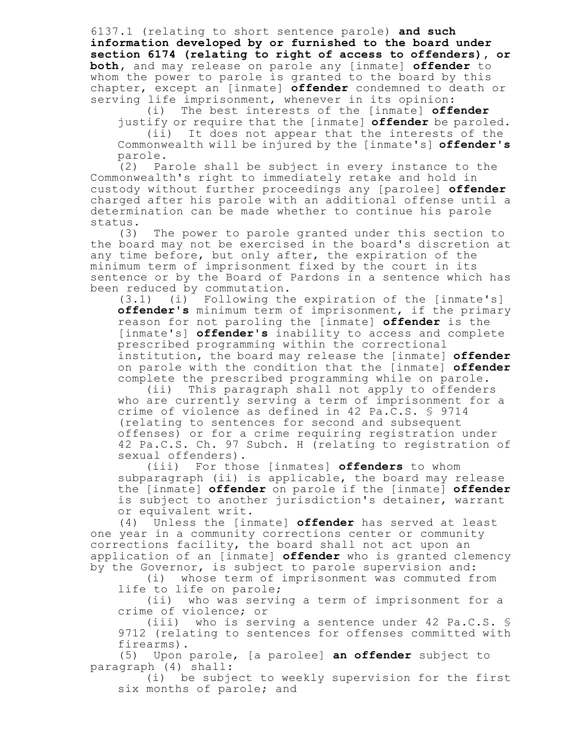6137.1 (relating to short sentence parole) **and such information developed by or furnished to the board under section 6174 (relating to right of access to offenders), or both,** and may release on parole any [inmate] **offender** to whom the power to parole is granted to the board by this chapter, except an [inmate] **offender** condemned to death or serving life imprisonment, whenever in its opinion:

(i) The best interests of the [inmate] **offender**

justify or require that the [inmate] **offender** be paroled. (ii) It does not appear that the interests of the Commonwealth will be injured by the [inmate's] **offender's** parole.

(2) Parole shall be subject in every instance to the Commonwealth's right to immediately retake and hold in custody without further proceedings any [parolee] **offender** charged after his parole with an additional offense until a determination can be made whether to continue his parole status.

(3) The power to parole granted under this section to the board may not be exercised in the board's discretion at any time before, but only after, the expiration of the minimum term of imprisonment fixed by the court in its sentence or by the Board of Pardons in a sentence which has been reduced by commutation.

 $(3.1)$  (i) Following the expiration of the [inmate's] **offender's** minimum term of imprisonment, if the primary reason for not paroling the [inmate] **offender** is the [inmate's] **offender's** inability to access and complete prescribed programming within the correctional institution, the board may release the [inmate] **offender** on parole with the condition that the [inmate] **offender** complete the prescribed programming while on parole.

(ii) This paragraph shall not apply to offenders who are currently serving a term of imprisonment for a crime of violence as defined in 42 Pa.C.S. § 9714 (relating to sentences for second and subsequent offenses) or for a crime requiring registration under 42 Pa.C.S. Ch. 97 Subch. H (relating to registration of sexual offenders).

(iii) For those [inmates] **offenders** to whom subparagraph (ii) is applicable, the board may release the [inmate] **offender** on parole if the [inmate] **offender** is subject to another jurisdiction's detainer, warrant or equivalent writ.

(4) Unless the [inmate] **offender** has served at least one year in a community corrections center or community corrections facility, the board shall not act upon an application of an [inmate] **offender** who is granted clemency by the Governor, is subject to parole supervision and:

(i) whose term of imprisonment was commuted from life to life on parole;

(ii) who was serving a term of imprisonment for a crime of violence; or

(iii) who is serving a sentence under 42 Pa.C.S. § 9712 (relating to sentences for offenses committed with firearms).

(5) Upon parole, [a parolee] **an offender** subject to paragraph (4) shall:

(i) be subject to weekly supervision for the first six months of parole; and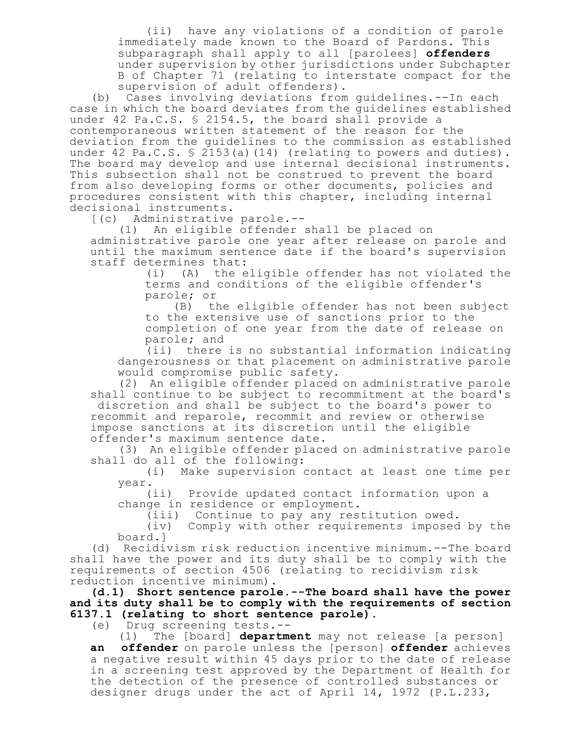(ii) have any violations of a condition of parole immediately made known to the Board of Pardons. This subparagraph shall apply to all [parolees] **offenders** under supervision by other jurisdictions under Subchapter B of Chapter 71 (relating to interstate compact for the supervision of adult offenders).

(b) Cases involving deviations from guidelines.--In each case in which the board deviates from the guidelines established under 42 Pa.C.S. § 2154.5, the board shall provide a contemporaneous written statement of the reason for the deviation from the guidelines to the commission as established under 42 Pa.C.S. § 2153(a)(14) (relating to powers and duties). The board may develop and use internal decisional instruments. This subsection shall not be construed to prevent the board from also developing forms or other documents, policies and procedures consistent with this chapter, including internal decisional instruments.

[(c) Administrative parole.--

(1) An eligible offender shall be placed on administrative parole one year after release on parole and until the maximum sentence date if the board's supervision staff determines that:

(i) (A) the eligible offender has not violated the terms and conditions of the eligible offender's parole; or

(B) the eligible offender has not been subject to the extensive use of sanctions prior to the completion of one year from the date of release on parole; and

(ii) there is no substantial information indicating dangerousness or that placement on administrative parole would compromise public safety.

(2) An eligible offender placed on administrative parole shall continue to be subject to recommitment at the board's discretion and shall be subject to the board's power to recommit and reparole, recommit and review or otherwise impose sanctions at its discretion until the eligible offender's maximum sentence date.

(3) An eligible offender placed on administrative parole shall do all of the following:

(i) Make supervision contact at least one time per year.

(ii) Provide updated contact information upon a change in residence or employment.

(iii) Continue to pay any restitution owed.

(iv) Comply with other requirements imposed by the board.]

(d) Recidivism risk reduction incentive minimum.--The board shall have the power and its duty shall be to comply with the requirements of section 4506 (relating to recidivism risk reduction incentive minimum).

**(d.1) Short sentence parole.--The board shall have the power and its duty shall be to comply with the requirements of section 6137.1 (relating to short sentence parole).**

(e) Drug screening tests.--

(1) The [board] **department** may not release [a person] **an offender** on parole unless the [person] **offender** achieves a negative result within 45 days prior to the date of release in a screening test approved by the Department of Health for the detection of the presence of controlled substances or designer drugs under the act of April 14, 1972 (P.L.233,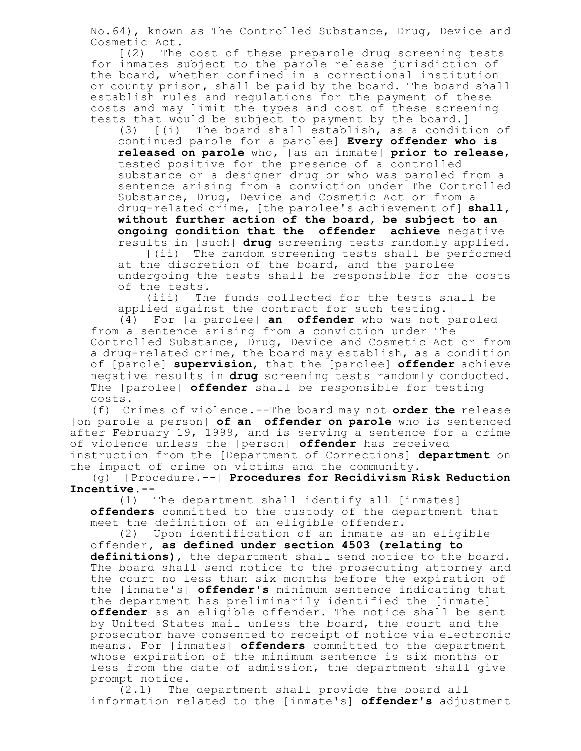No.64), known as The Controlled Substance, Drug, Device and Cosmetic Act.

[(2) The cost of these preparole drug screening tests for inmates subject to the parole release jurisdiction of the board, whether confined in a correctional institution or county prison, shall be paid by the board. The board shall establish rules and regulations for the payment of these costs and may limit the types and cost of these screening tests that would be subject to payment by the board.]

(3) [(i) The board shall establish, as a condition of continued parole for a parolee] **Every offender who is released on parole** who, [as an inmate] **prior to release**, tested positive for the presence of a controlled substance or a designer drug or who was paroled from a sentence arising from a conviction under The Controlled Substance, Drug, Device and Cosmetic Act or from a drug-related crime, [the parolee's achievement of] **shall, without further action of the board, be subject to an ongoing condition that the offender achieve** negative results in [such] **drug** screening tests randomly applied.

[(ii) The random screening tests shall be performed at the discretion of the board, and the parolee undergoing the tests shall be responsible for the costs of the tests.

(iii) The funds collected for the tests shall be applied against the contract for such testing.]

(4) For [a parolee] **an offender** who was not paroled from a sentence arising from a conviction under The Controlled Substance, Drug, Device and Cosmetic Act or from a drug-related crime, the board may establish, as a condition of [parole] **supervision**, that the [parolee] **offender** achieve negative results in **drug** screening tests randomly conducted. The [parolee] **offender** shall be responsible for testing costs.

(f) Crimes of violence.--The board may not **order the** release [on parole a person] **of an offender on parole** who is sentenced after February 19, 1999, and is serving a sentence for a crime of violence unless the [person] **offender** has received instruction from the [Department of Corrections] **department** on the impact of crime on victims and the community.

(g) [Procedure.--] **Procedures for Recidivism Risk Reduction Incentive.--**

(1) The department shall identify all [inmates] **offenders** committed to the custody of the department that meet the definition of an eligible offender.

(2) Upon identification of an inmate as an eligible offender**, as defined under section 4503 (relating to definitions)**, the department shall send notice to the board. The board shall send notice to the prosecuting attorney and the court no less than six months before the expiration of the [inmate's] **offender's** minimum sentence indicating that the department has preliminarily identified the [inmate] **offender** as an eligible offender. The notice shall be sent by United States mail unless the board, the court and the prosecutor have consented to receipt of notice via electronic means. For [inmates] **offenders** committed to the department whose expiration of the minimum sentence is six months or less from the date of admission, the department shall give prompt notice.

(2.1) The department shall provide the board all information related to the [inmate's] **offender's** adjustment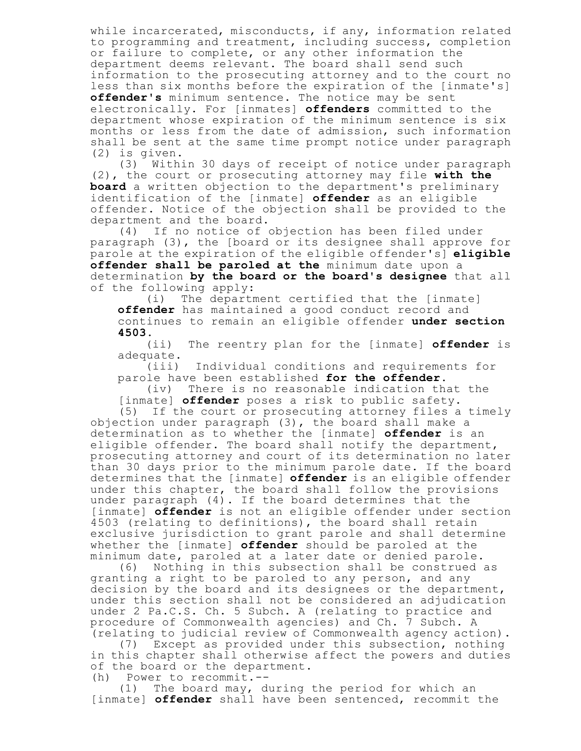while incarcerated, misconducts, if any, information related to programming and treatment, including success, completion or failure to complete, or any other information the department deems relevant. The board shall send such information to the prosecuting attorney and to the court no less than six months before the expiration of the [inmate's] **offender's** minimum sentence. The notice may be sent electronically. For [inmates] **offenders** committed to the department whose expiration of the minimum sentence is six months or less from the date of admission, such information shall be sent at the same time prompt notice under paragraph (2) is given.

(3) Within 30 days of receipt of notice under paragraph (2), the court or prosecuting attorney may file **with the board** a written objection to the department's preliminary identification of the [inmate] **offender** as an eligible offender. Notice of the objection shall be provided to the department and the board.

(4) If no notice of objection has been filed under paragraph (3), the [board or its designee shall approve for parole at the expiration of the eligible offender's] **eligible offender shall be paroled at the** minimum date upon a determination **by the board or the board's designee** that all of the following apply:

(i) The department certified that the [inmate] **offender** has maintained a good conduct record and continues to remain an eligible offender **under section 4503**.

(ii) The reentry plan for the [inmate] **offender** is adequate.

(iii) Individual conditions and requirements for parole have been established **for the offender**.

(iv) There is no reasonable indication that the [inmate] **offender** poses a risk to public safety.<br>(5) If the court or prosecuting attorney files a

If the court or prosecuting attorney files a timely objection under paragraph (3), the board shall make a determination as to whether the [inmate] **offender** is an eligible offender. The board shall notify the department, prosecuting attorney and court of its determination no later than 30 days prior to the minimum parole date. If the board determines that the [inmate] **offender** is an eligible offender under this chapter, the board shall follow the provisions under paragraph (4). If the board determines that the [inmate] **offender** is not an eligible offender under section 4503 (relating to definitions), the board shall retain exclusive jurisdiction to grant parole and shall determine whether the [inmate] **offender** should be paroled at the minimum date, paroled at a later date or denied parole.

(6) Nothing in this subsection shall be construed as granting a right to be paroled to any person, and any decision by the board and its designees or the department, under this section shall not be considered an adjudication under 2 Pa.C.S. Ch. 5 Subch. A (relating to practice and procedure of Commonwealth agencies) and Ch. 7 Subch. A (relating to judicial review of Commonwealth agency action).

(7) Except as provided under this subsection, nothing in this chapter shall otherwise affect the powers and duties of the board or the department.

(h) Power to recommit.--

(1) The board may, during the period for which an [inmate] **offender** shall have been sentenced, recommit the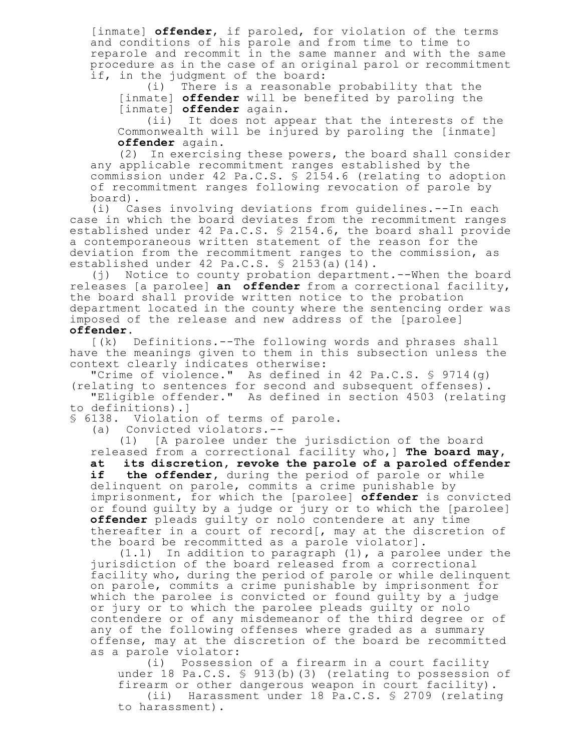[inmate] **offender**, if paroled, for violation of the terms and conditions of his parole and from time to time to reparole and recommit in the same manner and with the same procedure as in the case of an original parol or recommitment if, in the judgment of the board:

(i) There is a reasonable probability that the [inmate] **offender** will be benefited by paroling the [inmate] **offender** again.

(ii) It does not appear that the interests of the Commonwealth will be injured by paroling the [inmate] **offender** again.

(2) In exercising these powers, the board shall consider any applicable recommitment ranges established by the commission under 42 Pa.C.S. § 2154.6 (relating to adoption of recommitment ranges following revocation of parole by board).

(i) Cases involving deviations from guidelines.--In each case in which the board deviates from the recommitment ranges established under 42 Pa.C.S. § 2154.6, the board shall provide a contemporaneous written statement of the reason for the deviation from the recommitment ranges to the commission, as established under 42 Pa.C.S. § 2153(a)(14).

(j) Notice to county probation department.--When the board releases [a parolee] **an offender** from a correctional facility, the board shall provide written notice to the probation department located in the county where the sentencing order was imposed of the release and new address of the [parolee] **offender**.

[(k) Definitions.--The following words and phrases shall have the meanings given to them in this subsection unless the context clearly indicates otherwise:

"Crime of violence." As defined in 42 Pa.C.S. § 9714(g) (relating to sentences for second and subsequent offenses).

"Eligible offender." As defined in section 4503 (relating to definitions).]

§ 6138. Violation of terms of parole.

(a) Convicted violators.--

(1) [A parolee under the jurisdiction of the board released from a correctional facility who,] **The board may,**

**at its discretion, revoke the parole of a paroled offender if the offender,** during the period of parole or while delinquent on parole, commits a crime punishable by imprisonment, for which the [parolee] **offender** is convicted or found guilty by a judge or jury or to which the [parolee] **offender** pleads guilty or nolo contendere at any time thereafter in a court of record[, may at the discretion of the board be recommitted as a parole violator].

(1.1) In addition to paragraph (1), a parolee under the jurisdiction of the board released from a correctional facility who, during the period of parole or while delinquent on parole, commits a crime punishable by imprisonment for which the parolee is convicted or found guilty by a judge or jury or to which the parolee pleads guilty or nolo contendere or of any misdemeanor of the third degree or of any of the following offenses where graded as a summary offense, may at the discretion of the board be recommitted as a parole violator:

(i) Possession of a firearm in a court facility under 18 Pa.C.S. § 913(b)(3) (relating to possession of firearm or other dangerous weapon in court facility). (ii) Harassment under 18 Pa.C.S. § 2709 (relating to harassment).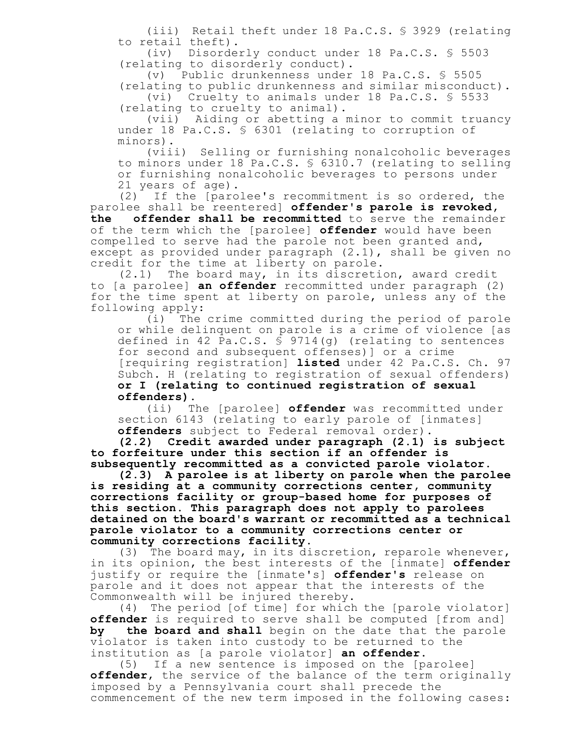(iii) Retail theft under 18 Pa.C.S. § 3929 (relating to retail theft).

(iv) Disorderly conduct under 18 Pa.C.S. § 5503 (relating to disorderly conduct).

(v) Public drunkenness under 18 Pa.C.S. § 5505

(relating to public drunkenness and similar misconduct). (vi) Cruelty to animals under 18 Pa.C.S. § 5533 (relating to cruelty to animal).

(vii) Aiding or abetting a minor to commit truancy under 18 Pa.C.S. § 6301 (relating to corruption of minors).

(viii) Selling or furnishing nonalcoholic beverages to minors under 18 Pa.C.S. § 6310.7 (relating to selling or furnishing nonalcoholic beverages to persons under 21 years of age).

(2) If the [parolee's recommitment is so ordered, the parolee shall be reentered] **offender's parole is revoked, the offender shall be recommitted** to serve the remainder of the term which the [parolee] **offender** would have been compelled to serve had the parole not been granted and, except as provided under paragraph (2.1), shall be given no credit for the time at liberty on parole.

(2.1) The board may, in its discretion, award credit to [a parolee] **an offender** recommitted under paragraph (2) for the time spent at liberty on parole, unless any of the following apply:

(i) The crime committed during the period of parole or while delinquent on parole is a crime of violence [as defined in 42 Pa.C.S. § 9714(g) (relating to sentences for second and subsequent offenses)] or a crime [requiring registration] **listed** under 42 Pa.C.S. Ch. 97 Subch. H (relating to registration of sexual offenders) **or I (relating to continued registration of sexual offenders)**.

(ii) The [parolee] **offender** was recommitted under section 6143 (relating to early parole of [inmates] **offenders** subject to Federal removal order).

**(2.2) Credit awarded under paragraph (2.1) is subject to forfeiture under this section if an offender is subsequently recommitted as a convicted parole violator.**

**(2.3) A parolee is at liberty on parole when the parolee is residing at a community corrections center, community corrections facility or group-based home for purposes of this section. This paragraph does not apply to parolees detained on the board's warrant or recommitted as a technical parole violator to a community corrections center or community corrections facility.**

(3) The board may, in its discretion, reparole whenever, in its opinion, the best interests of the [inmate] **offender** justify or require the [inmate's] **offender's** release on parole and it does not appear that the interests of the Commonwealth will be injured thereby.

(4) The period [of time] for which the [parole violator] **offender** is required to serve shall be computed [from and] **by the board and shall** begin on the date that the parole violator is taken into custody to be returned to the institution as [a parole violator] **an offender**.

(5) If a new sentence is imposed on the [parolee] **offender**, the service of the balance of the term originally imposed by a Pennsylvania court shall precede the commencement of the new term imposed in the following cases: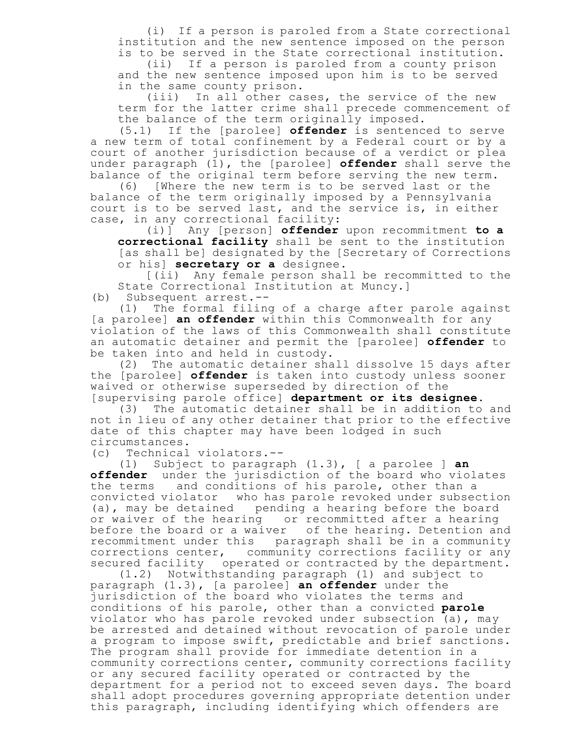(i) If a person is paroled from a State correctional institution and the new sentence imposed on the person is to be served in the State correctional institution.

(ii) If a person is paroled from a county prison and the new sentence imposed upon him is to be served in the same county prison.

(iii) In all other cases, the service of the new term for the latter crime shall precede commencement of the balance of the term originally imposed.

(5.1) If the [parolee] **offender** is sentenced to serve a new term of total confinement by a Federal court or by a court of another jurisdiction because of a verdict or plea under paragraph (1), the [parolee] **offender** shall serve the balance of the original term before serving the new term.

(6) [Where the new term is to be served last or the balance of the term originally imposed by a Pennsylvania court is to be served last, and the service is, in either case, in any correctional facility:

(i)] Any [person] **offender** upon recommitment **to a correctional facility** shall be sent to the institution [as shall be] designated by the [Secretary of Corrections or his] **secretary or a** designee.

[(ii) Any female person shall be recommitted to the State Correctional Institution at Muncy.]

(b) Subsequent arrest.--

(1) The formal filing of a charge after parole against [a parolee] **an offender** within this Commonwealth for any violation of the laws of this Commonwealth shall constitute an automatic detainer and permit the [parolee] **offender** to be taken into and held in custody.

(2) The automatic detainer shall dissolve 15 days after the [parolee] **offender** is taken into custody unless sooner waived or otherwise superseded by direction of the [supervising parole office] **department or its designee**.

(3) The automatic detainer shall be in addition to and not in lieu of any other detainer that prior to the effective date of this chapter may have been lodged in such circumstances.

(c) Technical violators.--

(1) Subject to paragraph (1.3), [ a parolee ] **an offender** under the jurisdiction of the board who violates the terms and conditions of his parole, other than a convicted violator who has parole revoked under subsection (a), may be detained pending a hearing before the board or waiver of the hearing or recommitted after a hearing before the board or a waiver of the hearing. Detention and recommitment under this paragraph shall be in a community corrections center, community corrections facility or any secured facility operated or contracted by the department.

(1.2) Notwithstanding paragraph (1) and subject to paragraph (1.3), [a parolee] **an offender** under the jurisdiction of the board who violates the terms and conditions of his parole, other than a convicted **parole** violator who has parole revoked under subsection (a), may be arrested and detained without revocation of parole under a program to impose swift, predictable and brief sanctions. The program shall provide for immediate detention in a community corrections center, community corrections facility or any secured facility operated or contracted by the department for a period not to exceed seven days. The board shall adopt procedures governing appropriate detention under this paragraph, including identifying which offenders are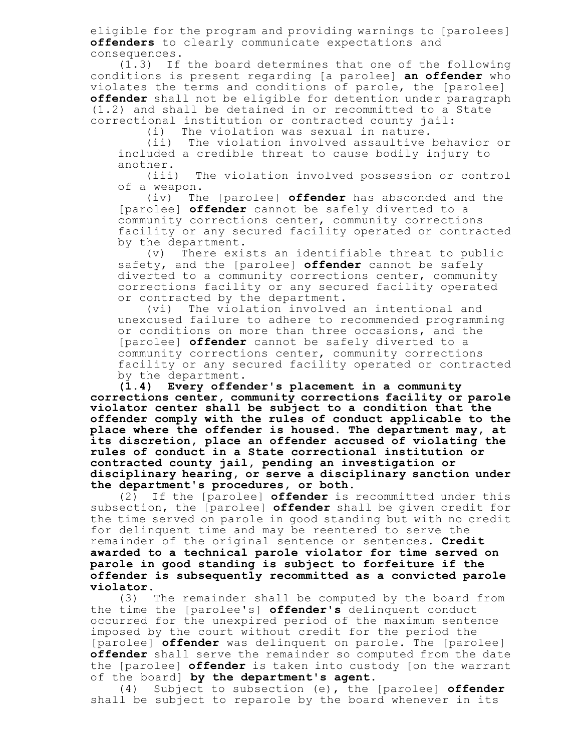eligible for the program and providing warnings to [parolees] **offenders** to clearly communicate expectations and consequences.

(1.3) If the board determines that one of the following conditions is present regarding [a parolee] **an offender** who violates the terms and conditions of parole, the [parolee] **offender** shall not be eligible for detention under paragraph (1.2) and shall be detained in or recommitted to a State correctional institution or contracted county jail:

(i) The violation was sexual in nature.

(ii) The violation involved assaultive behavior or included a credible threat to cause bodily injury to another.

(iii) The violation involved possession or control of a weapon.

(iv) The [parolee] **offender** has absconded and the [parolee] **offender** cannot be safely diverted to a community corrections center, community corrections facility or any secured facility operated or contracted by the department.

(v) There exists an identifiable threat to public safety, and the [parolee] **offender** cannot be safely diverted to a community corrections center, community corrections facility or any secured facility operated or contracted by the department.

(vi) The violation involved an intentional and unexcused failure to adhere to recommended programming or conditions on more than three occasions, and the [parolee] **offender** cannot be safely diverted to a community corrections center, community corrections facility or any secured facility operated or contracted by the department.

**(1.4) Every offender's placement in a community corrections center, community corrections facility or parole violator center shall be subject to a condition that the offender comply with the rules of conduct applicable to the place where the offender is housed. The department may, at its discretion, place an offender accused of violating the rules of conduct in a State correctional institution or contracted county jail, pending an investigation or disciplinary hearing, or serve a disciplinary sanction under the department's procedures, or both.**

(2) If the [parolee] **offender** is recommitted under this subsection, the [parolee] **offender** shall be given credit for the time served on parole in good standing but with no credit for delinquent time and may be reentered to serve the remainder of the original sentence or sentences. **Credit awarded to a technical parole violator for time served on parole in good standing is subject to forfeiture if the offender is subsequently recommitted as a convicted parole violator.**

(3) The remainder shall be computed by the board from the time the [parolee's] **offender's** delinquent conduct occurred for the unexpired period of the maximum sentence imposed by the court without credit for the period the [parolee] **offender** was delinquent on parole. The [parolee] **offender** shall serve the remainder so computed from the date the [parolee] **offender** is taken into custody [on the warrant of the board] **by the department's agent**.

(4) Subject to subsection (e), the [parolee] **offender** shall be subject to reparole by the board whenever in its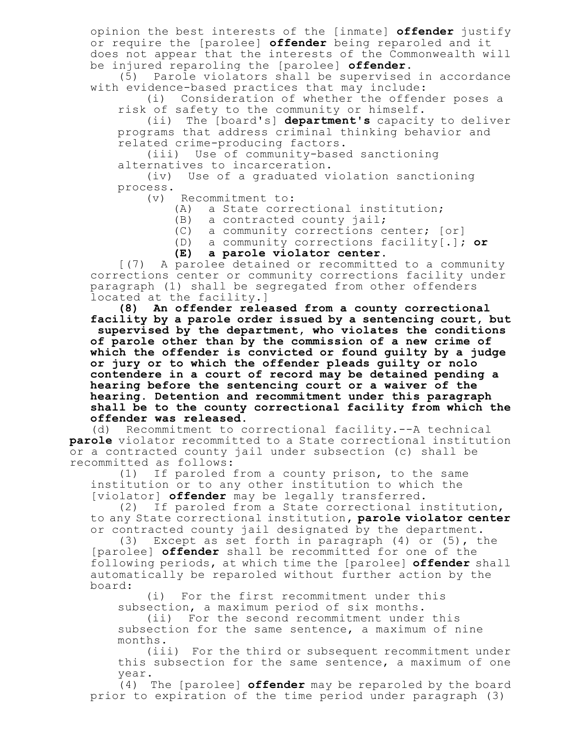opinion the best interests of the [inmate] **offender** justify or require the [parolee] **offender** being reparoled and it does not appear that the interests of the Commonwealth will be injured reparoling the [parolee] **offender**.

(5) Parole violators shall be supervised in accordance with evidence-based practices that may include:

(i) Consideration of whether the offender poses a risk of safety to the community or himself.

(ii) The [board's] **department's** capacity to deliver programs that address criminal thinking behavior and related crime-producing factors.

(iii) Use of community-based sanctioning alternatives to incarceration.

(iv) Use of a graduated violation sanctioning process.

(v) Recommitment to:

(A) a State correctional institution;

(B) a contracted county jail;

(C) a community corrections center; [or]

(D) a community corrections facility[.]**; or**

**(E) a parole violator center.**

[(7) A parolee detained or recommitted to a community corrections center or community corrections facility under paragraph (1) shall be segregated from other offenders located at the facility.]

**(8) An offender released from a county correctional facility by a parole order issued by a sentencing court, but**

**supervised by the department, who violates the conditions of parole other than by the commission of a new crime of which the offender is convicted or found guilty by a judge or jury or to which the offender pleads guilty or nolo contendere in a court of record may be detained pending a hearing before the sentencing court or a waiver of the hearing. Detention and recommitment under this paragraph shall be to the county correctional facility from which the offender was released.**

(d) Recommitment to correctional facility.--A technical **parole** violator recommitted to a State correctional institution or a contracted county jail under subsection (c) shall be recommitted as follows:<br>(1) If paroled

If paroled from a county prison, to the same institution or to any other institution to which the [violator] **offender** may be legally transferred.

(2) If paroled from a State correctional institution, to any State correctional institution**, parole violator center** or contracted county jail designated by the department.

(3) Except as set forth in paragraph (4) or (5), the [parolee] **offender** shall be recommitted for one of the following periods, at which time the [parolee] **offender** shall automatically be reparoled without further action by the board:

(i) For the first recommitment under this subsection, a maximum period of six months.

(ii) For the second recommitment under this subsection for the same sentence, a maximum of nine months.

(iii) For the third or subsequent recommitment under this subsection for the same sentence, a maximum of one year.

(4) The [parolee] **offender** may be reparoled by the board prior to expiration of the time period under paragraph (3)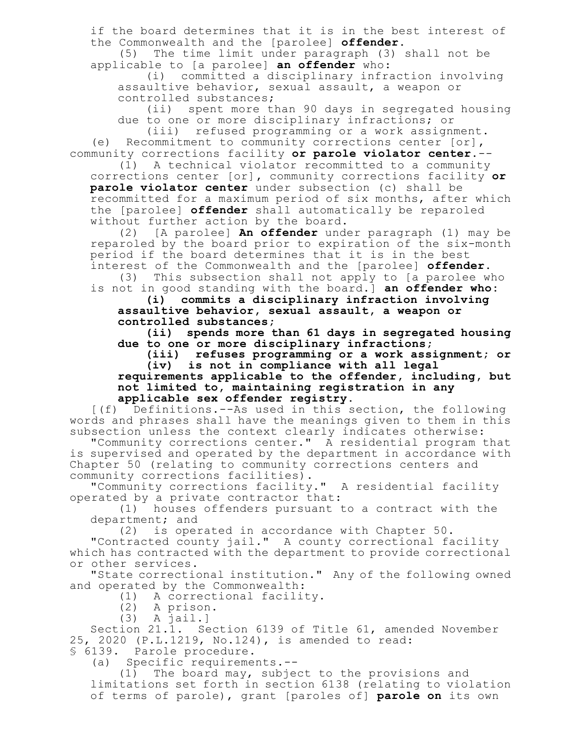if the board determines that it is in the best interest of the Commonwealth and the [parolee] **offender**.

(5) The time limit under paragraph (3) shall not be applicable to [a parolee] **an offender** who:

(i) committed a disciplinary infraction involving assaultive behavior, sexual assault, a weapon or controlled substances;

(ii) spent more than 90 days in segregated housing due to one or more disciplinary infractions; or

(iii) refused programming or a work assignment. (e) Recommitment to community corrections center [or]**,** community corrections facility **or parole violator center**.--

(1) A technical violator recommitted to a community corrections center [or]**,** community corrections facility **or parole violator center** under subsection (c) shall be recommitted for a maximum period of six months, after which the [parolee] **offender** shall automatically be reparoled without further action by the board.

(2) [A parolee] **An offender** under paragraph (1) may be reparoled by the board prior to expiration of the six-month period if the board determines that it is in the best interest of the Commonwealth and the [parolee] **offender**.

(3) This subsection shall not apply to [a parolee who is not in good standing with the board.] **an offender who:**

**(i) commits a disciplinary infraction involving assaultive behavior, sexual assault, a weapon or controlled substances;**

**(ii) spends more than 61 days in segregated housing due to one or more disciplinary infractions;**

**(iii) refuses programming or a work assignment; or (iv) is not in compliance with all legal**

**requirements applicable to the offender, including, but not limited to, maintaining registration in any applicable sex offender registry.**

[(f) Definitions.--As used in this section, the following words and phrases shall have the meanings given to them in this subsection unless the context clearly indicates otherwise:

"Community corrections center." A residential program that is supervised and operated by the department in accordance with Chapter 50 (relating to community corrections centers and community corrections facilities).

"Community corrections facility." A residential facility operated by a private contractor that:

(1) houses offenders pursuant to a contract with the department; and

(2) is operated in accordance with Chapter 50.

"Contracted county jail." A county correctional facility which has contracted with the department to provide correctional or other services.

"State correctional institution." Any of the following owned and operated by the Commonwealth:

(1) A correctional facility.

(2) A prison.

(3) A jail.]

Section 21.1. Section 6139 of Title 61, amended November 25, 2020 (P.L.1219, No.124), is amended to read: § 6139. Parole procedure.

(a) Specific requirements.--

(1) The board may, subject to the provisions and limitations set forth in section 6138 (relating to violation of terms of parole), grant [paroles of] **parole on** its own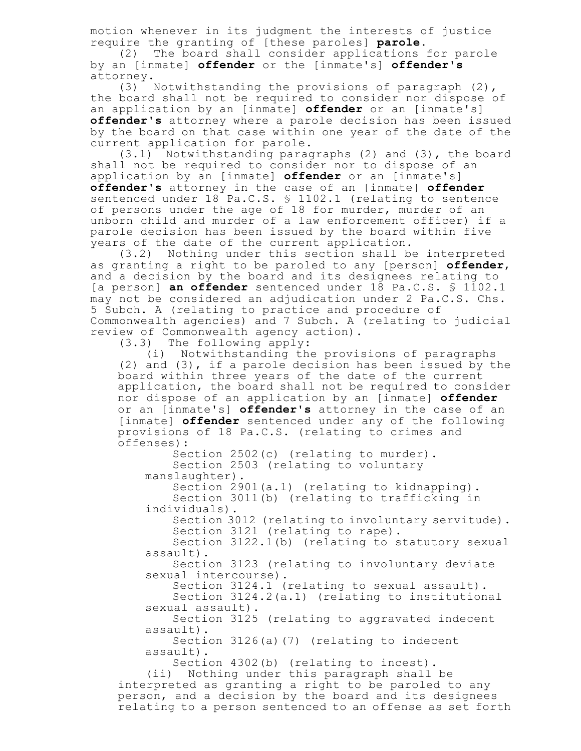motion whenever in its judgment the interests of justice require the granting of [these paroles] **parole**.

(2) The board shall consider applications for parole by an [inmate] **offender** or the [inmate's] **offender's** attorney.

(3) Notwithstanding the provisions of paragraph (2), the board shall not be required to consider nor dispose of an application by an [inmate] **offender** or an [inmate's] **offender's** attorney where a parole decision has been issued by the board on that case within one year of the date of the current application for parole.

(3.1) Notwithstanding paragraphs (2) and (3), the board shall not be required to consider nor to dispose of an application by an [inmate] **offender** or an [inmate's] **offender's** attorney in the case of an [inmate] **offender** sentenced under 18 Pa.C.S. \$ 1102.1 (relating to sentence of persons under the age of 18 for murder, murder of an unborn child and murder of a law enforcement officer) if a parole decision has been issued by the board within five years of the date of the current application.

(3.2) Nothing under this section shall be interpreted as granting a right to be paroled to any [person] **offender**, and a decision by the board and its designees relating to [a person] **an offender** sentenced under 18 Pa.C.S. § 1102.1 may not be considered an adjudication under 2 Pa.C.S. Chs. 5 Subch. A (relating to practice and procedure of Commonwealth agencies) and 7 Subch. A (relating to judicial review of Commonwealth agency action).

(3.3) The following apply:

(i) Notwithstanding the provisions of paragraphs (2) and (3), if a parole decision has been issued by the board within three years of the date of the current application, the board shall not be required to consider nor dispose of an application by an [inmate] **offender** or an [inmate's] **offender's** attorney in the case of an [inmate] **offender** sentenced under any of the following provisions of 18 Pa.C.S. (relating to crimes and offenses):

Section 2502(c) (relating to murder). Section 2503 (relating to voluntary manslaughter).

Section 2901(a.1) (relating to kidnapping). Section 3011(b) (relating to trafficking in individuals).

Section 3012 (relating to involuntary servitude). Section 3121 (relating to rape).

Section 3122.1(b) (relating to statutory sexual assault).

Section 3123 (relating to involuntary deviate sexual intercourse).

Section 3124.1 (relating to sexual assault).

Section 3124.2(a.1) (relating to institutional sexual assault).

Section 3125 (relating to aggravated indecent assault).

Section 3126(a)(7) (relating to indecent assault).

Section 4302(b) (relating to incest).

(ii) Nothing under this paragraph shall be interpreted as granting a right to be paroled to any person, and a decision by the board and its designees relating to a person sentenced to an offense as set forth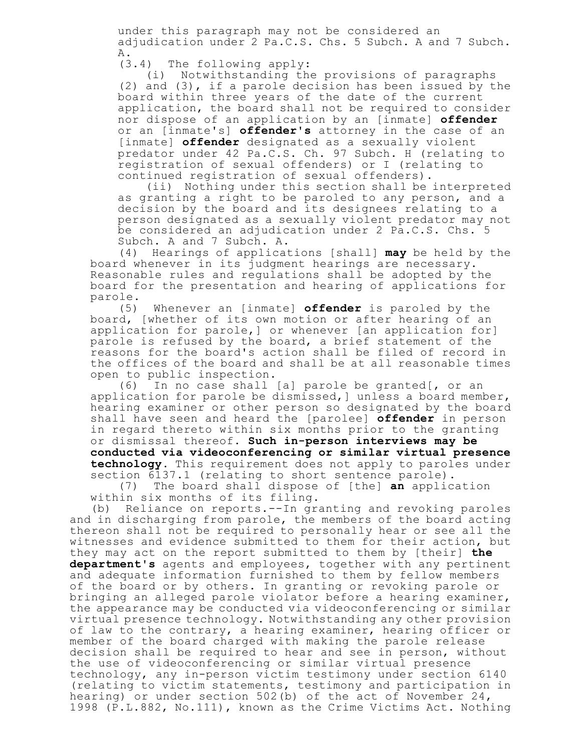under this paragraph may not be considered an adjudication under 2 Pa.C.S. Chs. 5 Subch. A and 7 Subch. A.

(3.4) The following apply:

(i) Notwithstanding the provisions of paragraphs (2) and (3), if a parole decision has been issued by the board within three years of the date of the current application, the board shall not be required to consider nor dispose of an application by an [inmate] **offender** or an [inmate's] **offender's** attorney in the case of an [inmate] **offender** designated as a sexually violent predator under 42 Pa.C.S. Ch. 97 Subch. H (relating to registration of sexual offenders) or I (relating to continued registration of sexual offenders).

(ii) Nothing under this section shall be interpreted as granting a right to be paroled to any person, and a decision by the board and its designees relating to a person designated as a sexually violent predator may not be considered an adjudication under 2 Pa.C.S. Chs. 5 Subch. A and 7 Subch. A.

(4) Hearings of applications [shall] **may** be held by the board whenever in its judgment hearings are necessary. Reasonable rules and regulations shall be adopted by the board for the presentation and hearing of applications for parole.

(5) Whenever an [inmate] **offender** is paroled by the board, [whether of its own motion or after hearing of an application for parole,] or whenever [an application for] parole is refused by the board, a brief statement of the reasons for the board's action shall be filed of record in the offices of the board and shall be at all reasonable times open to public inspection.

(6) In no case shall [a] parole be granted[, or an application for parole be dismissed,] unless a board member, hearing examiner or other person so designated by the board shall have seen and heard the [parolee] **offender** in person in regard thereto within six months prior to the granting or dismissal thereof. **Such in-person interviews may be conducted via videoconferencing or similar virtual presence technology.** This requirement does not apply to paroles under section 6137.1 (relating to short sentence parole).

(7) The board shall dispose of [the] **an** application within six months of its filing.

(b) Reliance on reports.--In granting and revoking paroles and in discharging from parole, the members of the board acting thereon shall not be required to personally hear or see all the witnesses and evidence submitted to them for their action, but they may act on the report submitted to them by [their] **the department's** agents and employees, together with any pertinent and adequate information furnished to them by fellow members of the board or by others. In granting or revoking parole or bringing an alleged parole violator before a hearing examiner, the appearance may be conducted via videoconferencing or similar virtual presence technology. Notwithstanding any other provision of law to the contrary, a hearing examiner, hearing officer or member of the board charged with making the parole release decision shall be required to hear and see in person, without the use of videoconferencing or similar virtual presence technology, any in-person victim testimony under section 6140 (relating to victim statements, testimony and participation in hearing) or under section 502(b) of the act of November 24, 1998 (P.L.882, No.111), known as the Crime Victims Act. Nothing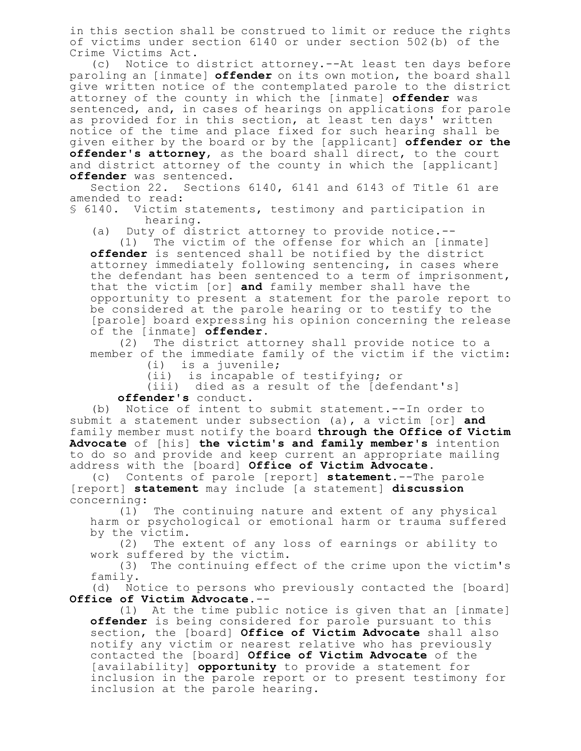in this section shall be construed to limit or reduce the rights of victims under section 6140 or under section 502(b) of the Crime Victims Act.

(c) Notice to district attorney.--At least ten days before paroling an [inmate] **offender** on its own motion, the board shall give written notice of the contemplated parole to the district attorney of the county in which the [inmate] **offender** was sentenced, and, in cases of hearings on applications for parole as provided for in this section, at least ten days' written notice of the time and place fixed for such hearing shall be given either by the board or by the [applicant] **offender or the offender's attorney**, as the board shall direct, to the court and district attorney of the county in which the [applicant] **offender** was sentenced.

Section 22. Sections 6140, 6141 and 6143 of Title 61 are amended to read:

§ 6140. Victim statements, testimony and participation in hearing.

(a) Duty of district attorney to provide notice.--

(1) The victim of the offense for which an [inmate] **offender** is sentenced shall be notified by the district attorney immediately following sentencing, in cases where the defendant has been sentenced to a term of imprisonment, that the victim [or] **and** family member shall have the opportunity to present a statement for the parole report to be considered at the parole hearing or to testify to the [parole] board expressing his opinion concerning the release of the [inmate] **offender**.

(2) The district attorney shall provide notice to a member of the immediate family of the victim if the victim:

(i) is a juvenile;

(ii) is incapable of testifying; or

(iii) died as a result of the [defendant's]

**offender's** conduct.

(b) Notice of intent to submit statement.--In order to submit a statement under subsection (a), a victim [or] **and** family member must notify the board **through the Office of Victim Advocate** of [his] **the victim's and family member's** intention to do so and provide and keep current an appropriate mailing address with the [board] **Office of Victim Advocate**.

(c) Contents of parole [report] **statement**.--The parole [report] **statement** may include [a statement] **discussion** concerning:<br>(1)

The continuing nature and extent of any physical harm or psychological or emotional harm or trauma suffered by the victim.

(2) The extent of any loss of earnings or ability to work suffered by the victim.

(3) The continuing effect of the crime upon the victim's family.

(d) Notice to persons who previously contacted the [board] **Office of Victim Advocate**.--

(1) At the time public notice is given that an [inmate] **offender** is being considered for parole pursuant to this section, the [board] **Office of Victim Advocate** shall also notify any victim or nearest relative who has previously contacted the [board] **Office of Victim Advocate** of the [availability] **opportunity** to provide a statement for inclusion in the parole report or to present testimony for inclusion at the parole hearing.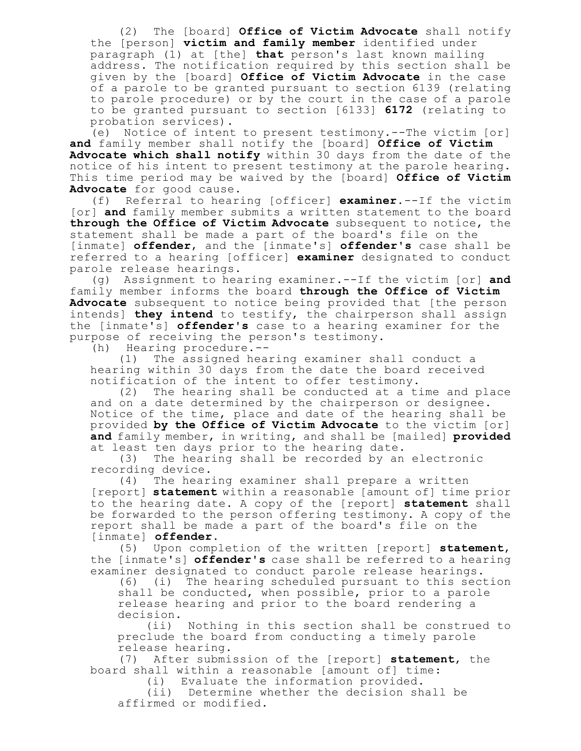(2) The [board] **Office of Victim Advocate** shall notify the [person] **victim and family member** identified under paragraph (1) at [the] **that** person's last known mailing address. The notification required by this section shall be given by the [board] **Office of Victim Advocate** in the case of a parole to be granted pursuant to section 6139 (relating to parole procedure) or by the court in the case of a parole to be granted pursuant to section [6133] **6172** (relating to probation services).

(e) Notice of intent to present testimony.--The victim [or] **and** family member shall notify the [board] **Office of Victim Advocate which shall notify** within 30 days from the date of the notice of his intent to present testimony at the parole hearing. This time period may be waived by the [board] **Office of Victim Advocate** for good cause.

(f) Referral to hearing [officer] **examiner**.--If the victim [or] **and** family member submits a written statement to the board **through the Office of Victim Advocate** subsequent to notice, the statement shall be made a part of the board's file on the [inmate] **offender**, and the [inmate's] **offender's** case shall be referred to a hearing [officer] **examiner** designated to conduct parole release hearings.

(g) Assignment to hearing examiner.--If the victim [or] **and** family member informs the board **through the Office of Victim Advocate** subsequent to notice being provided that [the person intends] **they intend** to testify, the chairperson shall assign the [inmate's] **offender's** case to a hearing examiner for the purpose of receiving the person's testimony.

(h) Hearing procedure.--

(1) The assigned hearing examiner shall conduct a hearing within 30 days from the date the board received notification of the intent to offer testimony.

(2) The hearing shall be conducted at a time and place and on a date determined by the chairperson or designee. Notice of the time, place and date of the hearing shall be provided **by the Office of Victim Advocate** to the victim [or] **and** family member, in writing, and shall be [mailed] **provided** at least ten days prior to the hearing date.

(3) The hearing shall be recorded by an electronic recording device.

(4) The hearing examiner shall prepare a written [report] **statement** within a reasonable [amount of] time prior to the hearing date. A copy of the [report] **statement** shall be forwarded to the person offering testimony. A copy of the report shall be made a part of the board's file on the [inmate] **offender**.

(5) Upon completion of the written [report] **statement**, the [inmate's] **offender's** case shall be referred to a hearing examiner designated to conduct parole release hearings.

(6) (i) The hearing scheduled pursuant to this section shall be conducted, when possible, prior to a parole release hearing and prior to the board rendering a decision.

(ii) Nothing in this section shall be construed to preclude the board from conducting a timely parole release hearing.

(7) After submission of the [report] **statement**, the board shall within a reasonable [amount of] time:

(i) Evaluate the information provided.

(ii) Determine whether the decision shall be affirmed or modified.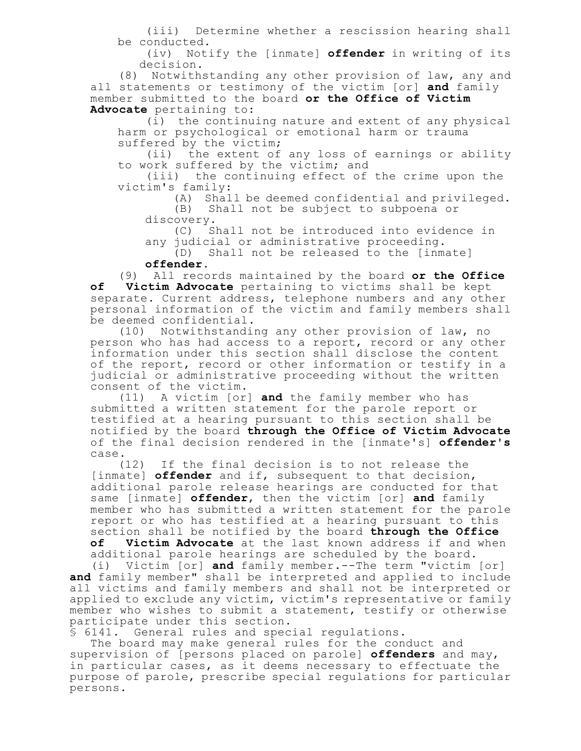(iii) Determine whether a rescission hearing shall be conducted.

(iv) Notify the [inmate] **offender** in writing of its decision.

(8) Notwithstanding any other provision of law, any and all statements or testimony of the victim [or] **and** family member submitted to the board **or the Office of Victim Advocate** pertaining to:

(i) the continuing nature and extent of any physical harm or psychological or emotional harm or trauma suffered by the victim;

(ii) the extent of any loss of earnings or ability to work suffered by the victim; and

(iii) the continuing effect of the crime upon the victim's family:

(A) Shall be deemed confidential and privileged.

(B) Shall not be subject to subpoena or discovery.

(C) Shall not be introduced into evidence in any judicial or administrative proceeding.

(D) Shall not be released to the [inmate]

**offender**.

(9) All records maintained by the board **or the Office of Victim Advocate** pertaining to victims shall be kept separate. Current address, telephone numbers and any other personal information of the victim and family members shall be deemed confidential.

(10) Notwithstanding any other provision of law, no person who has had access to a report, record or any other information under this section shall disclose the content of the report, record or other information or testify in a judicial or administrative proceeding without the written consent of the victim.

(11) A victim [or] **and** the family member who has submitted a written statement for the parole report or testified at a hearing pursuant to this section shall be notified by the board **through the Office of Victim Advocate** of the final decision rendered in the [inmate's] **offender's** case.

(12) If the final decision is to not release the [inmate] **offender** and if, subsequent to that decision, additional parole release hearings are conducted for that same [inmate] **offender**, then the victim [or] **and** family member who has submitted a written statement for the parole report or who has testified at a hearing pursuant to this section shall be notified by the board **through the Office**

**of Victim Advocate** at the last known address if and when additional parole hearings are scheduled by the board.

(i) Victim [or] **and** family member.--The term "victim [or] **and** family member" shall be interpreted and applied to include all victims and family members and shall not be interpreted or applied to exclude any victim, victim's representative or family member who wishes to submit a statement, testify or otherwise participate under this section.

§ 6141. General rules and special regulations.

The board may make general rules for the conduct and supervision of [persons placed on parole] **offenders** and may, in particular cases, as it deems necessary to effectuate the purpose of parole, prescribe special regulations for particular persons.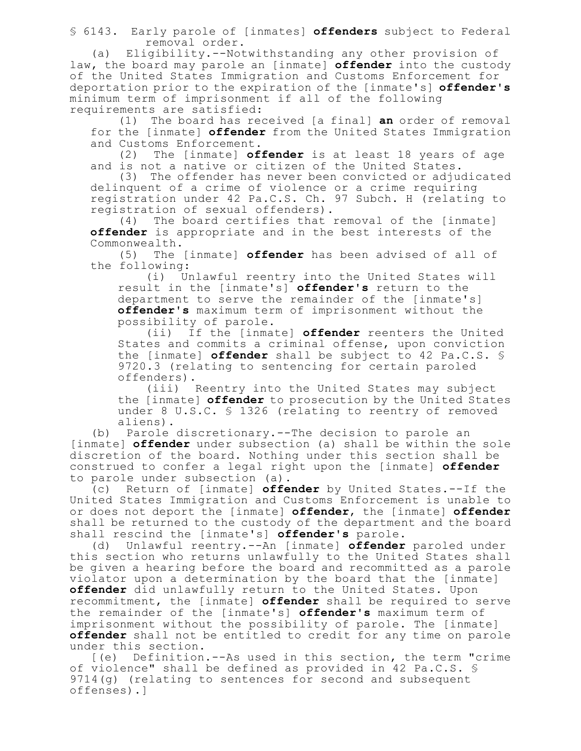§ 6143. Early parole of [inmates] **offenders** subject to Federal removal order.

(a) Eligibility.--Notwithstanding any other provision of law, the board may parole an [inmate] **offender** into the custody of the United States Immigration and Customs Enforcement for deportation prior to the expiration of the [inmate's] **offender's** minimum term of imprisonment if all of the following requirements are satisfied:

(1) The board has received [a final] **an** order of removal for the [inmate] **offender** from the United States Immigration and Customs Enforcement.

(2) The [inmate] **offender** is at least 18 years of age and is not a native or citizen of the United States.

(3) The offender has never been convicted or adjudicated delinquent of a crime of violence or a crime requiring registration under 42 Pa.C.S. Ch. 97 Subch. H (relating to registration of sexual offenders).<br>(4) The board certifies that r

The board certifies that removal of the [inmate] **offender** is appropriate and in the best interests of the Commonwealth.

(5) The [inmate] **offender** has been advised of all of the following:

(i) Unlawful reentry into the United States will result in the [inmate's] **offender's** return to the department to serve the remainder of the [inmate's] **offender's** maximum term of imprisonment without the possibility of parole.

(ii) If the [inmate] **offender** reenters the United States and commits a criminal offense, upon conviction the [inmate] **offender** shall be subject to 42 Pa.C.S. § 9720.3 (relating to sentencing for certain paroled offenders).

(iii) Reentry into the United States may subject the [inmate] **offender** to prosecution by the United States under 8 U.S.C. § 1326 (relating to reentry of removed aliens).

(b) Parole discretionary.--The decision to parole an [inmate] **offender** under subsection (a) shall be within the sole discretion of the board. Nothing under this section shall be construed to confer a legal right upon the [inmate] **offender** to parole under subsection (a).

(c) Return of [inmate] **offender** by United States.--If the United States Immigration and Customs Enforcement is unable to or does not deport the [inmate] **offender**, the [inmate] **offender** shall be returned to the custody of the department and the board shall rescind the [inmate's] **offender's** parole.

(d) Unlawful reentry.--An [inmate] **offender** paroled under this section who returns unlawfully to the United States shall be given a hearing before the board and recommitted as a parole violator upon a determination by the board that the [inmate] **offender** did unlawfully return to the United States. Upon recommitment, the [inmate] **offender** shall be required to serve the remainder of the [inmate's] **offender's** maximum term of imprisonment without the possibility of parole. The [inmate] **offender** shall not be entitled to credit for any time on parole under this section.

[(e) Definition.--As used in this section, the term "crime of violence" shall be defined as provided in 42 Pa.C.S. § 9714(g) (relating to sentences for second and subsequent offenses).]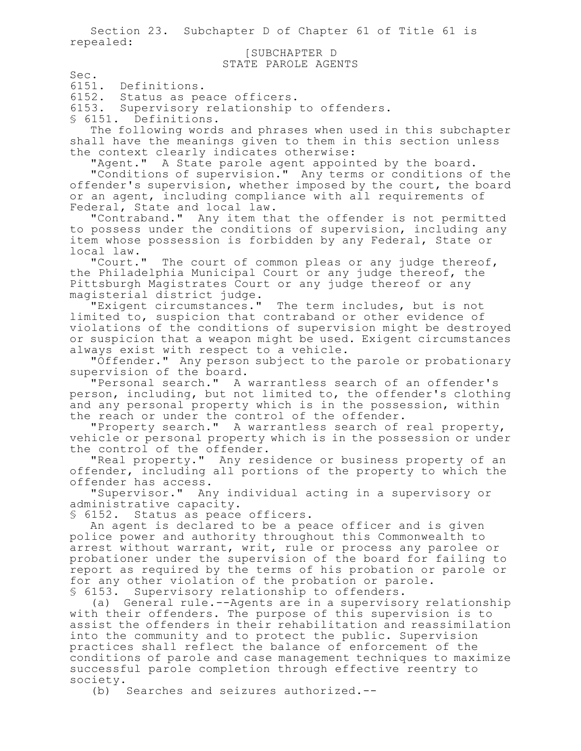Section 23. Subchapter D of Chapter 61 of Title 61 is repealed:

### [SUBCHAPTER D STATE PAROLE AGENTS

Sec.

6151. Definitions.

6152. Status as peace officers.

6153. Supervisory relationship to offenders.

§ 6151. Definitions.

The following words and phrases when used in this subchapter shall have the meanings given to them in this section unless the context clearly indicates otherwise:

"Agent." A State parole agent appointed by the board. "Conditions of supervision." Any terms or conditions of the offender's supervision, whether imposed by the court, the board or an agent, including compliance with all requirements of Federal, State and local law.

"Contraband." Any item that the offender is not permitted to possess under the conditions of supervision, including any item whose possession is forbidden by any Federal, State or local law.<br>"Court."

The court of common pleas or any judge thereof, the Philadelphia Municipal Court or any judge thereof, the Pittsburgh Magistrates Court or any judge thereof or any magisterial district judge.

"Exigent circumstances." The term includes, but is not limited to, suspicion that contraband or other evidence of violations of the conditions of supervision might be destroyed or suspicion that a weapon might be used. Exigent circumstances always exist with respect to a vehicle.

"Offender." Any person subject to the parole or probationary supervision of the board.

"Personal search." A warrantless search of an offender's person, including, but not limited to, the offender's clothing and any personal property which is in the possession, within the reach or under the control of the offender.

"Property search." A warrantless search of real property, vehicle or personal property which is in the possession or under the control of the offender.

"Real property." Any residence or business property of an offender, including all portions of the property to which the offender has access.

"Supervisor." Any individual acting in a supervisory or administrative capacity.

§ 6152. Status as peace officers.

An agent is declared to be a peace officer and is given police power and authority throughout this Commonwealth to arrest without warrant, writ, rule or process any parolee or probationer under the supervision of the board for failing to report as required by the terms of his probation or parole or for any other violation of the probation or parole. § 6153. Supervisory relationship to offenders.

(a) General rule.--Agents are in a supervisory relationship with their offenders. The purpose of this supervision is to assist the offenders in their rehabilitation and reassimilation into the community and to protect the public. Supervision practices shall reflect the balance of enforcement of the conditions of parole and case management techniques to maximize successful parole completion through effective reentry to society.

(b) Searches and seizures authorized.--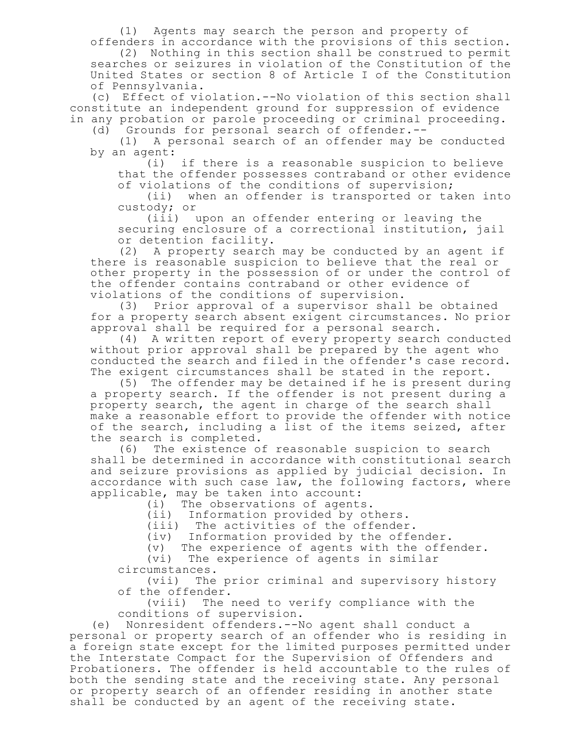(1) Agents may search the person and property of offenders in accordance with the provisions of this section.

(2) Nothing in this section shall be construed to permit searches or seizures in violation of the Constitution of the United States or section 8 of Article I of the Constitution of Pennsylvania.

(c) Effect of violation.--No violation of this section shall constitute an independent ground for suppression of evidence in any probation or parole proceeding or criminal proceeding.

(d) Grounds for personal search of offender.--

(1) A personal search of an offender may be conducted by an agent:

(i) if there is a reasonable suspicion to believe that the offender possesses contraband or other evidence of violations of the conditions of supervision;

(ii) when an offender is transported or taken into custody; or

(iii) upon an offender entering or leaving the securing enclosure of a correctional institution, jail or detention facility.

(2) A property search may be conducted by an agent if there is reasonable suspicion to believe that the real or other property in the possession of or under the control of the offender contains contraband or other evidence of

violations of the conditions of supervision.<br>(3) Prior approval of a supervisor shal Prior approval of a supervisor shall be obtained for a property search absent exigent circumstances. No prior approval shall be required for a personal search.

(4) A written report of every property search conducted without prior approval shall be prepared by the agent who conducted the search and filed in the offender's case record. The exigent circumstances shall be stated in the report.

(5) The offender may be detained if he is present during a property search. If the offender is not present during a property search, the agent in charge of the search shall make a reasonable effort to provide the offender with notice of the search, including a list of the items seized, after

the search is completed.<br>(6) The existence o The existence of reasonable suspicion to search shall be determined in accordance with constitutional search and seizure provisions as applied by judicial decision. In accordance with such case law, the following factors, where applicable, may be taken into account:

(i) The observations of agents.

(ii) Information provided by others.

(iii) The activities of the offender.

(iv) Information provided by the offender.

(v) The experience of agents with the offender.

(vi) The experience of agents in similar

circumstances.

(vii) The prior criminal and supervisory history of the offender.

(viii) The need to verify compliance with the conditions of supervision.

(e) Nonresident offenders.--No agent shall conduct a personal or property search of an offender who is residing in a foreign state except for the limited purposes permitted under the Interstate Compact for the Supervision of Offenders and Probationers. The offender is held accountable to the rules of both the sending state and the receiving state. Any personal or property search of an offender residing in another state shall be conducted by an agent of the receiving state.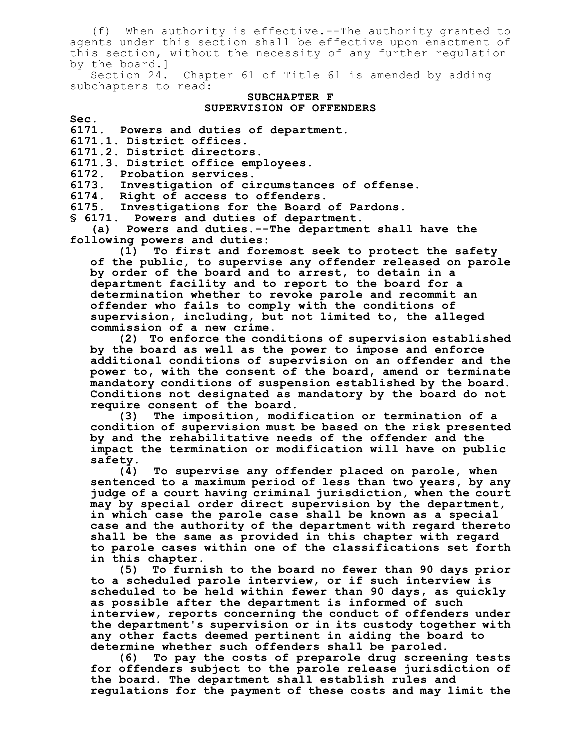(f) When authority is effective.--The authority granted to agents under this section shall be effective upon enactment of this section, without the necessity of any further regulation by the board.]

Section 24. Chapter 61 of Title 61 is amended by adding subchapters to read:

#### **SUBCHAPTER F SUPERVISION OF OFFENDERS**

**Sec. 6171. Powers and duties of department.**

**6171.1. District offices.**

**6171.2. District directors.**

**6171.3. District office employees.**

**6172. Probation services.**

**6173. Investigation of circumstances of offense.**

**6174. Right of access to offenders.**

**6175. Investigations for the Board of Pardons.**

**§ 6171. Powers and duties of department.**

**(a) Powers and duties.--The department shall have the following powers and duties:**

**(1) To first and foremost seek to protect the safety of the public, to supervise any offender released on parole by order of the board and to arrest, to detain in a department facility and to report to the board for a determination whether to revoke parole and recommit an offender who fails to comply with the conditions of supervision, including, but not limited to, the alleged commission of a new crime.**

**(2) To enforce the conditions of supervision established by the board as well as the power to impose and enforce additional conditions of supervision on an offender and the power to, with the consent of the board, amend or terminate mandatory conditions of suspension established by the board. Conditions not designated as mandatory by the board do not require consent of the board.**

**(3) The imposition, modification or termination of a condition of supervision must be based on the risk presented by and the rehabilitative needs of the offender and the impact the termination or modification will have on public safety.**

**(4) To supervise any offender placed on parole, when sentenced to a maximum period of less than two years, by any judge of a court having criminal jurisdiction, when the court may by special order direct supervision by the department, in which case the parole case shall be known as a special case and the authority of the department with regard thereto shall be the same as provided in this chapter with regard to parole cases within one of the classifications set forth in this chapter.**

**(5) To furnish to the board no fewer than 90 days prior to a scheduled parole interview, or if such interview is scheduled to be held within fewer than 90 days, as quickly as possible after the department is informed of such interview, reports concerning the conduct of offenders under the department's supervision or in its custody together with any other facts deemed pertinent in aiding the board to determine whether such offenders shall be paroled.**

**(6) To pay the costs of preparole drug screening tests for offenders subject to the parole release jurisdiction of the board. The department shall establish rules and regulations for the payment of these costs and may limit the**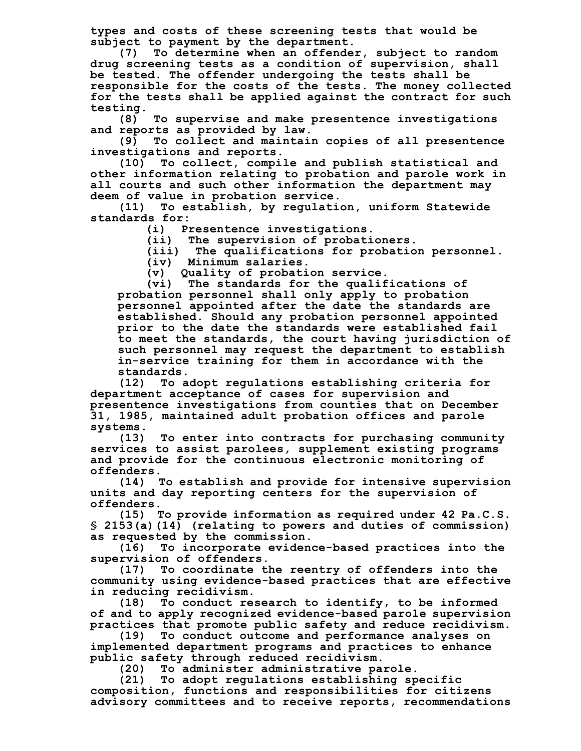**types and costs of these screening tests that would be subject to payment by the department.**

**(7) To determine when an offender, subject to random drug screening tests as a condition of supervision, shall be tested. The offender undergoing the tests shall be responsible for the costs of the tests. The money collected for the tests shall be applied against the contract for such testing.**

**(8) To supervise and make presentence investigations and reports as provided by law.**

**(9) To collect and maintain copies of all presentence investigations and reports.**

**(10) To collect, compile and publish statistical and other information relating to probation and parole work in all courts and such other information the department may deem of value in probation service.**

**(11) To establish, by regulation, uniform Statewide standards for:**

**(i) Presentence investigations.**

**(ii) The supervision of probationers.**

**(iii) The qualifications for probation personnel.**

**(iv) Minimum salaries.**

**(v) Quality of probation service.**

**(vi) The standards for the qualifications of probation personnel shall only apply to probation personnel appointed after the date the standards are established. Should any probation personnel appointed prior to the date the standards were established fail to meet the standards, the court having jurisdiction of such personnel may request the department to establish in-service training for them in accordance with the standards.**

**(12) To adopt regulations establishing criteria for department acceptance of cases for supervision and presentence investigations from counties that on December 31, 1985, maintained adult probation offices and parole systems.**

**(13) To enter into contracts for purchasing community services to assist parolees, supplement existing programs and provide for the continuous electronic monitoring of**

offenders.<br>! (14) **(14) To establish and provide for intensive supervision units and day reporting centers for the supervision of offenders.**

**(15) To provide information as required under 42 Pa.C.S. § 2153(a)(14) (relating to powers and duties of commission) as requested by the commission.**

**(16) To incorporate evidence-based practices into the supervision of offenders.**

**(17) To coordinate the reentry of offenders into the community using evidence-based practices that are effective in reducing recidivism.**

**(18) To conduct research to identify, to be informed of and to apply recognized evidence-based parole supervision practices that promote public safety and reduce recidivism.**

**(19) To conduct outcome and performance analyses on implemented department programs and practices to enhance public safety through reduced recidivism.**

**(20) To administer administrative parole.**

**(21) To adopt regulations establishing specific composition, functions and responsibilities for citizens advisory committees and to receive reports, recommendations**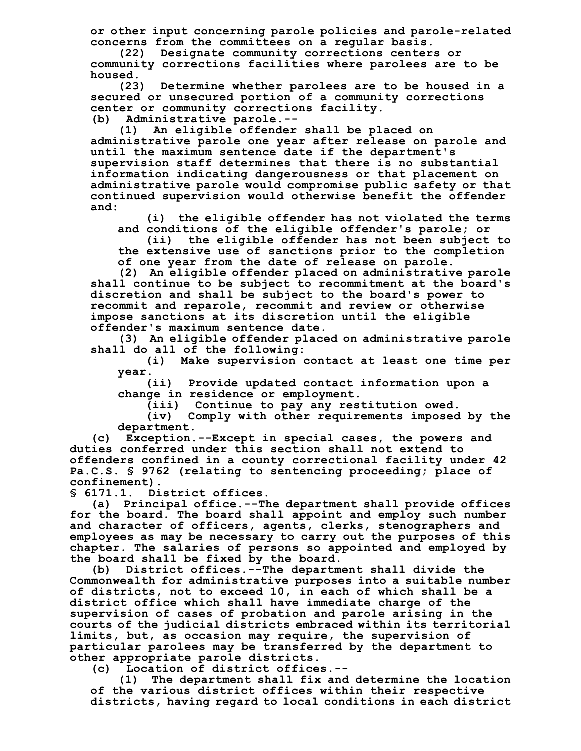**or other input concerning parole policies and parole-related concerns from the committees on a regular basis.**

**(22) Designate community corrections centers or community corrections facilities where parolees are to be housed.**

**(23) Determine whether parolees are to be housed in a secured or unsecured portion of a community corrections center or community corrections facility.**

**(b) Administrative parole.--**

**(1) An eligible offender shall be placed on administrative parole one year after release on parole and until the maximum sentence date if the department's supervision staff determines that there is no substantial information indicating dangerousness or that placement on administrative parole would compromise public safety or that continued supervision would otherwise benefit the offender and:**

**(i) the eligible offender has not violated the terms and conditions of the eligible offender's parole; or**

**(ii) the eligible offender has not been subject to the extensive use of sanctions prior to the completion of one year from the date of release on parole.**

**(2) An eligible offender placed on administrative parole shall continue to be subject to recommitment at the board's discretion and shall be subject to the board's power to recommit and reparole, recommit and review or otherwise impose sanctions at its discretion until the eligible offender's maximum sentence date.**

**(3) An eligible offender placed on administrative parole shall do all of the following:**

**(i) Make supervision contact at least one time per year.**

**(ii) Provide updated contact information upon a change in residence or employment.**

**(iii) Continue to pay any restitution owed.**

**(iv) Comply with other requirements imposed by the department.**

**(c) Exception.--Except in special cases, the powers and duties conferred under this section shall not extend to offenders confined in a county correctional facility under 42 Pa.C.S. § 9762 (relating to sentencing proceeding; place of confinement).**

**§ 6171.1. District offices.**

**(a) Principal office.--The department shall provide offices for the board. The board shall appoint and employ such number and character of officers, agents, clerks, stenographers and employees as may be necessary to carry out the purposes of this chapter. The salaries of persons so appointed and employed by the board shall be fixed by the board.**

**(b) District offices.--The department shall divide the Commonwealth for administrative purposes into a suitable number of districts, not to exceed 10, in each of which shall be a district office which shall have immediate charge of the supervision of cases of probation and parole arising in the courts of the judicial districts embraced within its territorial limits, but, as occasion may require, the supervision of particular parolees may be transferred by the department to other appropriate parole districts.**

**(c) Location of district offices.--**

**(1) The department shall fix and determine the location of the various district offices within their respective districts, having regard to local conditions in each district**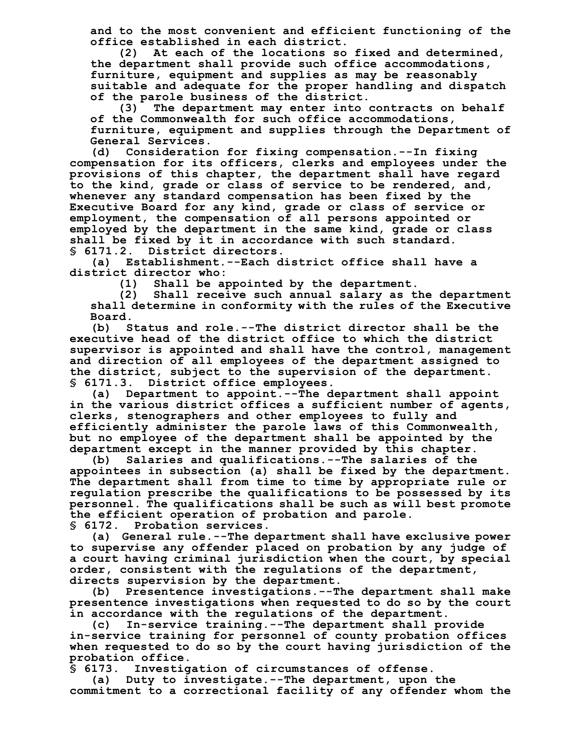**and to the most convenient and efficient functioning of the office established in each district.**

**(2) At each of the locations so fixed and determined, the department shall provide such office accommodations, furniture, equipment and supplies as may be reasonably suitable and adequate for the proper handling and dispatch of the parole business of the district.**

**(3) The department may enter into contracts on behalf of the Commonwealth for such office accommodations, furniture, equipment and supplies through the Department of General Services.**

**(d) Consideration for fixing compensation.--In fixing compensation for its officers, clerks and employees under the provisions of this chapter, the department shall have regard to the kind, grade or class of service to be rendered, and, whenever any standard compensation has been fixed by the Executive Board for any kind, grade or class of service or employment, the compensation of all persons appointed or employed by the department in the same kind, grade or class shall be fixed by it in accordance with such standard. § 6171.2. District directors.**

**(a) Establishment.--Each district office shall have a district director who:**

**(1) Shall be appointed by the department.**

**(2) Shall receive such annual salary as the department shall determine in conformity with the rules of the Executive Board.**

**(b) Status and role.--The district director shall be the executive head of the district office to which the district supervisor is appointed and shall have the control, management and direction of all employees of the department assigned to the district, subject to the supervision of the department. § 6171.3. District office employees.**

**(a) Department to appoint.--The department shall appoint in the various district offices a sufficient number of agents, clerks, stenographers and other employees to fully and efficiently administer the parole laws of this Commonwealth, but no employee of the department shall be appointed by the department except in the manner provided by this chapter.**

**(b) Salaries and qualifications.--The salaries of the appointees in subsection (a) shall be fixed by the department. The department shall from time to time by appropriate rule or regulation prescribe the qualifications to be possessed by its personnel. The qualifications shall be such as will best promote the efficient operation of probation and parole. § 6172. Probation services.**

**(a) General rule.--The department shall have exclusive power to supervise any offender placed on probation by any judge of a court having criminal jurisdiction when the court, by special order, consistent with the regulations of the department, directs supervision by the department.**

**(b) Presentence investigations.--The department shall make presentence investigations when requested to do so by the court in accordance with the regulations of the department.**

**(c) In-service training.--The department shall provide in-service training for personnel of county probation offices when requested to do so by the court having jurisdiction of the probation office.**

**§ 6173. Investigation of circumstances of offense.**

**(a) Duty to investigate.--The department, upon the commitment to a correctional facility of any offender whom the**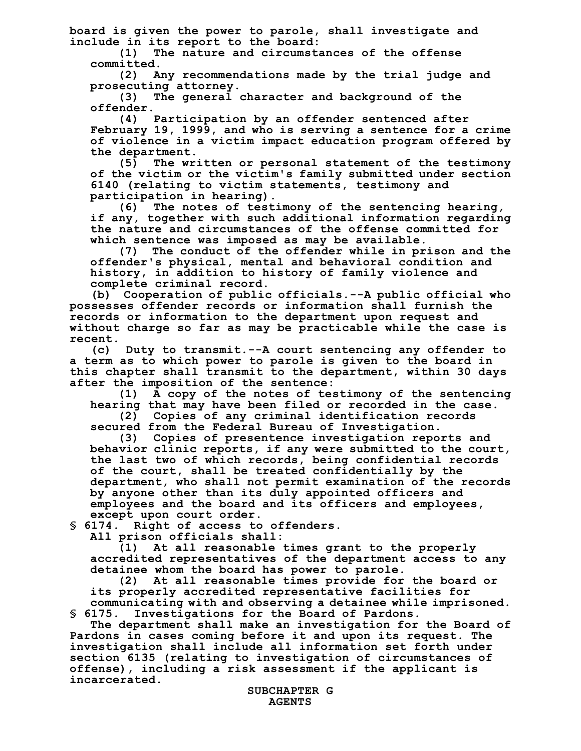**board is given the power to parole, shall investigate and include in its report to the board:**

**(1) The nature and circumstances of the offense**

**committed. (2) Any recommendations made by the trial judge and prosecuting attorney.**

**(3) The general character and background of the offender.**

**(4) Participation by an offender sentenced after February 19, 1999, and who is serving a sentence for a crime of violence in a victim impact education program offered by the department.**

**(5) The written or personal statement of the testimony of the victim or the victim's family submitted under section 6140 (relating to victim statements, testimony and participation in hearing).**

**(6) The notes of testimony of the sentencing hearing, if any, together with such additional information regarding the nature and circumstances of the offense committed for which sentence was imposed as may be available.**

**(7) The conduct of the offender while in prison and the offender's physical, mental and behavioral condition and history, in addition to history of family violence and complete criminal record.**

**(b) Cooperation of public officials.--A public official who possesses offender records or information shall furnish the records or information to the department upon request and without charge so far as may be practicable while the case is recent.**

**(c) Duty to transmit.--A court sentencing any offender to a term as to which power to parole is given to the board in this chapter shall transmit to the department, within 30 days after the imposition of the sentence:**

**(1) A copy of the notes of testimony of the sentencing hearing that may have been filed or recorded in the case.**

**(2) Copies of any criminal identification records secured from the Federal Bureau of Investigation.**

**(3) Copies of presentence investigation reports and behavior clinic reports, if any were submitted to the court, the last two of which records, being confidential records of the court, shall be treated confidentially by the department, who shall not permit examination of the records by anyone other than its duly appointed officers and employees and the board and its officers and employees, except upon court order.**

**§ 6174. Right of access to offenders.**

**All prison officials shall:**

**(1) At all reasonable times grant to the properly accredited representatives of the department access to any detainee whom the board has power to parole.**

**(2) At all reasonable times provide for the board or its properly accredited representative facilities for communicating with and observing a detainee while imprisoned. § 6175. Investigations for the Board of Pardons.**

**The department shall make an investigation for the Board of Pardons in cases coming before it and upon its request. The investigation shall include all information set forth under section 6135 (relating to investigation of circumstances of offense), including a risk assessment if the applicant is incarcerated.**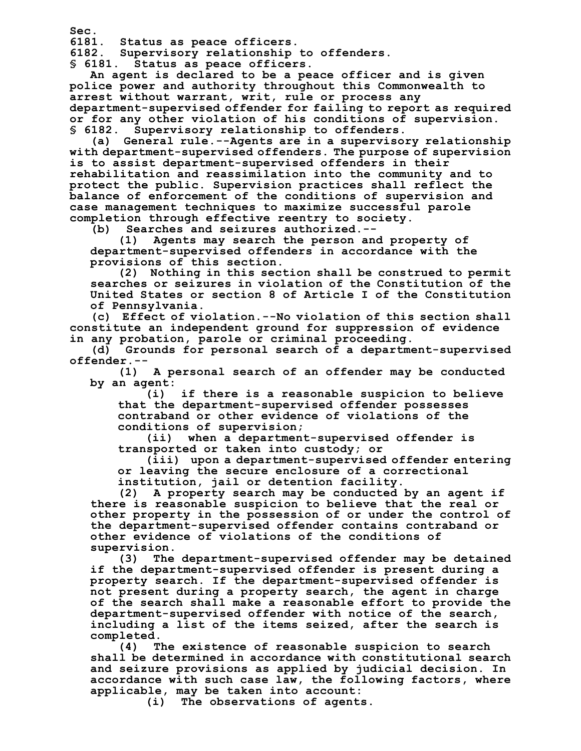**Sec. 6181. Status as peace officers.**

**6182. Supervisory relationship to offenders.**

**§ 6181. Status as peace officers.**

**An agent is declared to be a peace officer and is given police power and authority throughout this Commonwealth to arrest without warrant, writ, rule or process any department-supervised offender for failing to report as required or for any other violation of his conditions of supervision. § 6182. Supervisory relationship to offenders.**

**(a) General rule.--Agents are in a supervisory relationship with department-supervised offenders. The purpose of supervision is to assist department-supervised offenders in their rehabilitation and reassimilation into the community and to protect the public. Supervision practices shall reflect the balance of enforcement of the conditions of supervision and case management techniques to maximize successful parole completion through effective reentry to society.**

**(b) Searches and seizures authorized.--**

**(1) Agents may search the person and property of department-supervised offenders in accordance with the provisions of this section.**

**(2) Nothing in this section shall be construed to permit searches or seizures in violation of the Constitution of the United States or section 8 of Article I of the Constitution of Pennsylvania.**

**(c) Effect of violation.--No violation of this section shall constitute an independent ground for suppression of evidence in any probation, parole or criminal proceeding.**

**(d) Grounds for personal search of a department-supervised offender.--**

**(1) A personal search of an offender may be conducted by an agent:**

**(i) if there is a reasonable suspicion to believe that the department-supervised offender possesses contraband or other evidence of violations of the conditions of supervision;**

**(ii) when a department-supervised offender is transported or taken into custody; or**

**(iii) upon a department-supervised offender entering or leaving the secure enclosure of a correctional institution, jail or detention facility.**

**(2) A property search may be conducted by an agent if there is reasonable suspicion to believe that the real or other property in the possession of or under the control of the department-supervised offender contains contraband or other evidence of violations of the conditions of supervision.**

**(3) The department-supervised offender may be detained if the department-supervised offender is present during a property search. If the department-supervised offender is not present during a property search, the agent in charge of the search shall make a reasonable effort to provide the department-supervised offender with notice of the search, including a list of the items seized, after the search is completed.**

**(4) The existence of reasonable suspicion to search shall be determined in accordance with constitutional search and seizure provisions as applied by judicial decision. In accordance with such case law, the following factors, where applicable, may be taken into account:**

**(i) The observations of agents.**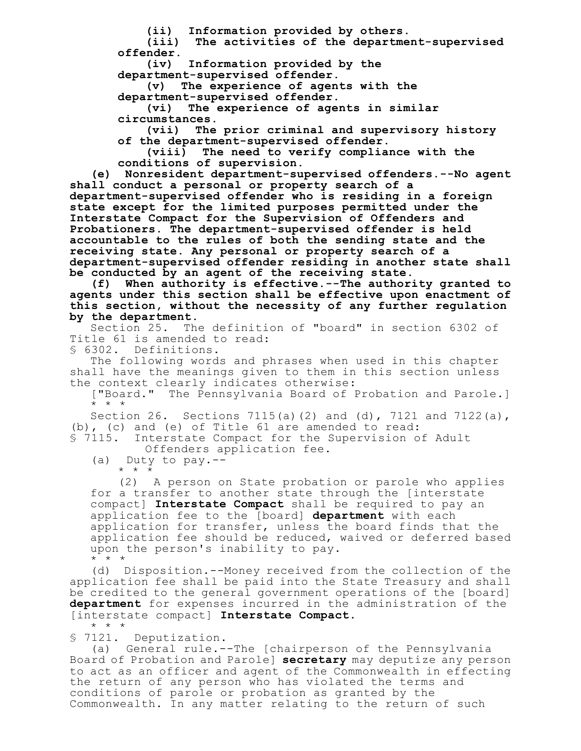**(ii) Information provided by others.**

**(iii) The activities of the department-supervised offender.**

**(iv) Information provided by the department-supervised offender.**

**(v) The experience of agents with the department-supervised offender.**

**(vi) The experience of agents in similar circumstances.**

**(vii) The prior criminal and supervisory history of the department-supervised offender.**

**(viii) The need to verify compliance with the conditions of supervision.**

**(e) Nonresident department-supervised offenders.--No agent shall conduct a personal or property search of a department-supervised offender who is residing in a foreign state except for the limited purposes permitted under the Interstate Compact for the Supervision of Offenders and Probationers. The department-supervised offender is held accountable to the rules of both the sending state and the receiving state. Any personal or property search of a department-supervised offender residing in another state shall be conducted by an agent of the receiving state.**

**(f) When authority is effective.--The authority granted to agents under this section shall be effective upon enactment of this section, without the necessity of any further regulation by the department.**

Section 25. The definition of "board" in section 6302 of Title 61 is amended to read:

§ 6302. Definitions.

The following words and phrases when used in this chapter shall have the meanings given to them in this section unless the context clearly indicates otherwise:

["Board." The Pennsylvania Board of Probation and Parole.] \* \* \*

Section 26. Sections 7115(a)(2) and (d), 7121 and 7122(a), (b), (c) and (e) of Title 61 are amended to read:<br>\$ 7115. Interstate Compact for the Supervision o

Interstate Compact for the Supervision of Adult Offenders application fee.

(a) Duty to pay.-- \* \* \*

(2) A person on State probation or parole who applies for a transfer to another state through the [interstate compact] **Interstate Compact** shall be required to pay an application fee to the [board] **department** with each application for transfer, unless the board finds that the application fee should be reduced, waived or deferred based upon the person's inability to pay.  $\star$   $\star$   $\star$ 

(d) Disposition.--Money received from the collection of the application fee shall be paid into the State Treasury and shall be credited to the general government operations of the [board] **department** for expenses incurred in the administration of the [interstate compact] **Interstate Compact**. \* \* \*

§ 7121. Deputization.

(a) General rule.--The [chairperson of the Pennsylvania Board of Probation and Parole] **secretary** may deputize any person to act as an officer and agent of the Commonwealth in effecting the return of any person who has violated the terms and conditions of parole or probation as granted by the Commonwealth. In any matter relating to the return of such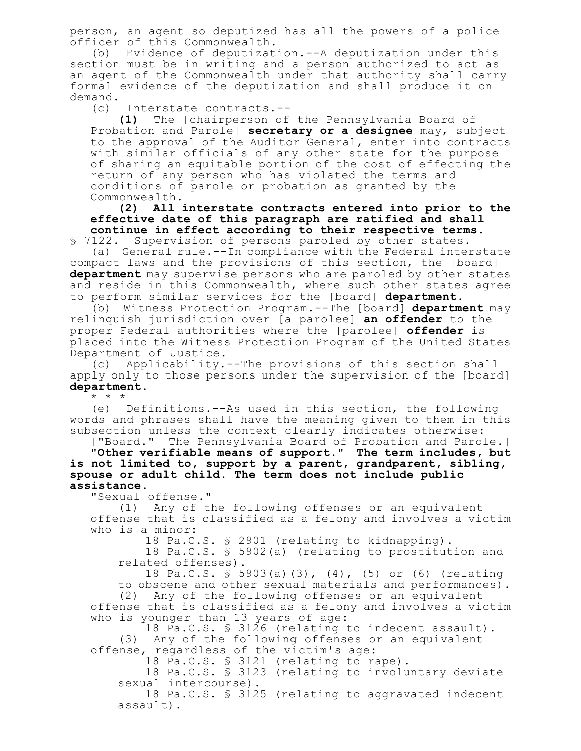person, an agent so deputized has all the powers of a police officer of this Commonwealth.

(b) Evidence of deputization.--A deputization under this section must be in writing and a person authorized to act as an agent of the Commonwealth under that authority shall carry formal evidence of the deputization and shall produce it on demand.

(c) Interstate contracts.--

**(1)** The [chairperson of the Pennsylvania Board of Probation and Parole] **secretary or a designee** may, subject to the approval of the Auditor General, enter into contracts with similar officials of any other state for the purpose of sharing an equitable portion of the cost of effecting the return of any person who has violated the terms and conditions of parole or probation as granted by the Commonwealth.

**(2) All interstate contracts entered into prior to the effective date of this paragraph are ratified and shall continue in effect according to their respective terms.** § 7122. Supervision of persons paroled by other states.

(a) General rule.--In compliance with the Federal interstate compact laws and the provisions of this section, the [board] **department** may supervise persons who are paroled by other states and reside in this Commonwealth, where such other states agree to perform similar services for the [board] **department**.

(b) Witness Protection Program.--The [board] **department** may relinquish jurisdiction over [a parolee] **an offender** to the proper Federal authorities where the [parolee] **offender** is placed into the Witness Protection Program of the United States Department of Justice.

(c) Applicability.--The provisions of this section shall apply only to those persons under the supervision of the [board] **department**.

\* \* \*

(e) Definitions.--As used in this section, the following words and phrases shall have the meaning given to them in this subsection unless the context clearly indicates otherwise:

["Board." The Pennsylvania Board of Probation and Parole.] **"Other verifiable means of support." The term includes, but is not limited to, support by a parent, grandparent, sibling, spouse or adult child. The term does not include public assistance.**

"Sexual offense."

(1) Any of the following offenses or an equivalent offense that is classified as a felony and involves a victim who is a minor:

18 Pa.C.S. § 2901 (relating to kidnapping).

18 Pa.C.S. § 5902(a) (relating to prostitution and related offenses).

18 Pa.C.S. § 5903(a)(3), (4), (5) or (6) (relating to obscene and other sexual materials and performances).

(2) Any of the following offenses or an equivalent offense that is classified as a felony and involves a victim who is younger than 13 years of age:

18 Pa.C.S. § 3126 (relating to indecent assault). (3) Any of the following offenses or an equivalent offense, regardless of the victim's age:

18 Pa.C.S. § 3121 (relating to rape).

18 Pa.C.S. § 3123 (relating to involuntary deviate sexual intercourse).

18 Pa.C.S. § 3125 (relating to aggravated indecent assault).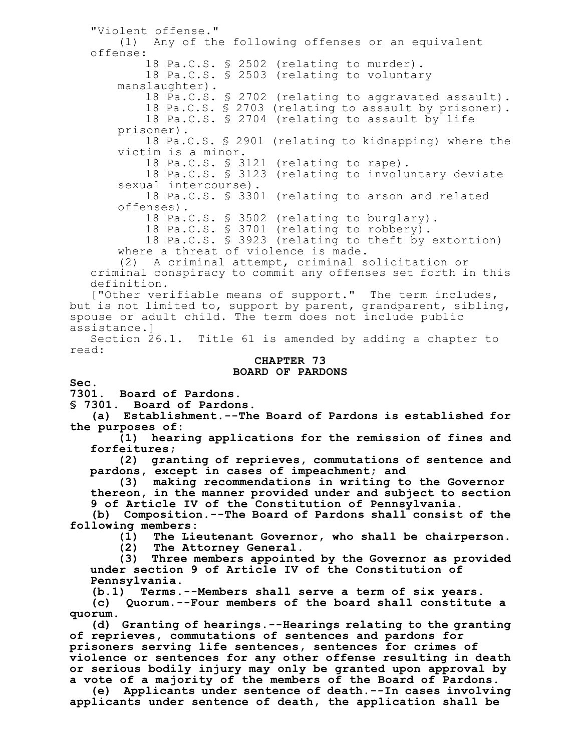"Violent offense." (1) Any of the following offenses or an equivalent offense: 18 Pa.C.S. § 2502 (relating to murder). 18 Pa.C.S. § 2503 (relating to voluntary manslaughter). 18 Pa.C.S. § 2702 (relating to aggravated assault). 18 Pa.C.S. § 2703 (relating to assault by prisoner). 18 Pa.C.S. § 2704 (relating to assault by life prisoner). 18 Pa.C.S. § 2901 (relating to kidnapping) where the victim is a minor. 18 Pa.C.S. § 3121 (relating to rape). 18 Pa.C.S. § 3123 (relating to involuntary deviate sexual intercourse). 18 Pa.C.S. § 3301 (relating to arson and related offenses). 18 Pa.C.S. § 3502 (relating to burglary). 18 Pa.C.S. § 3701 (relating to robbery). 18 Pa.C.S. § 3923 (relating to theft by extortion) where a threat of violence is made. (2) A criminal attempt, criminal solicitation or criminal conspiracy to commit any offenses set forth in this definition. ["Other verifiable means of support." The term includes, but is not limited to, support by parent, grandparent, sibling, spouse or adult child. The term does not include public assistance.] Section 26.1. Title 61 is amended by adding a chapter to read: **CHAPTER 73 BOARD OF PARDONS Sec.**

**7301. Board of Pardons.**

**§ 7301. Board of Pardons.**

**(a) Establishment.--The Board of Pardons is established for the purposes of:**

**(1) hearing applications for the remission of fines and forfeitures;**

**(2) granting of reprieves, commutations of sentence and pardons, except in cases of impeachment; and**

**(3) making recommendations in writing to the Governor thereon, in the manner provided under and subject to section 9 of Article IV of the Constitution of Pennsylvania.**

**(b) Composition.--The Board of Pardons shall consist of the following members:**

**(1) The Lieutenant Governor, who shall be chairperson.**

**(2) The Attorney General.**

**(3) Three members appointed by the Governor as provided under section 9 of Article IV of the Constitution of Pennsylvania.**

**(b.1) Terms.--Members shall serve a term of six years.**

**(c) Quorum.--Four members of the board shall constitute a quorum.**

**(d) Granting of hearings.--Hearings relating to the granting of reprieves, commutations of sentences and pardons for prisoners serving life sentences, sentences for crimes of violence or sentences for any other offense resulting in death or serious bodily injury may only be granted upon approval by a vote of a majority of the members of the Board of Pardons.**

**(e) Applicants under sentence of death.--In cases involving applicants under sentence of death, the application shall be**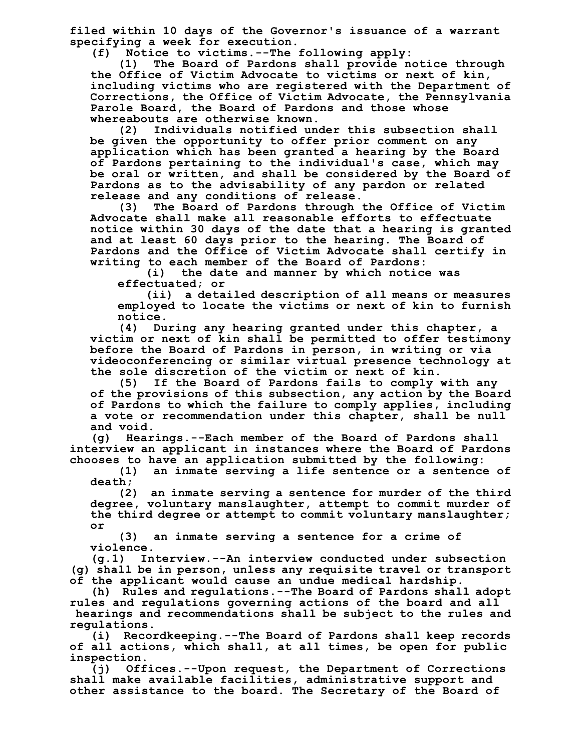**filed within 10 days of the Governor's issuance of a warrant specifying a week for execution.**

**(f) Notice to victims.--The following apply:**

**(1) The Board of Pardons shall provide notice through the Office of Victim Advocate to victims or next of kin, including victims who are registered with the Department of Corrections, the Office of Victim Advocate, the Pennsylvania Parole Board, the Board of Pardons and those whose whereabouts are otherwise known.**

**(2) Individuals notified under this subsection shall be given the opportunity to offer prior comment on any application which has been granted a hearing by the Board of Pardons pertaining to the individual's case, which may be oral or written, and shall be considered by the Board of Pardons as to the advisability of any pardon or related release and any conditions of release.**

**(3) The Board of Pardons through the Office of Victim Advocate shall make all reasonable efforts to effectuate notice within 30 days of the date that a hearing is granted and at least 60 days prior to the hearing. The Board of Pardons and the Office of Victim Advocate shall certify in writing to each member of the Board of Pardons:**

**(i) the date and manner by which notice was effectuated; or**

**(ii) a detailed description of all means or measures employed to locate the victims or next of kin to furnish notice.**

**(4) During any hearing granted under this chapter, a victim or next of kin shall be permitted to offer testimony before the Board of Pardons in person, in writing or via videoconferencing or similar virtual presence technology at the sole discretion of the victim or next of kin.**

**(5) If the Board of Pardons fails to comply with any of the provisions of this subsection, any action by the Board of Pardons to which the failure to comply applies, including a vote or recommendation under this chapter, shall be null and void.**

**(g) Hearings.--Each member of the Board of Pardons shall interview an applicant in instances where the Board of Pardons chooses to have an application submitted by the following:**

**(1) an inmate serving a life sentence or a sentence of death;**

**(2) an inmate serving a sentence for murder of the third degree, voluntary manslaughter, attempt to commit murder of the third degree or attempt to commit voluntary manslaughter; or**

**(3) an inmate serving a sentence for a crime of violence.**

**(g.1) Interview.--An interview conducted under subsection (g) shall be in person, unless any requisite travel or transport of the applicant would cause an undue medical hardship.**

**(h) Rules and regulations.--The Board of Pardons shall adopt rules and regulations governing actions of the board and all hearings and recommendations shall be subject to the rules and**

**regulations. (i) Recordkeeping.--The Board of Pardons shall keep records**

**of all actions, which shall, at all times, be open for public inspection.**

**(j) Offices.--Upon request, the Department of Corrections shall make available facilities, administrative support and other assistance to the board. The Secretary of the Board of**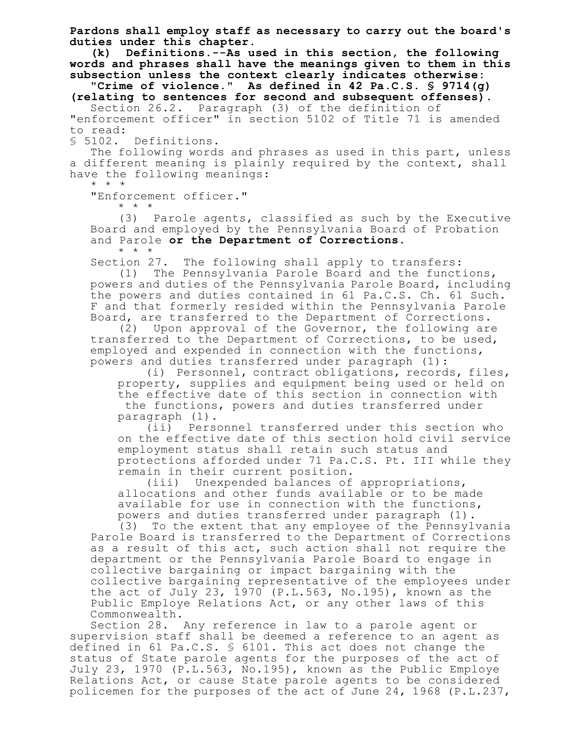**Pardons shall employ staff as necessary to carry out the board's duties under this chapter.**

**(k) Definitions.--As used in this section, the following words and phrases shall have the meanings given to them in this subsection unless the context clearly indicates otherwise:**

**"Crime of violence." As defined in 42 Pa.C.S. § 9714(g) (relating to sentences for second and subsequent offenses).**

Section 26.2. Paragraph (3) of the definition of "enforcement officer" in section 5102 of Title 71 is amended to read:

§ 5102. Definitions.

The following words and phrases as used in this part, unless a different meaning is plainly required by the context, shall have the following meanings:

\* \* \*

"Enforcement officer."

\* \* \*

(3) Parole agents, classified as such by the Executive Board and employed by the Pennsylvania Board of Probation and Parole **or the Department of Corrections**. \* \* \*

Section 27. The following shall apply to transfers:

(1) The Pennsylvania Parole Board and the functions, powers and duties of the Pennsylvania Parole Board, including the powers and duties contained in 61 Pa.C.S. Ch. 61 Such. F and that formerly resided within the Pennsylvania Parole Board, are transferred to the Department of Corrections.

(2) Upon approval of the Governor, the following are transferred to the Department of Corrections, to be used, employed and expended in connection with the functions, powers and duties transferred under paragraph (1):

(i) Personnel, contract obligations, records, files, property, supplies and equipment being used or held on the effective date of this section in connection with the functions, powers and duties transferred under paragraph (1).

(ii) Personnel transferred under this section who on the effective date of this section hold civil service employment status shall retain such status and protections afforded under 71 Pa.C.S. Pt. III while they remain in their current position.

(iii) Unexpended balances of appropriations, allocations and other funds available or to be made available for use in connection with the functions, powers and duties transferred under paragraph (1).

(3) To the extent that any employee of the Pennsylvania Parole Board is transferred to the Department of Corrections as a result of this act, such action shall not require the department or the Pennsylvania Parole Board to engage in collective bargaining or impact bargaining with the collective bargaining representative of the employees under the act of July 23, 1970 (P.L.563, No.195), known as the Public Employe Relations Act, or any other laws of this Commonwealth.

Section 28. Any reference in law to a parole agent or supervision staff shall be deemed a reference to an agent as defined in 61 Pa.C.S. § 6101. This act does not change the status of State parole agents for the purposes of the act of July 23, 1970 (P.L.563, No.195), known as the Public Employe Relations Act, or cause State parole agents to be considered policemen for the purposes of the act of June 24, 1968 (P.L.237,